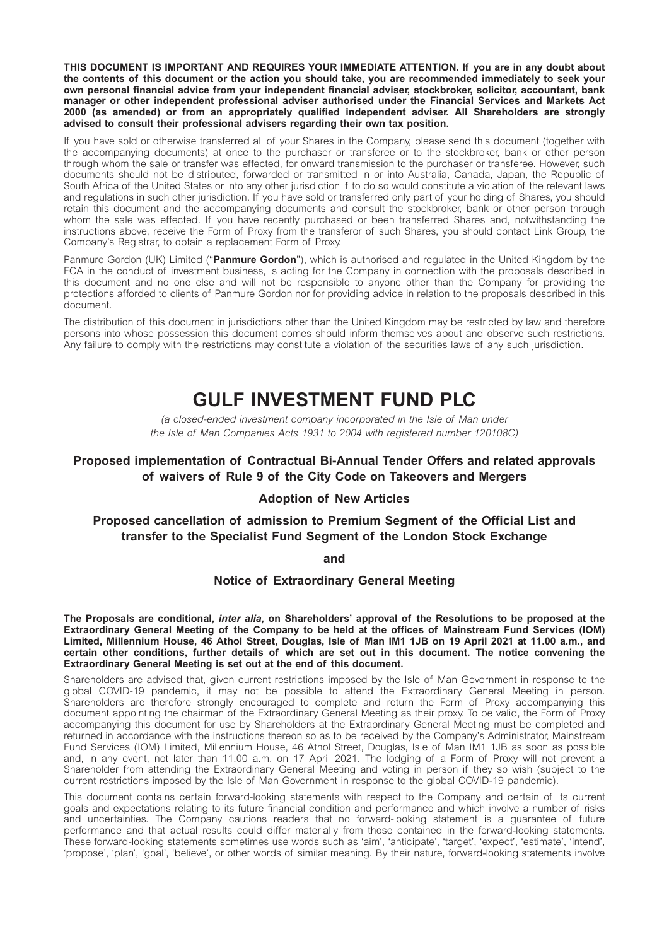**THIS DOCUMENT IS IMPORTANT AND REQUIRES YOUR IMMEDIATE ATTENTION. If you are in any doubt about the contents of this document or the action you should take, you are recommended immediately to seek your own personal financial advice from your independent financial adviser, stockbroker, solicitor, accountant, bank manager or other independent professional adviser authorised under the Financial Services and Markets Act 2000 (as amended) or from an appropriately qualified independent adviser. All Shareholders are strongly advised to consult their professional advisers regarding their own tax position.** 

If you have sold or otherwise transferred all of your Shares in the Company, please send this document (together with the accompanying documents) at once to the purchaser or transferee or to the stockbroker, bank or other person through whom the sale or transfer was effected, for onward transmission to the purchaser or transferee. However, such documents should not be distributed, forwarded or transmitted in or into Australia, Canada, Japan, the Republic of South Africa of the United States or into any other jurisdiction if to do so would constitute a violation of the relevant laws and regulations in such other jurisdiction. If you have sold or transferred only part of your holding of Shares, you should retain this document and the accompanying documents and consult the stockbroker, bank or other person through whom the sale was effected. If you have recently purchased or been transferred Shares and, notwithstanding the instructions above, receive the Form of Proxy from the transferor of such Shares, you should contact Link Group, the Company's Registrar, to obtain a replacement Form of Proxy.

Panmure Gordon (UK) Limited ("**Panmure Gordon**"), which is authorised and regulated in the United Kingdom by the FCA in the conduct of investment business, is acting for the Company in connection with the proposals described in this document and no one else and will not be responsible to anyone other than the Company for providing the protections afforded to clients of Panmure Gordon nor for providing advice in relation to the proposals described in this document.

The distribution of this document in jurisdictions other than the United Kingdom may be restricted by law and therefore persons into whose possession this document comes should inform themselves about and observe such restrictions. Any failure to comply with the restrictions may constitute a violation of the securities laws of any such jurisdiction.

# **GULF INVESTMENT FUND PLC**

*(a closed-ended investment company incorporated in the Isle of Man under the Isle of Man Companies Acts 1931 to 2004 with registered number 120108C)* 

# **Proposed implementation of Contractual Bi-Annual Tender Offers and related approvals of waivers of Rule 9 of the City Code on Takeovers and Mergers**

# **Adoption of New Articles**

**Proposed cancellation of admission to Premium Segment of the Official List and transfer to the Specialist Fund Segment of the London Stock Exchange** 

**and** 

# **Notice of Extraordinary General Meeting**

**The Proposals are conditional,** *inter alia***, on Shareholders' approval of the Resolutions to be proposed at the Extraordinary General Meeting of the Company to be held at the offices of Mainstream Fund Services (IOM) Limited, Millennium House, 46 Athol Street, Douglas, Isle of Man IM1 1JB on 19 April 2021 at 11.00 a.m., and certain other conditions, further details of which are set out in this document. The notice convening the Extraordinary General Meeting is set out at the end of this document.** 

Shareholders are advised that, given current restrictions imposed by the Isle of Man Government in response to the global COVID-19 pandemic, it may not be possible to attend the Extraordinary General Meeting in person. Shareholders are therefore strongly encouraged to complete and return the Form of Proxy accompanying this document appointing the chairman of the Extraordinary General Meeting as their proxy. To be valid, the Form of Proxy accompanying this document for use by Shareholders at the Extraordinary General Meeting must be completed and returned in accordance with the instructions thereon so as to be received by the Company's Administrator, Mainstream Fund Services (IOM) Limited, Millennium House, 46 Athol Street, Douglas, Isle of Man IM1 1JB as soon as possible and, in any event, not later than 11.00 a.m. on 17 April 2021. The lodging of a Form of Proxy will not prevent a Shareholder from attending the Extraordinary General Meeting and voting in person if they so wish (subject to the current restrictions imposed by the Isle of Man Government in response to the global COVID-19 pandemic).

This document contains certain forward-looking statements with respect to the Company and certain of its current goals and expectations relating to its future financial condition and performance and which involve a number of risks and uncertainties. The Company cautions readers that no forward-looking statement is a guarantee of future performance and that actual results could differ materially from those contained in the forward-looking statements. These forward-looking statements sometimes use words such as 'aim', 'anticipate', 'target', 'expect', 'estimate', 'intend', 'propose', 'plan', 'goal', 'believe', or other words of similar meaning. By their nature, forward-looking statements involve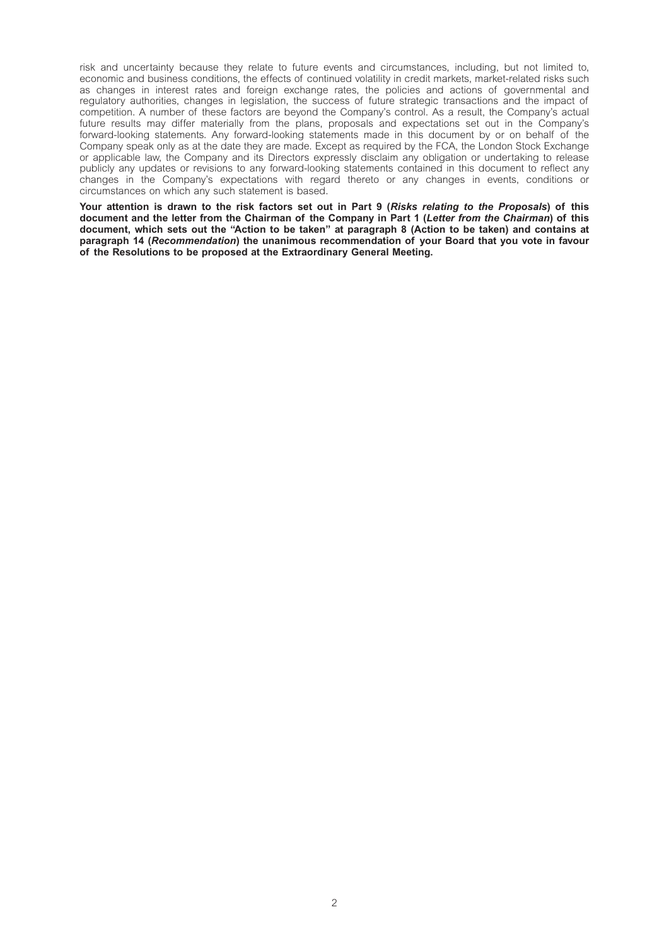risk and uncertainty because they relate to future events and circumstances, including, but not limited to, economic and business conditions, the effects of continued volatility in credit markets, market-related risks such as changes in interest rates and foreign exchange rates, the policies and actions of governmental and regulatory authorities, changes in legislation, the success of future strategic transactions and the impact of competition. A number of these factors are beyond the Company's control. As a result, the Company's actual future results may differ materially from the plans, proposals and expectations set out in the Company's forward-looking statements. Any forward-looking statements made in this document by or on behalf of the Company speak only as at the date they are made. Except as required by the FCA, the London Stock Exchange or applicable law, the Company and its Directors expressly disclaim any obligation or undertaking to release publicly any updates or revisions to any forward-looking statements contained in this document to reflect any changes in the Company's expectations with regard thereto or any changes in events, conditions or circumstances on which any such statement is based.

**Your attention is drawn to the risk factors set out in Part 9 (***Risks relating to the Proposals***) of this document and the letter from the Chairman of the Company in Part 1 (***Letter from the Chairman***) of this document, which sets out the "Action to be taken" at paragraph 8 (Action to be taken) and contains at paragraph 14 (***Recommendation***) the unanimous recommendation of your Board that you vote in favour of the Resolutions to be proposed at the Extraordinary General Meeting.**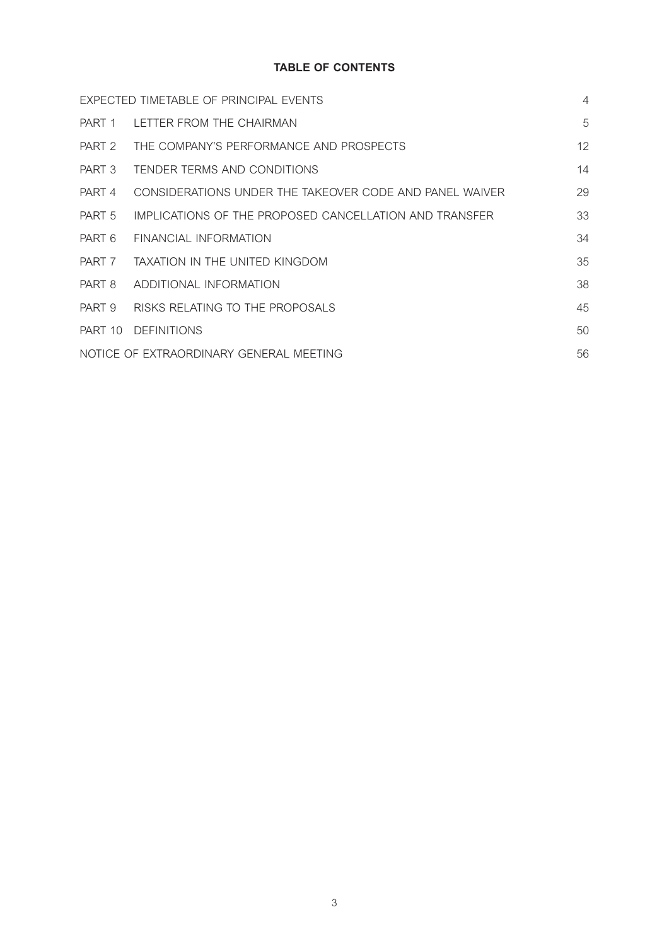# **TABLE OF CONTENTS**

|         | EXPECTED TIMETABLE OF PRINCIPAL EVENTS                  | $\overline{4}$ |
|---------|---------------------------------------------------------|----------------|
| PART 1  | LETTER FROM THE CHAIRMAN                                | 5              |
| PART 2  | THE COMPANY'S PERFORMANCE AND PROSPECTS                 | 12             |
| PART 3  | TENDER TERMS AND CONDITIONS                             | 14             |
| PART 4  | CONSIDERATIONS UNDER THE TAKEOVER CODE AND PANEL WAIVER | 29             |
| PART 5  | IMPLICATIONS OF THE PROPOSED CANCELLATION AND TRANSFER  | 33             |
| PART 6  | FINANCIAL INFORMATION                                   | 34             |
| PART 7  | TAXATION IN THE UNITED KINGDOM                          | 35             |
| PART 8  | ADDITIONAL INFORMATION                                  | 38             |
| PART 9  | RISKS RFLATING TO THE PROPOSALS                         | 45             |
| PART 10 | <b>DEFINITIONS</b>                                      | 50             |
|         | NOTICE OF EXTRAORDINARY GENERAL MEETING                 | 56             |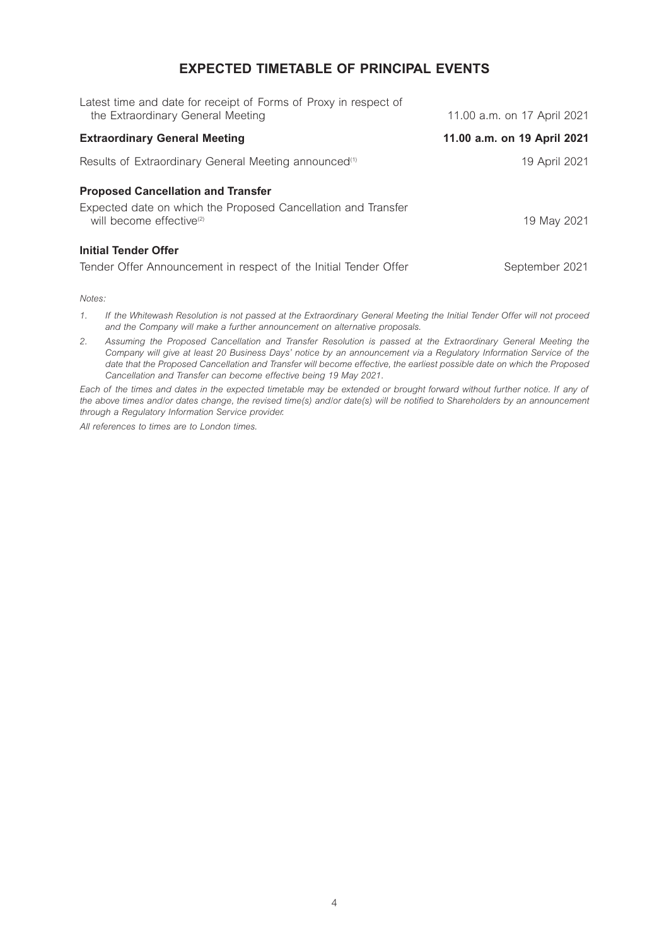# **EXPECTED TIMETABLE OF PRINCIPAL EVENTS**

| Latest time and date for receipt of Forms of Proxy in respect of<br>the Extraordinary General Meeting | 11.00 a.m. on 17 April 2021 |
|-------------------------------------------------------------------------------------------------------|-----------------------------|
| <b>Extraordinary General Meeting</b>                                                                  | 11.00 a.m. on 19 April 2021 |
| Results of Extraordinary General Meeting announced <sup>(1)</sup>                                     | 19 April 2021               |
| <b>Proposed Cancellation and Transfer</b>                                                             |                             |
| Expected date on which the Proposed Cancellation and Transfer<br>will become effective <sup>(2)</sup> | 19 May 2021                 |
| Initial Tender Offer                                                                                  |                             |
| Tender Offer Announcement in respect of the Initial Tender Offer                                      | September 2021              |
|                                                                                                       |                             |

*Notes:* 

*1. If the Whitewash Resolution is not passed at the Extraordinary General Meeting the Initial Tender Offer will not proceed and the Company will make a further announcement on alternative proposals.* 

*2. Assuming the Proposed Cancellation and Transfer Resolution is passed at the Extraordinary General Meeting the Company will give at least 20 Business Days' notice by an announcement via a Regulatory Information Service of the date that the Proposed Cancellation and Transfer will become effective, the earliest possible date on which the Proposed Cancellation and Transfer can become effective being 19 May 2021.* 

*Each of the times and dates in the expected timetable may be extended or brought forward without further notice. If any of the above times and/or dates change, the revised time(s) and/or date(s) will be notified to Shareholders by an announcement through a Regulatory Information Service provider.* 

*All references to times are to London times.*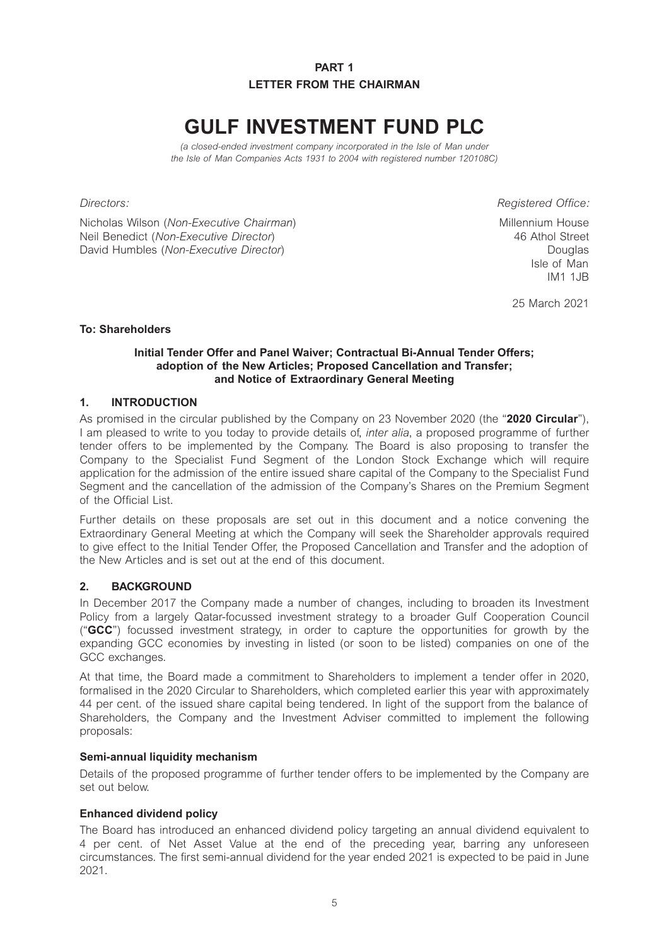# **PART 1 LETTER FROM THE CHAIRMAN**

# **GULF INVESTMENT FUND PLC**

*(a closed-ended investment company incorporated in the Isle of Man under the Isle of Man Companies Acts 1931 to 2004 with registered number 120108C)* 

Nicholas Wilson (*Non-Executive Chairman*) Millennium House Millennium House Neil Benedict (*Non-Executive Director*) 46 Athol Street David Humbles (*Non-Executive Director*) Douglas

*Directors: Registered Office:* 

 Isle of Man IM1 1JB

25 March 2021

# **To: Shareholders**

#### **Initial Tender Offer and Panel Waiver; Contractual Bi-Annual Tender Offers; adoption of the New Articles; Proposed Cancellation and Transfer; and Notice of Extraordinary General Meeting**

# **1. INTRODUCTION**

As promised in the circular published by the Company on 23 November 2020 (the "**2020 Circular**"), I am pleased to write to you today to provide details of, *inter alia*, a proposed programme of further tender offers to be implemented by the Company. The Board is also proposing to transfer the Company to the Specialist Fund Segment of the London Stock Exchange which will require application for the admission of the entire issued share capital of the Company to the Specialist Fund Segment and the cancellation of the admission of the Company's Shares on the Premium Segment of the Official List.

Further details on these proposals are set out in this document and a notice convening the Extraordinary General Meeting at which the Company will seek the Shareholder approvals required to give effect to the Initial Tender Offer, the Proposed Cancellation and Transfer and the adoption of the New Articles and is set out at the end of this document.

# **2. BACKGROUND**

In December 2017 the Company made a number of changes, including to broaden its Investment Policy from a largely Qatar-focussed investment strategy to a broader Gulf Cooperation Council ("**GCC**") focussed investment strategy, in order to capture the opportunities for growth by the expanding GCC economies by investing in listed (or soon to be listed) companies on one of the GCC exchanges.

At that time, the Board made a commitment to Shareholders to implement a tender offer in 2020, formalised in the 2020 Circular to Shareholders, which completed earlier this year with approximately 44 per cent. of the issued share capital being tendered. In light of the support from the balance of Shareholders, the Company and the Investment Adviser committed to implement the following proposals:

# **Semi-annual liquidity mechanism**

Details of the proposed programme of further tender offers to be implemented by the Company are set out below.

# **Enhanced dividend policy**

The Board has introduced an enhanced dividend policy targeting an annual dividend equivalent to 4 per cent. of Net Asset Value at the end of the preceding year, barring any unforeseen circumstances. The first semi-annual dividend for the year ended 2021 is expected to be paid in June 2021.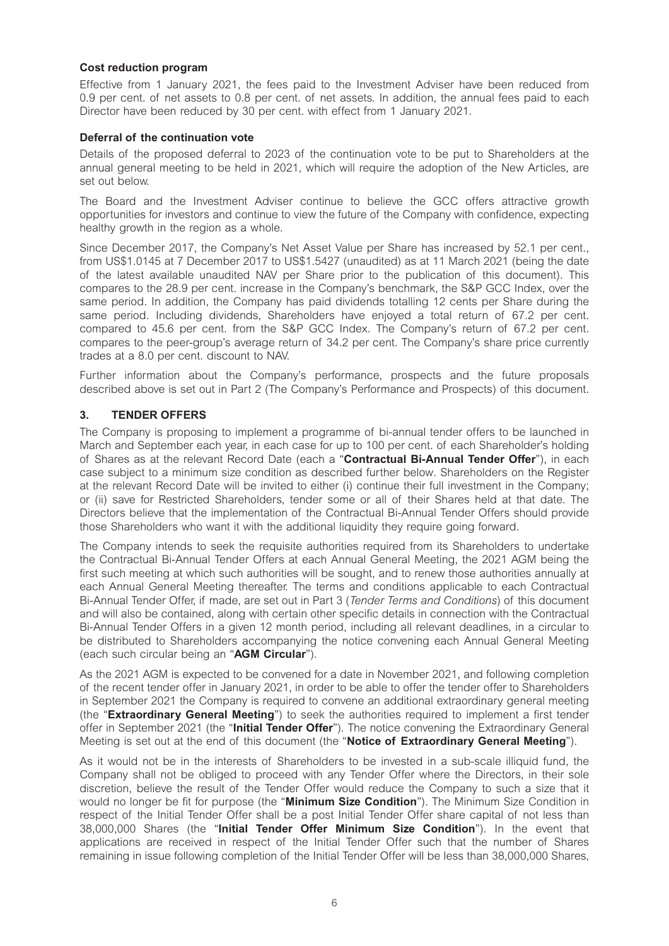## **Cost reduction program**

Effective from 1 January 2021, the fees paid to the Investment Adviser have been reduced from 0.9 per cent. of net assets to 0.8 per cent. of net assets. In addition, the annual fees paid to each Director have been reduced by 30 per cent. with effect from 1 January 2021.

#### **Deferral of the continuation vote**

Details of the proposed deferral to 2023 of the continuation vote to be put to Shareholders at the annual general meeting to be held in 2021, which will require the adoption of the New Articles, are set out below.

The Board and the Investment Adviser continue to believe the GCC offers attractive growth opportunities for investors and continue to view the future of the Company with confidence, expecting healthy growth in the region as a whole.

Since December 2017, the Company's Net Asset Value per Share has increased by 52.1 per cent., from US\$1.0145 at 7 December 2017 to US\$1.5427 (unaudited) as at 11 March 2021 (being the date of the latest available unaudited NAV per Share prior to the publication of this document). This compares to the 28.9 per cent. increase in the Company's benchmark, the S&P GCC Index, over the same period. In addition, the Company has paid dividends totalling 12 cents per Share during the same period. Including dividends, Shareholders have enjoyed a total return of 67.2 per cent. compared to 45.6 per cent. from the S&P GCC Index. The Company's return of 67.2 per cent. compares to the peer-group's average return of 34.2 per cent. The Company's share price currently trades at a 8.0 per cent. discount to NAV.

Further information about the Company's performance, prospects and the future proposals described above is set out in Part 2 (The Company's Performance and Prospects) of this document.

# **3. TENDER OFFERS**

The Company is proposing to implement a programme of bi-annual tender offers to be launched in March and September each year, in each case for up to 100 per cent. of each Shareholder's holding of Shares as at the relevant Record Date (each a "**Contractual Bi-Annual Tender Offer**"), in each case subject to a minimum size condition as described further below. Shareholders on the Register at the relevant Record Date will be invited to either (i) continue their full investment in the Company; or (ii) save for Restricted Shareholders, tender some or all of their Shares held at that date. The Directors believe that the implementation of the Contractual Bi-Annual Tender Offers should provide those Shareholders who want it with the additional liquidity they require going forward.

The Company intends to seek the requisite authorities required from its Shareholders to undertake the Contractual Bi-Annual Tender Offers at each Annual General Meeting, the 2021 AGM being the first such meeting at which such authorities will be sought, and to renew those authorities annually at each Annual General Meeting thereafter. The terms and conditions applicable to each Contractual Bi-Annual Tender Offer, if made, are set out in Part 3 (*Tender Terms and Conditions*) of this document and will also be contained, along with certain other specific details in connection with the Contractual Bi-Annual Tender Offers in a given 12 month period, including all relevant deadlines, in a circular to be distributed to Shareholders accompanying the notice convening each Annual General Meeting (each such circular being an "**AGM Circular**").

As the 2021 AGM is expected to be convened for a date in November 2021, and following completion of the recent tender offer in January 2021, in order to be able to offer the tender offer to Shareholders in September 2021 the Company is required to convene an additional extraordinary general meeting (the "**Extraordinary General Meeting**") to seek the authorities required to implement a first tender offer in September 2021 (the "**Initial Tender Offer**"). The notice convening the Extraordinary General Meeting is set out at the end of this document (the "**Notice of Extraordinary General Meeting**").

As it would not be in the interests of Shareholders to be invested in a sub-scale illiquid fund, the Company shall not be obliged to proceed with any Tender Offer where the Directors, in their sole discretion, believe the result of the Tender Offer would reduce the Company to such a size that it would no longer be fit for purpose (the "**Minimum Size Condition**"). The Minimum Size Condition in respect of the Initial Tender Offer shall be a post Initial Tender Offer share capital of not less than 38,000,000 Shares (the "**Initial Tender Offer Minimum Size Condition**"). In the event that applications are received in respect of the Initial Tender Offer such that the number of Shares remaining in issue following completion of the Initial Tender Offer will be less than 38,000,000 Shares,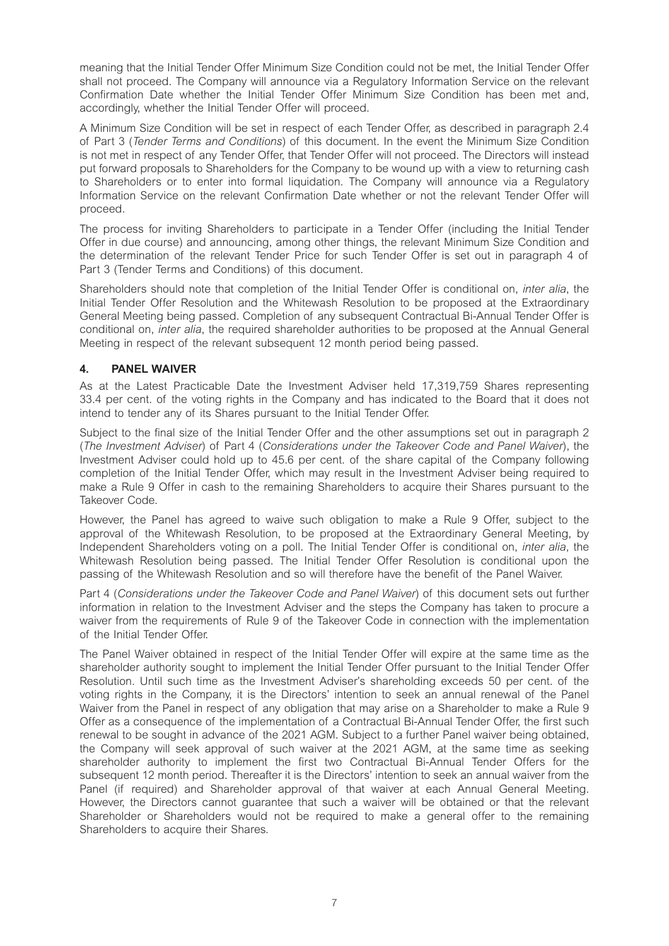meaning that the Initial Tender Offer Minimum Size Condition could not be met, the Initial Tender Offer shall not proceed. The Company will announce via a Regulatory Information Service on the relevant Confirmation Date whether the Initial Tender Offer Minimum Size Condition has been met and, accordingly, whether the Initial Tender Offer will proceed.

A Minimum Size Condition will be set in respect of each Tender Offer, as described in paragraph 2.4 of Part 3 (*Tender Terms and Conditions*) of this document. In the event the Minimum Size Condition is not met in respect of any Tender Offer, that Tender Offer will not proceed. The Directors will instead put forward proposals to Shareholders for the Company to be wound up with a view to returning cash to Shareholders or to enter into formal liquidation. The Company will announce via a Regulatory Information Service on the relevant Confirmation Date whether or not the relevant Tender Offer will proceed.

The process for inviting Shareholders to participate in a Tender Offer (including the Initial Tender Offer in due course) and announcing, among other things, the relevant Minimum Size Condition and the determination of the relevant Tender Price for such Tender Offer is set out in paragraph 4 of Part 3 (Tender Terms and Conditions) of this document.

Shareholders should note that completion of the Initial Tender Offer is conditional on, *inter alia*, the Initial Tender Offer Resolution and the Whitewash Resolution to be proposed at the Extraordinary General Meeting being passed. Completion of any subsequent Contractual Bi-Annual Tender Offer is conditional on, *inter alia*, the required shareholder authorities to be proposed at the Annual General Meeting in respect of the relevant subsequent 12 month period being passed.

# **4. PANEL WAIVER**

As at the Latest Practicable Date the Investment Adviser held 17,319,759 Shares representing 33.4 per cent. of the voting rights in the Company and has indicated to the Board that it does not intend to tender any of its Shares pursuant to the Initial Tender Offer.

Subject to the final size of the Initial Tender Offer and the other assumptions set out in paragraph 2 (*The Investment Adviser*) of Part 4 (*Considerations under the Takeover Code and Panel Waiver*), the Investment Adviser could hold up to 45.6 per cent. of the share capital of the Company following completion of the Initial Tender Offer, which may result in the Investment Adviser being required to make a Rule 9 Offer in cash to the remaining Shareholders to acquire their Shares pursuant to the Takeover Code.

However, the Panel has agreed to waive such obligation to make a Rule 9 Offer, subject to the approval of the Whitewash Resolution, to be proposed at the Extraordinary General Meeting, by Independent Shareholders voting on a poll. The Initial Tender Offer is conditional on, *inter alia*, the Whitewash Resolution being passed. The Initial Tender Offer Resolution is conditional upon the passing of the Whitewash Resolution and so will therefore have the benefit of the Panel Waiver.

Part 4 (*Considerations under the Takeover Code and Panel Waiver*) of this document sets out further information in relation to the Investment Adviser and the steps the Company has taken to procure a waiver from the requirements of Rule 9 of the Takeover Code in connection with the implementation of the Initial Tender Offer.

The Panel Waiver obtained in respect of the Initial Tender Offer will expire at the same time as the shareholder authority sought to implement the Initial Tender Offer pursuant to the Initial Tender Offer Resolution. Until such time as the Investment Adviser's shareholding exceeds 50 per cent. of the voting rights in the Company, it is the Directors' intention to seek an annual renewal of the Panel Waiver from the Panel in respect of any obligation that may arise on a Shareholder to make a Rule 9 Offer as a consequence of the implementation of a Contractual Bi-Annual Tender Offer, the first such renewal to be sought in advance of the 2021 AGM. Subject to a further Panel waiver being obtained, the Company will seek approval of such waiver at the 2021 AGM, at the same time as seeking shareholder authority to implement the first two Contractual Bi-Annual Tender Offers for the subsequent 12 month period. Thereafter it is the Directors' intention to seek an annual waiver from the Panel (if required) and Shareholder approval of that waiver at each Annual General Meeting. However, the Directors cannot guarantee that such a waiver will be obtained or that the relevant Shareholder or Shareholders would not be required to make a general offer to the remaining Shareholders to acquire their Shares.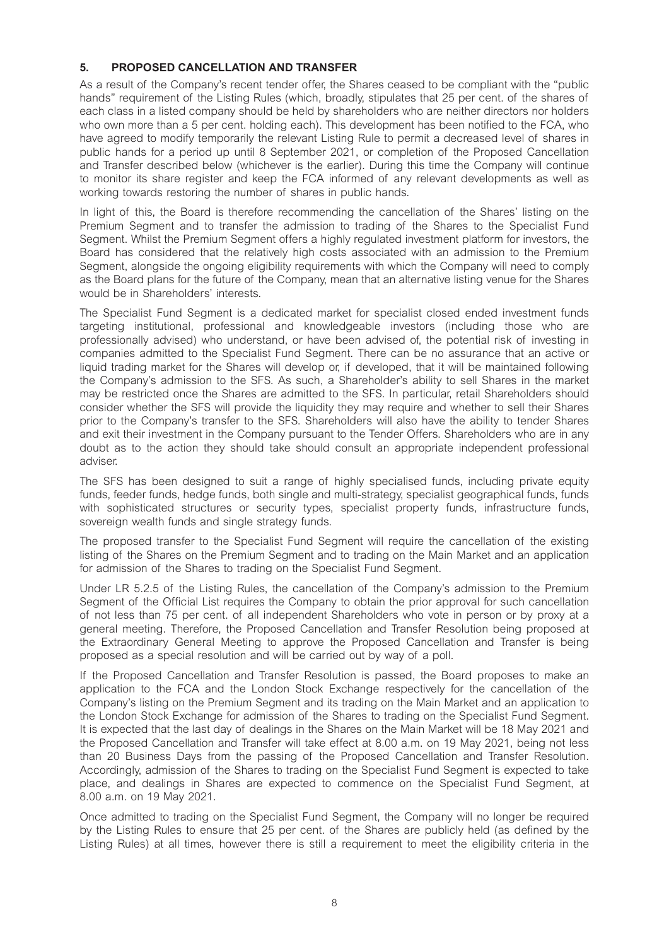# **5. PROPOSED CANCELLATION AND TRANSFER**

As a result of the Company's recent tender offer, the Shares ceased to be compliant with the "public hands" requirement of the Listing Rules (which, broadly, stipulates that 25 per cent. of the shares of each class in a listed company should be held by shareholders who are neither directors nor holders who own more than a 5 per cent. holding each). This development has been notified to the FCA, who have agreed to modify temporarily the relevant Listing Rule to permit a decreased level of shares in public hands for a period up until 8 September 2021, or completion of the Proposed Cancellation and Transfer described below (whichever is the earlier). During this time the Company will continue to monitor its share register and keep the FCA informed of any relevant developments as well as working towards restoring the number of shares in public hands.

In light of this, the Board is therefore recommending the cancellation of the Shares' listing on the Premium Segment and to transfer the admission to trading of the Shares to the Specialist Fund Segment. Whilst the Premium Segment offers a highly regulated investment platform for investors, the Board has considered that the relatively high costs associated with an admission to the Premium Segment, alongside the ongoing eligibility requirements with which the Company will need to comply as the Board plans for the future of the Company, mean that an alternative listing venue for the Shares would be in Shareholders' interests.

The Specialist Fund Segment is a dedicated market for specialist closed ended investment funds targeting institutional, professional and knowledgeable investors (including those who are professionally advised) who understand, or have been advised of, the potential risk of investing in companies admitted to the Specialist Fund Segment. There can be no assurance that an active or liquid trading market for the Shares will develop or, if developed, that it will be maintained following the Company's admission to the SFS. As such, a Shareholder's ability to sell Shares in the market may be restricted once the Shares are admitted to the SFS. In particular, retail Shareholders should consider whether the SFS will provide the liquidity they may require and whether to sell their Shares prior to the Company's transfer to the SFS. Shareholders will also have the ability to tender Shares and exit their investment in the Company pursuant to the Tender Offers. Shareholders who are in any doubt as to the action they should take should consult an appropriate independent professional adviser.

The SFS has been designed to suit a range of highly specialised funds, including private equity funds, feeder funds, hedge funds, both single and multi-strategy, specialist geographical funds, funds with sophisticated structures or security types, specialist property funds, infrastructure funds, sovereign wealth funds and single strategy funds.

The proposed transfer to the Specialist Fund Segment will require the cancellation of the existing listing of the Shares on the Premium Segment and to trading on the Main Market and an application for admission of the Shares to trading on the Specialist Fund Segment.

Under LR 5.2.5 of the Listing Rules, the cancellation of the Company's admission to the Premium Segment of the Official List requires the Company to obtain the prior approval for such cancellation of not less than 75 per cent. of all independent Shareholders who vote in person or by proxy at a general meeting. Therefore, the Proposed Cancellation and Transfer Resolution being proposed at the Extraordinary General Meeting to approve the Proposed Cancellation and Transfer is being proposed as a special resolution and will be carried out by way of a poll.

If the Proposed Cancellation and Transfer Resolution is passed, the Board proposes to make an application to the FCA and the London Stock Exchange respectively for the cancellation of the Company's listing on the Premium Segment and its trading on the Main Market and an application to the London Stock Exchange for admission of the Shares to trading on the Specialist Fund Segment. It is expected that the last day of dealings in the Shares on the Main Market will be 18 May 2021 and the Proposed Cancellation and Transfer will take effect at 8.00 a.m. on 19 May 2021, being not less than 20 Business Days from the passing of the Proposed Cancellation and Transfer Resolution. Accordingly, admission of the Shares to trading on the Specialist Fund Segment is expected to take place, and dealings in Shares are expected to commence on the Specialist Fund Segment, at 8.00 a.m. on 19 May 2021.

Once admitted to trading on the Specialist Fund Segment, the Company will no longer be required by the Listing Rules to ensure that 25 per cent. of the Shares are publicly held (as defined by the Listing Rules) at all times, however there is still a requirement to meet the eligibility criteria in the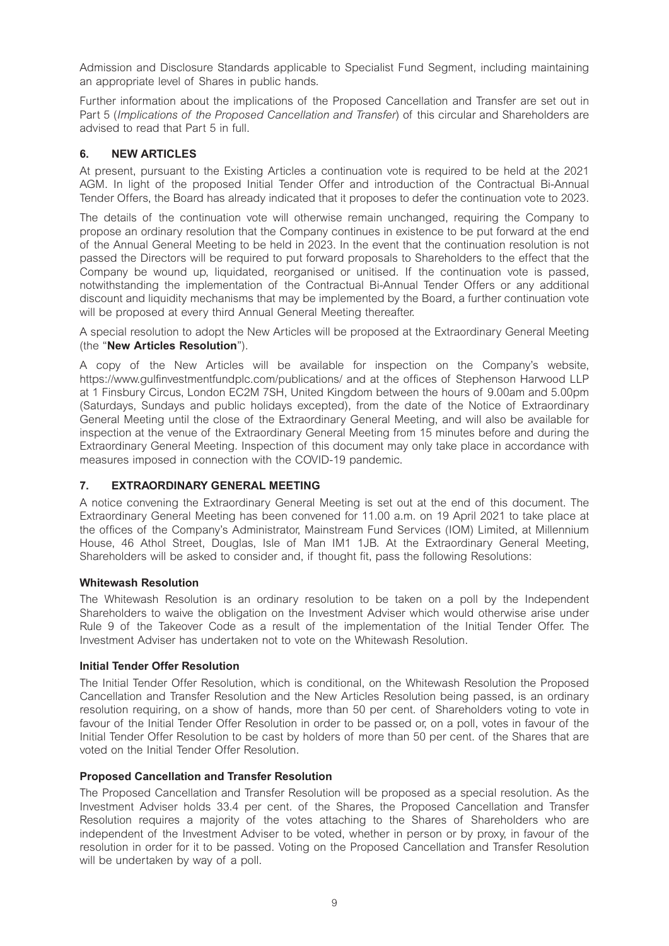Admission and Disclosure Standards applicable to Specialist Fund Segment, including maintaining an appropriate level of Shares in public hands.

Further information about the implications of the Proposed Cancellation and Transfer are set out in Part 5 (*Implications of the Proposed Cancellation and Transfer*) of this circular and Shareholders are advised to read that Part 5 in full.

# **6. NEW ARTICLES**

At present, pursuant to the Existing Articles a continuation vote is required to be held at the 2021 AGM. In light of the proposed Initial Tender Offer and introduction of the Contractual Bi-Annual Tender Offers, the Board has already indicated that it proposes to defer the continuation vote to 2023.

The details of the continuation vote will otherwise remain unchanged, requiring the Company to propose an ordinary resolution that the Company continues in existence to be put forward at the end of the Annual General Meeting to be held in 2023. In the event that the continuation resolution is not passed the Directors will be required to put forward proposals to Shareholders to the effect that the Company be wound up, liquidated, reorganised or unitised. If the continuation vote is passed, notwithstanding the implementation of the Contractual Bi-Annual Tender Offers or any additional discount and liquidity mechanisms that may be implemented by the Board, a further continuation vote will be proposed at every third Annual General Meeting thereafter.

A special resolution to adopt the New Articles will be proposed at the Extraordinary General Meeting (the "**New Articles Resolution**").

A copy of the New Articles will be available for inspection on the Company's website, https://www.gulfinvestmentfundplc.com/publications/ and at the offices of Stephenson Harwood LLP at 1 Finsbury Circus, London EC2M 7SH, United Kingdom between the hours of 9.00am and 5.00pm (Saturdays, Sundays and public holidays excepted), from the date of the Notice of Extraordinary General Meeting until the close of the Extraordinary General Meeting, and will also be available for inspection at the venue of the Extraordinary General Meeting from 15 minutes before and during the Extraordinary General Meeting. Inspection of this document may only take place in accordance with measures imposed in connection with the COVID-19 pandemic.

# **7. EXTRAORDINARY GENERAL MEETING**

A notice convening the Extraordinary General Meeting is set out at the end of this document. The Extraordinary General Meeting has been convened for 11.00 a.m. on 19 April 2021 to take place at the offices of the Company's Administrator, Mainstream Fund Services (IOM) Limited, at Millennium House, 46 Athol Street, Douglas, Isle of Man IM1 1JB. At the Extraordinary General Meeting, Shareholders will be asked to consider and, if thought fit, pass the following Resolutions:

# **Whitewash Resolution**

The Whitewash Resolution is an ordinary resolution to be taken on a poll by the Independent Shareholders to waive the obligation on the Investment Adviser which would otherwise arise under Rule 9 of the Takeover Code as a result of the implementation of the Initial Tender Offer. The Investment Adviser has undertaken not to vote on the Whitewash Resolution.

# **Initial Tender Offer Resolution**

The Initial Tender Offer Resolution, which is conditional, on the Whitewash Resolution the Proposed Cancellation and Transfer Resolution and the New Articles Resolution being passed, is an ordinary resolution requiring, on a show of hands, more than 50 per cent. of Shareholders voting to vote in favour of the Initial Tender Offer Resolution in order to be passed or, on a poll, votes in favour of the Initial Tender Offer Resolution to be cast by holders of more than 50 per cent. of the Shares that are voted on the Initial Tender Offer Resolution.

# **Proposed Cancellation and Transfer Resolution**

The Proposed Cancellation and Transfer Resolution will be proposed as a special resolution. As the Investment Adviser holds 33.4 per cent. of the Shares, the Proposed Cancellation and Transfer Resolution requires a majority of the votes attaching to the Shares of Shareholders who are independent of the Investment Adviser to be voted, whether in person or by proxy, in favour of the resolution in order for it to be passed. Voting on the Proposed Cancellation and Transfer Resolution will be undertaken by way of a poll.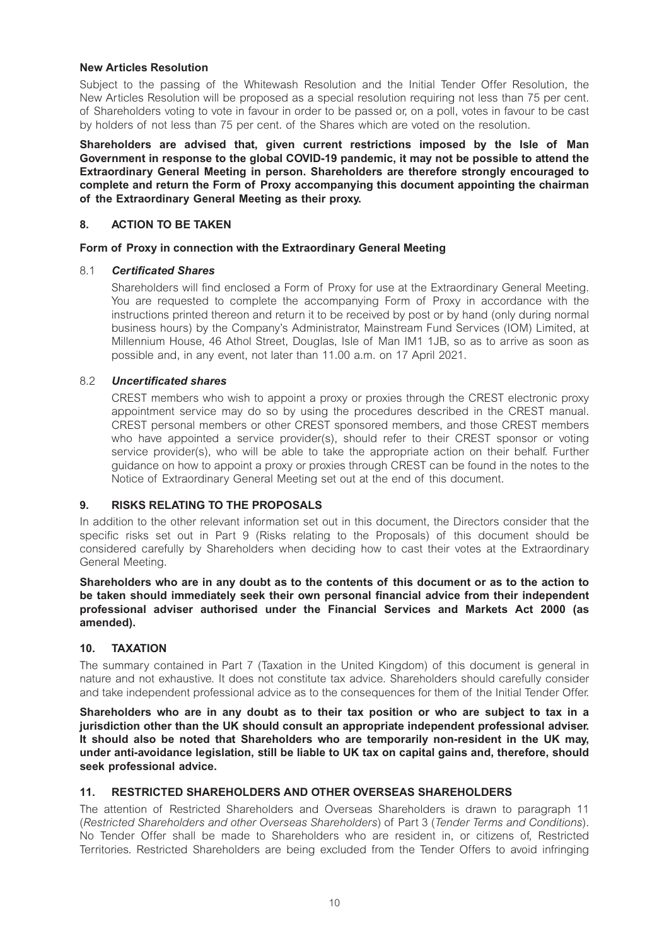#### **New Articles Resolution**

Subject to the passing of the Whitewash Resolution and the Initial Tender Offer Resolution, the New Articles Resolution will be proposed as a special resolution requiring not less than 75 per cent. of Shareholders voting to vote in favour in order to be passed or, on a poll, votes in favour to be cast by holders of not less than 75 per cent. of the Shares which are voted on the resolution.

**Shareholders are advised that, given current restrictions imposed by the Isle of Man Government in response to the global COVID-19 pandemic, it may not be possible to attend the Extraordinary General Meeting in person. Shareholders are therefore strongly encouraged to complete and return the Form of Proxy accompanying this document appointing the chairman of the Extraordinary General Meeting as their proxy.** 

# **8. ACTION TO BE TAKEN**

#### **Form of Proxy in connection with the Extraordinary General Meeting**

#### 8.1 *Certificated Shares*

Shareholders will find enclosed a Form of Proxy for use at the Extraordinary General Meeting. You are requested to complete the accompanying Form of Proxy in accordance with the instructions printed thereon and return it to be received by post or by hand (only during normal business hours) by the Company's Administrator, Mainstream Fund Services (IOM) Limited, at Millennium House, 46 Athol Street, Douglas, Isle of Man IM1 1JB, so as to arrive as soon as possible and, in any event, not later than 11.00 a.m. on 17 April 2021.

# 8.2 *Uncertificated shares*

CREST members who wish to appoint a proxy or proxies through the CREST electronic proxy appointment service may do so by using the procedures described in the CREST manual. CREST personal members or other CREST sponsored members, and those CREST members who have appointed a service provider(s), should refer to their CREST sponsor or voting service provider(s), who will be able to take the appropriate action on their behalf. Further guidance on how to appoint a proxy or proxies through CREST can be found in the notes to the Notice of Extraordinary General Meeting set out at the end of this document.

# **9. RISKS RELATING TO THE PROPOSALS**

In addition to the other relevant information set out in this document, the Directors consider that the specific risks set out in Part 9 (Risks relating to the Proposals) of this document should be considered carefully by Shareholders when deciding how to cast their votes at the Extraordinary General Meeting.

**Shareholders who are in any doubt as to the contents of this document or as to the action to be taken should immediately seek their own personal financial advice from their independent professional adviser authorised under the Financial Services and Markets Act 2000 (as amended).** 

# **10. TAXATION**

The summary contained in Part 7 (Taxation in the United Kingdom) of this document is general in nature and not exhaustive. It does not constitute tax advice. Shareholders should carefully consider and take independent professional advice as to the consequences for them of the Initial Tender Offer.

**Shareholders who are in any doubt as to their tax position or who are subject to tax in a jurisdiction other than the UK should consult an appropriate independent professional adviser. It should also be noted that Shareholders who are temporarily non-resident in the UK may, under anti-avoidance legislation, still be liable to UK tax on capital gains and, therefore, should seek professional advice.** 

# **11. RESTRICTED SHAREHOLDERS AND OTHER OVERSEAS SHAREHOLDERS**

The attention of Restricted Shareholders and Overseas Shareholders is drawn to paragraph 11 (*Restricted Shareholders and other Overseas Shareholders*) of Part 3 (*Tender Terms and Conditions*). No Tender Offer shall be made to Shareholders who are resident in, or citizens of, Restricted Territories. Restricted Shareholders are being excluded from the Tender Offers to avoid infringing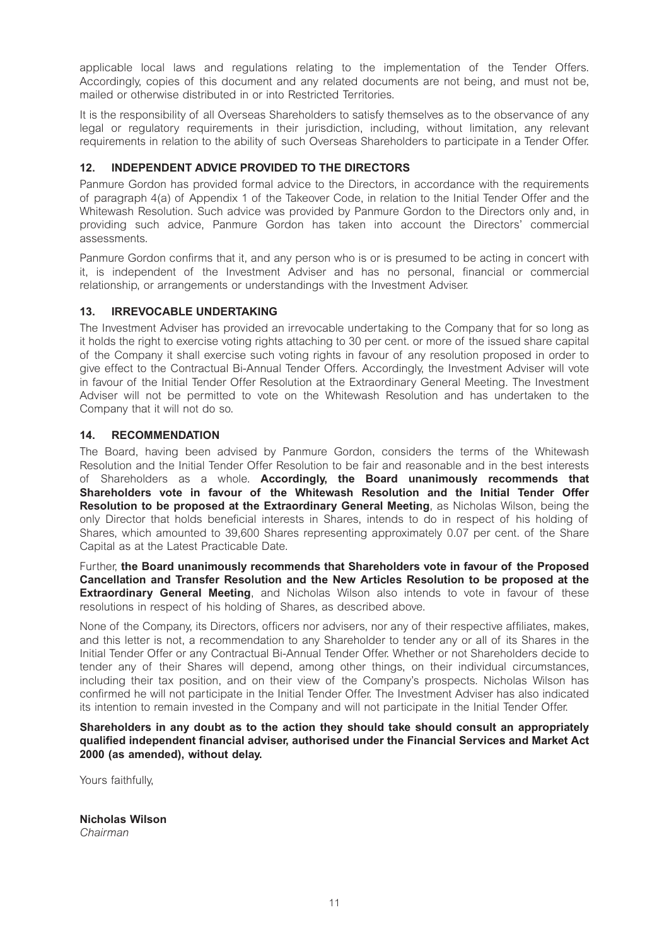applicable local laws and regulations relating to the implementation of the Tender Offers. Accordingly, copies of this document and any related documents are not being, and must not be, mailed or otherwise distributed in or into Restricted Territories.

It is the responsibility of all Overseas Shareholders to satisfy themselves as to the observance of any legal or regulatory requirements in their jurisdiction, including, without limitation, any relevant requirements in relation to the ability of such Overseas Shareholders to participate in a Tender Offer.

# **12. INDEPENDENT ADVICE PROVIDED TO THE DIRECTORS**

Panmure Gordon has provided formal advice to the Directors, in accordance with the requirements of paragraph 4(a) of Appendix 1 of the Takeover Code, in relation to the Initial Tender Offer and the Whitewash Resolution. Such advice was provided by Panmure Gordon to the Directors only and, in providing such advice, Panmure Gordon has taken into account the Directors' commercial assessments.

Panmure Gordon confirms that it, and any person who is or is presumed to be acting in concert with it, is independent of the Investment Adviser and has no personal, financial or commercial relationship, or arrangements or understandings with the Investment Adviser.

# **13. IRREVOCABLE UNDERTAKING**

The Investment Adviser has provided an irrevocable undertaking to the Company that for so long as it holds the right to exercise voting rights attaching to 30 per cent. or more of the issued share capital of the Company it shall exercise such voting rights in favour of any resolution proposed in order to give effect to the Contractual Bi-Annual Tender Offers. Accordingly, the Investment Adviser will vote in favour of the Initial Tender Offer Resolution at the Extraordinary General Meeting. The Investment Adviser will not be permitted to vote on the Whitewash Resolution and has undertaken to the Company that it will not do so.

# **14. RECOMMENDATION**

The Board, having been advised by Panmure Gordon, considers the terms of the Whitewash Resolution and the Initial Tender Offer Resolution to be fair and reasonable and in the best interests of Shareholders as a whole. **Accordingly, the Board unanimously recommends that Shareholders vote in favour of the Whitewash Resolution and the Initial Tender Offer Resolution to be proposed at the Extraordinary General Meeting**, as Nicholas Wilson, being the only Director that holds beneficial interests in Shares, intends to do in respect of his holding of Shares, which amounted to 39,600 Shares representing approximately 0.07 per cent. of the Share Capital as at the Latest Practicable Date.

Further, **the Board unanimously recommends that Shareholders vote in favour of the Proposed Cancellation and Transfer Resolution and the New Articles Resolution to be proposed at the Extraordinary General Meeting**, and Nicholas Wilson also intends to vote in favour of these resolutions in respect of his holding of Shares, as described above.

None of the Company, its Directors, officers nor advisers, nor any of their respective affiliates, makes, and this letter is not, a recommendation to any Shareholder to tender any or all of its Shares in the Initial Tender Offer or any Contractual Bi-Annual Tender Offer. Whether or not Shareholders decide to tender any of their Shares will depend, among other things, on their individual circumstances, including their tax position, and on their view of the Company's prospects. Nicholas Wilson has confirmed he will not participate in the Initial Tender Offer. The Investment Adviser has also indicated its intention to remain invested in the Company and will not participate in the Initial Tender Offer.

**Shareholders in any doubt as to the action they should take should consult an appropriately qualified independent financial adviser, authorised under the Financial Services and Market Act 2000 (as amended), without delay.** 

Yours faithfully,

**Nicholas Wilson**  *Chairman*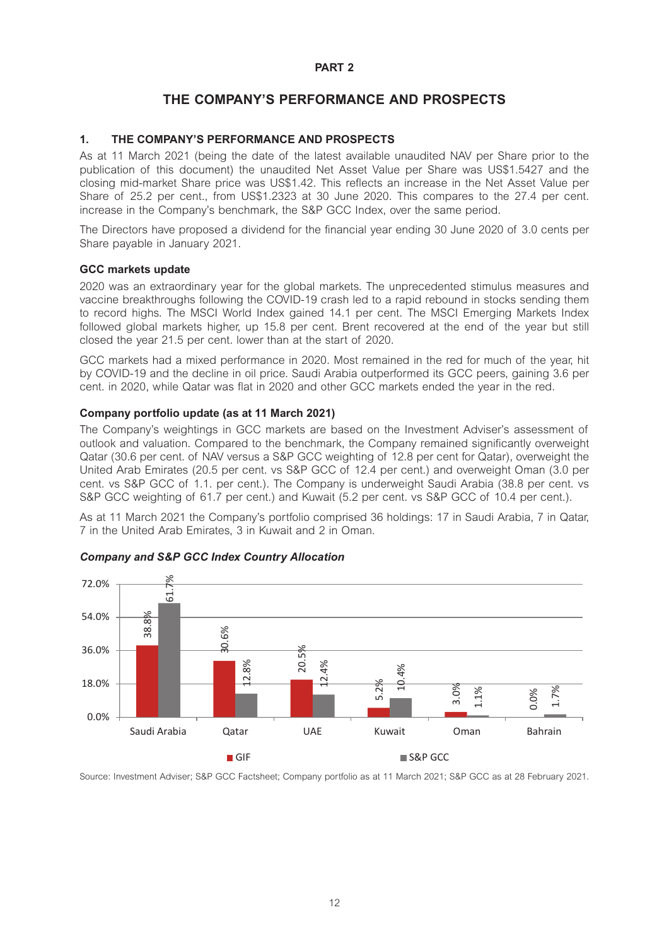## **PART 2**

# **THE COMPANY'S PERFORMANCE AND PROSPECTS**

# **1. THE COMPANY'S PERFORMANCE AND PROSPECTS**

As at 11 March 2021 (being the date of the latest available unaudited NAV per Share prior to the publication of this document) the unaudited Net Asset Value per Share was US\$1.5427 and the closing mid-market Share price was US\$1.42. This reflects an increase in the Net Asset Value per Share of 25.2 per cent., from US\$1.2323 at 30 June 2020. This compares to the 27.4 per cent. increase in the Company's benchmark, the S&P GCC Index, over the same period.

The Directors have proposed a dividend for the financial year ending 30 June 2020 of 3.0 cents per Share payable in January 2021.

# **GCC markets update**

2020 was an extraordinary year for the global markets. The unprecedented stimulus measures and vaccine breakthroughs following the COVID-19 crash led to a rapid rebound in stocks sending them to record highs. The MSCI World Index gained 14.1 per cent. The MSCI Emerging Markets Index followed global markets higher, up 15.8 per cent. Brent recovered at the end of the year but still closed the year 21.5 per cent. lower than at the start of 2020.

GCC markets had a mixed performance in 2020. Most remained in the red for much of the year, hit by COVID-19 and the decline in oil price. Saudi Arabia outperformed its GCC peers, gaining 3.6 per cent. in 2020, while Qatar was flat in 2020 and other GCC markets ended the year in the red.

# **Company portfolio update (as at 11 March 2021)**

The Company's weightings in GCC markets are based on the Investment Adviser's assessment of outlook and valuation. Compared to the benchmark, the Company remained significantly overweight Qatar (30.6 per cent. of NAV versus a S&P GCC weighting of 12.8 per cent for Qatar), overweight the United Arab Emirates (20.5 per cent. vs S&P GCC of 12.4 per cent.) and overweight Oman (3.0 per cent. vs S&P GCC of 1.1. per cent.). The Company is underweight Saudi Arabia (38.8 per cent. vs S&P GCC weighting of 61.7 per cent.) and Kuwait (5.2 per cent. vs S&P GCC of 10.4 per cent.).

As at 11 March 2021 the Company's portfolio comprised 36 holdings: 17 in Saudi Arabia, 7 in Qatar, 7 in the United Arab Emirates, 3 in Kuwait and 2 in Oman.



# *Company and S&P GCC Index Country Allocation*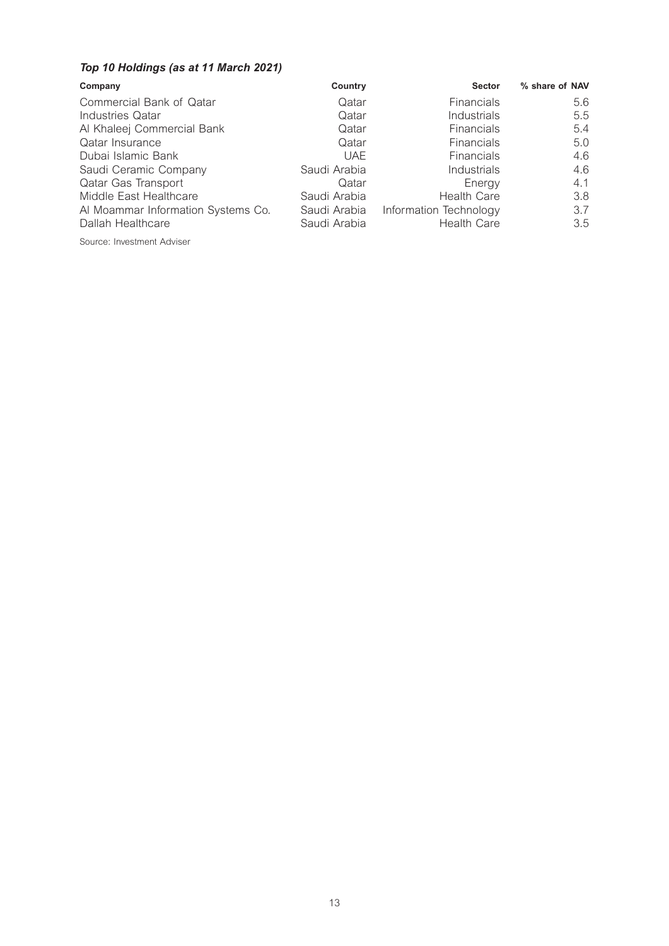# *Top 10 Holdings (as at 11 March 2021)*

| Company                            | Country      | <b>Sector</b>          | % share of NAV |
|------------------------------------|--------------|------------------------|----------------|
| Commercial Bank of Qatar           | Qatar        | <b>Financials</b>      | 5.6            |
| Industries Qatar                   | Qatar        | Industrials            | 5.5            |
| Al Khaleej Commercial Bank         | Qatar        | Financials             | 5.4            |
| <b>Qatar Insurance</b>             | Qatar        | Financials             | 5.0            |
| Dubai Islamic Bank                 | <b>UAE</b>   | Financials             | 4.6            |
| Saudi Ceramic Company              | Saudi Arabia | Industrials            | 4.6            |
| Qatar Gas Transport                | Qatar        | Energy                 | 4.1            |
| Middle East Healthcare             | Saudi Arabia | <b>Health Care</b>     | 3.8            |
| Al Moammar Information Systems Co. | Saudi Arabia | Information Technology | 3.7            |
| Dallah Healthcare                  | Saudi Arabia | <b>Health Care</b>     | 3.5            |

Source: Investment Adviser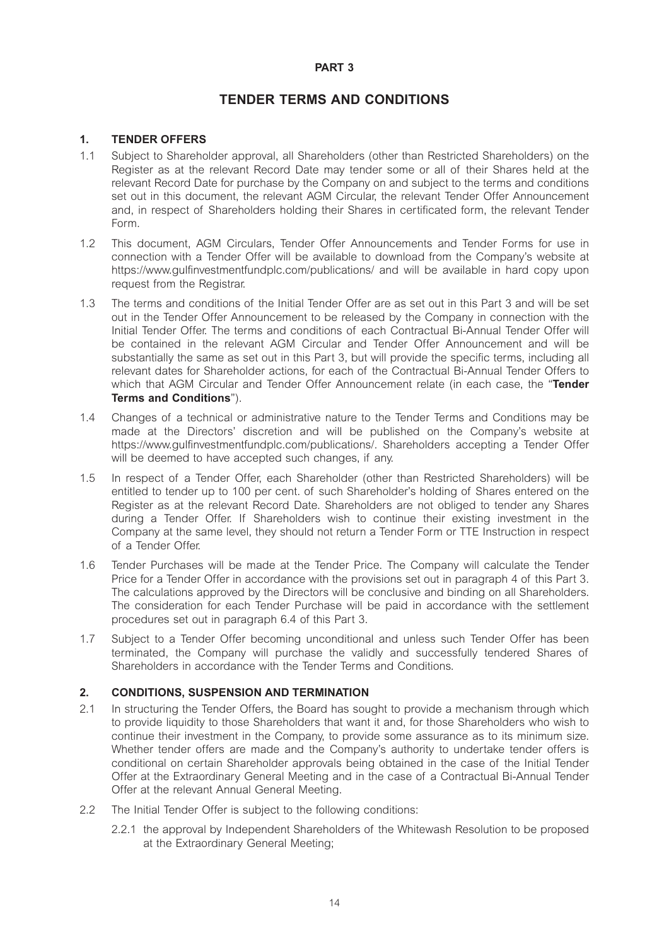## **PART 3**

# **TENDER TERMS AND CONDITIONS**

# **1. TENDER OFFERS**

- 1.1 Subject to Shareholder approval, all Shareholders (other than Restricted Shareholders) on the Register as at the relevant Record Date may tender some or all of their Shares held at the relevant Record Date for purchase by the Company on and subject to the terms and conditions set out in this document, the relevant AGM Circular, the relevant Tender Offer Announcement and, in respect of Shareholders holding their Shares in certificated form, the relevant Tender Form.
- 1.2 This document, AGM Circulars, Tender Offer Announcements and Tender Forms for use in connection with a Tender Offer will be available to download from the Company's website at https://www.gulfinvestmentfundplc.com/publications/ and will be available in hard copy upon request from the Registrar.
- 1.3 The terms and conditions of the Initial Tender Offer are as set out in this Part 3 and will be set out in the Tender Offer Announcement to be released by the Company in connection with the Initial Tender Offer. The terms and conditions of each Contractual Bi-Annual Tender Offer will be contained in the relevant AGM Circular and Tender Offer Announcement and will be substantially the same as set out in this Part 3, but will provide the specific terms, including all relevant dates for Shareholder actions, for each of the Contractual Bi-Annual Tender Offers to which that AGM Circular and Tender Offer Announcement relate (in each case, the "**Tender Terms and Conditions**").
- 1.4 Changes of a technical or administrative nature to the Tender Terms and Conditions may be made at the Directors' discretion and will be published on the Company's website at https://www.gulfinvestmentfundplc.com/publications/. Shareholders accepting a Tender Offer will be deemed to have accepted such changes, if any.
- 1.5 In respect of a Tender Offer, each Shareholder (other than Restricted Shareholders) will be entitled to tender up to 100 per cent. of such Shareholder's holding of Shares entered on the Register as at the relevant Record Date. Shareholders are not obliged to tender any Shares during a Tender Offer. If Shareholders wish to continue their existing investment in the Company at the same level, they should not return a Tender Form or TTE Instruction in respect of a Tender Offer.
- 1.6 Tender Purchases will be made at the Tender Price. The Company will calculate the Tender Price for a Tender Offer in accordance with the provisions set out in paragraph 4 of this Part 3. The calculations approved by the Directors will be conclusive and binding on all Shareholders. The consideration for each Tender Purchase will be paid in accordance with the settlement procedures set out in paragraph 6.4 of this Part 3.
- 1.7 Subject to a Tender Offer becoming unconditional and unless such Tender Offer has been terminated, the Company will purchase the validly and successfully tendered Shares of Shareholders in accordance with the Tender Terms and Conditions.

# **2. CONDITIONS, SUSPENSION AND TERMINATION**

- 2.1 In structuring the Tender Offers, the Board has sought to provide a mechanism through which to provide liquidity to those Shareholders that want it and, for those Shareholders who wish to continue their investment in the Company, to provide some assurance as to its minimum size. Whether tender offers are made and the Company's authority to undertake tender offers is conditional on certain Shareholder approvals being obtained in the case of the Initial Tender Offer at the Extraordinary General Meeting and in the case of a Contractual Bi-Annual Tender Offer at the relevant Annual General Meeting.
- 2.2 The Initial Tender Offer is subject to the following conditions:
	- 2.2.1 the approval by Independent Shareholders of the Whitewash Resolution to be proposed at the Extraordinary General Meeting;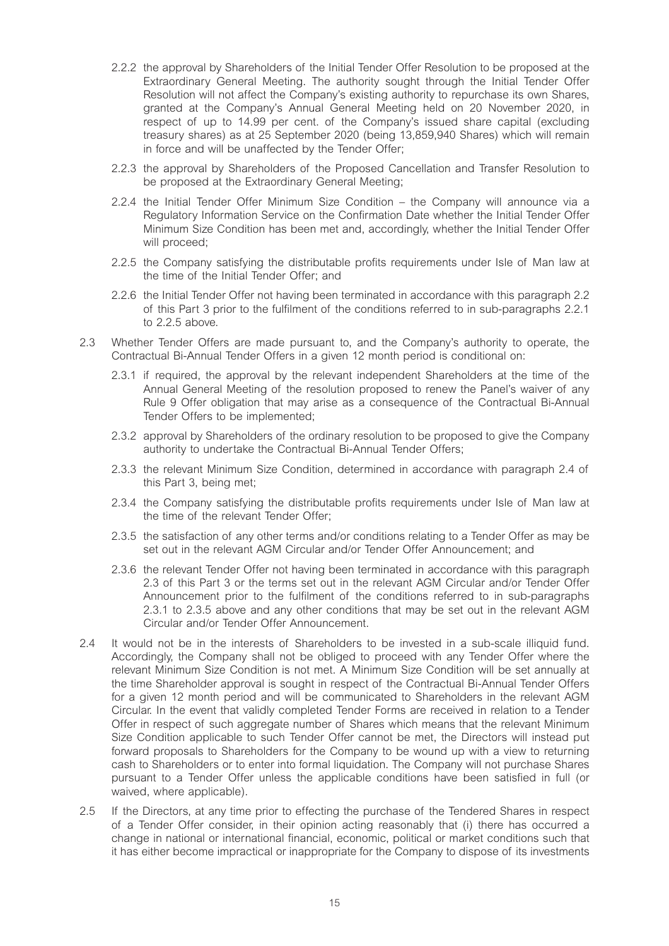- 2.2.2 the approval by Shareholders of the Initial Tender Offer Resolution to be proposed at the Extraordinary General Meeting. The authority sought through the Initial Tender Offer Resolution will not affect the Company's existing authority to repurchase its own Shares, granted at the Company's Annual General Meeting held on 20 November 2020, in respect of up to 14.99 per cent. of the Company's issued share capital (excluding treasury shares) as at 25 September 2020 (being 13,859,940 Shares) which will remain in force and will be unaffected by the Tender Offer;
- 2.2.3 the approval by Shareholders of the Proposed Cancellation and Transfer Resolution to be proposed at the Extraordinary General Meeting;
- 2.2.4 the Initial Tender Offer Minimum Size Condition the Company will announce via a Regulatory Information Service on the Confirmation Date whether the Initial Tender Offer Minimum Size Condition has been met and, accordingly, whether the Initial Tender Offer will proceed:
- 2.2.5 the Company satisfying the distributable profits requirements under Isle of Man law at the time of the Initial Tender Offer; and
- 2.2.6 the Initial Tender Offer not having been terminated in accordance with this paragraph 2.2 of this Part 3 prior to the fulfilment of the conditions referred to in sub-paragraphs 2.2.1 to 2.2.5 above.
- 2.3 Whether Tender Offers are made pursuant to, and the Company's authority to operate, the Contractual Bi-Annual Tender Offers in a given 12 month period is conditional on:
	- 2.3.1 if required, the approval by the relevant independent Shareholders at the time of the Annual General Meeting of the resolution proposed to renew the Panel's waiver of any Rule 9 Offer obligation that may arise as a consequence of the Contractual Bi-Annual Tender Offers to be implemented;
	- 2.3.2 approval by Shareholders of the ordinary resolution to be proposed to give the Company authority to undertake the Contractual Bi-Annual Tender Offers;
	- 2.3.3 the relevant Minimum Size Condition, determined in accordance with paragraph 2.4 of this Part 3, being met;
	- 2.3.4 the Company satisfying the distributable profits requirements under Isle of Man law at the time of the relevant Tender Offer;
	- 2.3.5 the satisfaction of any other terms and/or conditions relating to a Tender Offer as may be set out in the relevant AGM Circular and/or Tender Offer Announcement; and
	- 2.3.6 the relevant Tender Offer not having been terminated in accordance with this paragraph 2.3 of this Part 3 or the terms set out in the relevant AGM Circular and/or Tender Offer Announcement prior to the fulfilment of the conditions referred to in sub-paragraphs 2.3.1 to 2.3.5 above and any other conditions that may be set out in the relevant AGM Circular and/or Tender Offer Announcement.
- 2.4 It would not be in the interests of Shareholders to be invested in a sub-scale illiquid fund. Accordingly, the Company shall not be obliged to proceed with any Tender Offer where the relevant Minimum Size Condition is not met. A Minimum Size Condition will be set annually at the time Shareholder approval is sought in respect of the Contractual Bi-Annual Tender Offers for a given 12 month period and will be communicated to Shareholders in the relevant AGM Circular. In the event that validly completed Tender Forms are received in relation to a Tender Offer in respect of such aggregate number of Shares which means that the relevant Minimum Size Condition applicable to such Tender Offer cannot be met, the Directors will instead put forward proposals to Shareholders for the Company to be wound up with a view to returning cash to Shareholders or to enter into formal liquidation. The Company will not purchase Shares pursuant to a Tender Offer unless the applicable conditions have been satisfied in full (or waived, where applicable).
- 2.5 If the Directors, at any time prior to effecting the purchase of the Tendered Shares in respect of a Tender Offer consider, in their opinion acting reasonably that (i) there has occurred a change in national or international financial, economic, political or market conditions such that it has either become impractical or inappropriate for the Company to dispose of its investments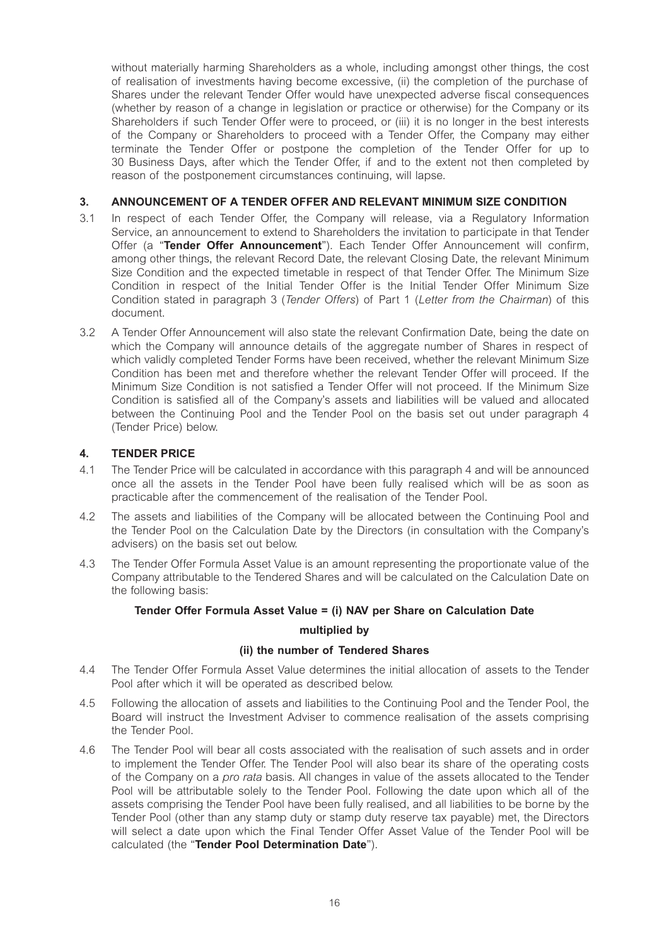without materially harming Shareholders as a whole, including amongst other things, the cost of realisation of investments having become excessive, (ii) the completion of the purchase of Shares under the relevant Tender Offer would have unexpected adverse fiscal consequences (whether by reason of a change in legislation or practice or otherwise) for the Company or its Shareholders if such Tender Offer were to proceed, or (iii) it is no longer in the best interests of the Company or Shareholders to proceed with a Tender Offer, the Company may either terminate the Tender Offer or postpone the completion of the Tender Offer for up to 30 Business Days, after which the Tender Offer, if and to the extent not then completed by reason of the postponement circumstances continuing, will lapse.

# **3. ANNOUNCEMENT OF A TENDER OFFER AND RELEVANT MINIMUM SIZE CONDITION**

- 3.1 In respect of each Tender Offer, the Company will release, via a Regulatory Information Service, an announcement to extend to Shareholders the invitation to participate in that Tender Offer (a "**Tender Offer Announcement**"). Each Tender Offer Announcement will confirm, among other things, the relevant Record Date, the relevant Closing Date, the relevant Minimum Size Condition and the expected timetable in respect of that Tender Offer. The Minimum Size Condition in respect of the Initial Tender Offer is the Initial Tender Offer Minimum Size Condition stated in paragraph 3 (*Tender Offers*) of Part 1 (*Letter from the Chairman*) of this document.
- 3.2 A Tender Offer Announcement will also state the relevant Confirmation Date, being the date on which the Company will announce details of the aggregate number of Shares in respect of which validly completed Tender Forms have been received, whether the relevant Minimum Size Condition has been met and therefore whether the relevant Tender Offer will proceed. If the Minimum Size Condition is not satisfied a Tender Offer will not proceed. If the Minimum Size Condition is satisfied all of the Company's assets and liabilities will be valued and allocated between the Continuing Pool and the Tender Pool on the basis set out under paragraph 4 (Tender Price) below.

# **4. TENDER PRICE**

- 4.1 The Tender Price will be calculated in accordance with this paragraph 4 and will be announced once all the assets in the Tender Pool have been fully realised which will be as soon as practicable after the commencement of the realisation of the Tender Pool.
- 4.2 The assets and liabilities of the Company will be allocated between the Continuing Pool and the Tender Pool on the Calculation Date by the Directors (in consultation with the Company's advisers) on the basis set out below.
- 4.3 The Tender Offer Formula Asset Value is an amount representing the proportionate value of the Company attributable to the Tendered Shares and will be calculated on the Calculation Date on the following basis:

# **Tender Offer Formula Asset Value = (i) NAV per Share on Calculation Date**

# **multiplied by**

# **(ii) the number of Tendered Shares**

- 4.4 The Tender Offer Formula Asset Value determines the initial allocation of assets to the Tender Pool after which it will be operated as described below.
- 4.5 Following the allocation of assets and liabilities to the Continuing Pool and the Tender Pool, the Board will instruct the Investment Adviser to commence realisation of the assets comprising the Tender Pool.
- 4.6 The Tender Pool will bear all costs associated with the realisation of such assets and in order to implement the Tender Offer. The Tender Pool will also bear its share of the operating costs of the Company on a *pro rata* basis. All changes in value of the assets allocated to the Tender Pool will be attributable solely to the Tender Pool. Following the date upon which all of the assets comprising the Tender Pool have been fully realised, and all liabilities to be borne by the Tender Pool (other than any stamp duty or stamp duty reserve tax payable) met, the Directors will select a date upon which the Final Tender Offer Asset Value of the Tender Pool will be calculated (the "**Tender Pool Determination Date**").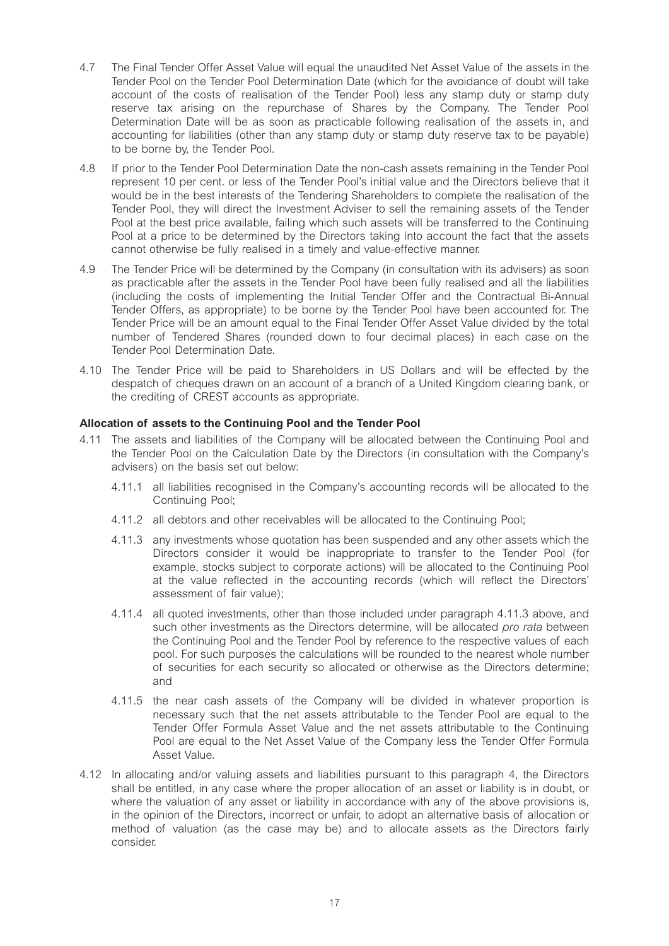- 4.7 The Final Tender Offer Asset Value will equal the unaudited Net Asset Value of the assets in the Tender Pool on the Tender Pool Determination Date (which for the avoidance of doubt will take account of the costs of realisation of the Tender Pool) less any stamp duty or stamp duty reserve tax arising on the repurchase of Shares by the Company. The Tender Pool Determination Date will be as soon as practicable following realisation of the assets in, and accounting for liabilities (other than any stamp duty or stamp duty reserve tax to be payable) to be borne by, the Tender Pool.
- 4.8 If prior to the Tender Pool Determination Date the non-cash assets remaining in the Tender Pool represent 10 per cent. or less of the Tender Pool's initial value and the Directors believe that it would be in the best interests of the Tendering Shareholders to complete the realisation of the Tender Pool, they will direct the Investment Adviser to sell the remaining assets of the Tender Pool at the best price available, failing which such assets will be transferred to the Continuing Pool at a price to be determined by the Directors taking into account the fact that the assets cannot otherwise be fully realised in a timely and value-effective manner.
- 4.9 The Tender Price will be determined by the Company (in consultation with its advisers) as soon as practicable after the assets in the Tender Pool have been fully realised and all the liabilities (including the costs of implementing the Initial Tender Offer and the Contractual Bi-Annual Tender Offers, as appropriate) to be borne by the Tender Pool have been accounted for. The Tender Price will be an amount equal to the Final Tender Offer Asset Value divided by the total number of Tendered Shares (rounded down to four decimal places) in each case on the Tender Pool Determination Date.
- 4.10 The Tender Price will be paid to Shareholders in US Dollars and will be effected by the despatch of cheques drawn on an account of a branch of a United Kingdom clearing bank, or the crediting of CREST accounts as appropriate.

# **Allocation of assets to the Continuing Pool and the Tender Pool**

- 4.11 The assets and liabilities of the Company will be allocated between the Continuing Pool and the Tender Pool on the Calculation Date by the Directors (in consultation with the Company's advisers) on the basis set out below:
	- 4.11.1 all liabilities recognised in the Company's accounting records will be allocated to the Continuing Pool;
	- 4.11.2 all debtors and other receivables will be allocated to the Continuing Pool;
	- 4.11.3 any investments whose quotation has been suspended and any other assets which the Directors consider it would be inappropriate to transfer to the Tender Pool (for example, stocks subject to corporate actions) will be allocated to the Continuing Pool at the value reflected in the accounting records (which will reflect the Directors' assessment of fair value);
	- 4.11.4 all quoted investments, other than those included under paragraph 4.11.3 above, and such other investments as the Directors determine, will be allocated *pro rata* between the Continuing Pool and the Tender Pool by reference to the respective values of each pool. For such purposes the calculations will be rounded to the nearest whole number of securities for each security so allocated or otherwise as the Directors determine; and
	- 4.11.5 the near cash assets of the Company will be divided in whatever proportion is necessary such that the net assets attributable to the Tender Pool are equal to the Tender Offer Formula Asset Value and the net assets attributable to the Continuing Pool are equal to the Net Asset Value of the Company less the Tender Offer Formula Asset Value.
- 4.12 In allocating and/or valuing assets and liabilities pursuant to this paragraph 4, the Directors shall be entitled, in any case where the proper allocation of an asset or liability is in doubt, or where the valuation of any asset or liability in accordance with any of the above provisions is, in the opinion of the Directors, incorrect or unfair, to adopt an alternative basis of allocation or method of valuation (as the case may be) and to allocate assets as the Directors fairly consider.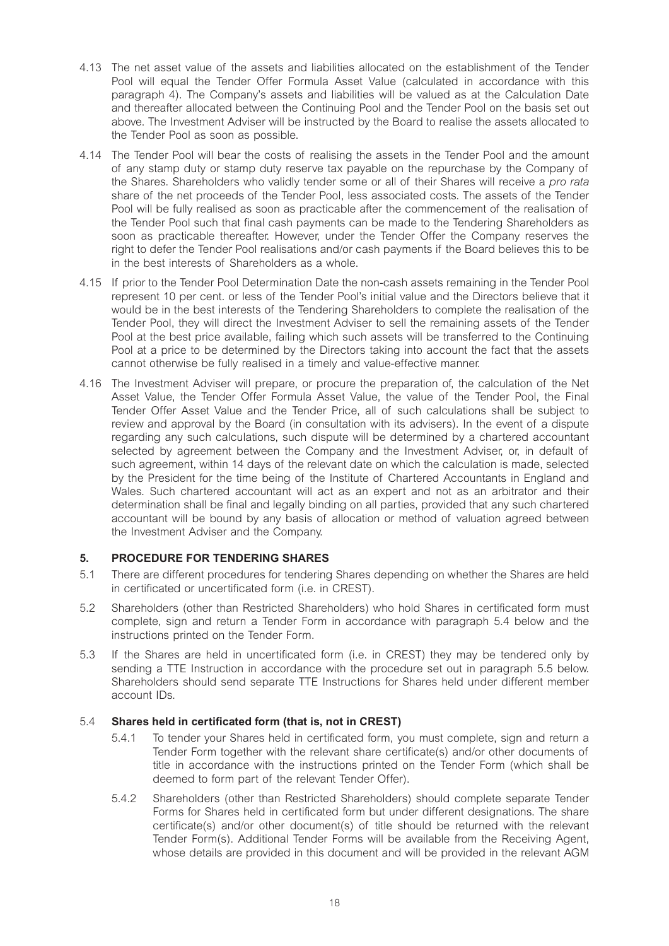- 4.13 The net asset value of the assets and liabilities allocated on the establishment of the Tender Pool will equal the Tender Offer Formula Asset Value (calculated in accordance with this paragraph 4). The Company's assets and liabilities will be valued as at the Calculation Date and thereafter allocated between the Continuing Pool and the Tender Pool on the basis set out above. The Investment Adviser will be instructed by the Board to realise the assets allocated to the Tender Pool as soon as possible.
- 4.14 The Tender Pool will bear the costs of realising the assets in the Tender Pool and the amount of any stamp duty or stamp duty reserve tax payable on the repurchase by the Company of the Shares. Shareholders who validly tender some or all of their Shares will receive a *pro rata* share of the net proceeds of the Tender Pool, less associated costs. The assets of the Tender Pool will be fully realised as soon as practicable after the commencement of the realisation of the Tender Pool such that final cash payments can be made to the Tendering Shareholders as soon as practicable thereafter. However, under the Tender Offer the Company reserves the right to defer the Tender Pool realisations and/or cash payments if the Board believes this to be in the best interests of Shareholders as a whole.
- 4.15 If prior to the Tender Pool Determination Date the non-cash assets remaining in the Tender Pool represent 10 per cent. or less of the Tender Pool's initial value and the Directors believe that it would be in the best interests of the Tendering Shareholders to complete the realisation of the Tender Pool, they will direct the Investment Adviser to sell the remaining assets of the Tender Pool at the best price available, failing which such assets will be transferred to the Continuing Pool at a price to be determined by the Directors taking into account the fact that the assets cannot otherwise be fully realised in a timely and value-effective manner.
- 4.16 The Investment Adviser will prepare, or procure the preparation of, the calculation of the Net Asset Value, the Tender Offer Formula Asset Value, the value of the Tender Pool, the Final Tender Offer Asset Value and the Tender Price, all of such calculations shall be subject to review and approval by the Board (in consultation with its advisers). In the event of a dispute regarding any such calculations, such dispute will be determined by a chartered accountant selected by agreement between the Company and the Investment Adviser, or, in default of such agreement, within 14 days of the relevant date on which the calculation is made, selected by the President for the time being of the Institute of Chartered Accountants in England and Wales. Such chartered accountant will act as an expert and not as an arbitrator and their determination shall be final and legally binding on all parties, provided that any such chartered accountant will be bound by any basis of allocation or method of valuation agreed between the Investment Adviser and the Company.

# **5. PROCEDURE FOR TENDERING SHARES**

- 5.1 There are different procedures for tendering Shares depending on whether the Shares are held in certificated or uncertificated form (i.e. in CREST).
- 5.2 Shareholders (other than Restricted Shareholders) who hold Shares in certificated form must complete, sign and return a Tender Form in accordance with paragraph 5.4 below and the instructions printed on the Tender Form.
- 5.3 If the Shares are held in uncertificated form (i.e. in CREST) they may be tendered only by sending a TTE Instruction in accordance with the procedure set out in paragraph 5.5 below. Shareholders should send separate TTE Instructions for Shares held under different member account IDs.

# 5.4 **Shares held in certificated form (that is, not in CREST)**

- 5.4.1 To tender your Shares held in certificated form, you must complete, sign and return a Tender Form together with the relevant share certificate(s) and/or other documents of title in accordance with the instructions printed on the Tender Form (which shall be deemed to form part of the relevant Tender Offer).
- 5.4.2 Shareholders (other than Restricted Shareholders) should complete separate Tender Forms for Shares held in certificated form but under different designations. The share certificate(s) and/or other document(s) of title should be returned with the relevant Tender Form(s). Additional Tender Forms will be available from the Receiving Agent, whose details are provided in this document and will be provided in the relevant AGM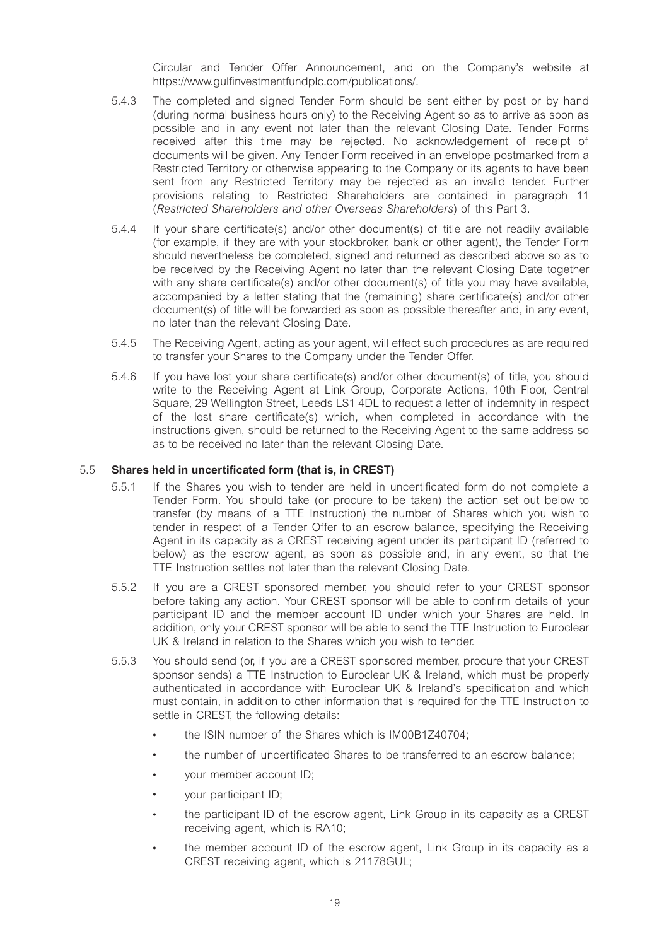Circular and Tender Offer Announcement, and on the Company's website at https://www.gulfinvestmentfundplc.com/publications/.

- 5.4.3 The completed and signed Tender Form should be sent either by post or by hand (during normal business hours only) to the Receiving Agent so as to arrive as soon as possible and in any event not later than the relevant Closing Date. Tender Forms received after this time may be rejected. No acknowledgement of receipt of documents will be given. Any Tender Form received in an envelope postmarked from a Restricted Territory or otherwise appearing to the Company or its agents to have been sent from any Restricted Territory may be rejected as an invalid tender. Further provisions relating to Restricted Shareholders are contained in paragraph 11 (*Restricted Shareholders and other Overseas Shareholders*) of this Part 3.
- 5.4.4 If your share certificate(s) and/or other document(s) of title are not readily available (for example, if they are with your stockbroker, bank or other agent), the Tender Form should nevertheless be completed, signed and returned as described above so as to be received by the Receiving Agent no later than the relevant Closing Date together with any share certificate(s) and/or other document(s) of title you may have available, accompanied by a letter stating that the (remaining) share certificate(s) and/or other document(s) of title will be forwarded as soon as possible thereafter and, in any event, no later than the relevant Closing Date.
- 5.4.5 The Receiving Agent, acting as your agent, will effect such procedures as are required to transfer your Shares to the Company under the Tender Offer.
- 5.4.6 If you have lost your share certificate(s) and/or other document(s) of title, you should write to the Receiving Agent at Link Group, Corporate Actions, 10th Floor, Central Square, 29 Wellington Street, Leeds LS1 4DL to request a letter of indemnity in respect of the lost share certificate(s) which, when completed in accordance with the instructions given, should be returned to the Receiving Agent to the same address so as to be received no later than the relevant Closing Date.

#### 5.5 **Shares held in uncertificated form (that is, in CREST)**

- 5.5.1 If the Shares you wish to tender are held in uncertificated form do not complete a Tender Form. You should take (or procure to be taken) the action set out below to transfer (by means of a TTE Instruction) the number of Shares which you wish to tender in respect of a Tender Offer to an escrow balance, specifying the Receiving Agent in its capacity as a CREST receiving agent under its participant ID (referred to below) as the escrow agent, as soon as possible and, in any event, so that the TTE Instruction settles not later than the relevant Closing Date.
- 5.5.2 If you are a CREST sponsored member, you should refer to your CREST sponsor before taking any action. Your CREST sponsor will be able to confirm details of your participant ID and the member account ID under which your Shares are held. In addition, only your CREST sponsor will be able to send the TTE Instruction to Euroclear UK & Ireland in relation to the Shares which you wish to tender.
- 5.5.3 You should send (or, if you are a CREST sponsored member, procure that your CREST sponsor sends) a TTE Instruction to Euroclear UK & Ireland, which must be properly authenticated in accordance with Euroclear UK & Ireland's specification and which must contain, in addition to other information that is required for the TTE Instruction to settle in CREST, the following details:
	- the ISIN number of the Shares which is IM00B1740704;
	- the number of uncertificated Shares to be transferred to an escrow balance;
	- vour member account ID:
	- vour participant ID:
	- the participant ID of the escrow agent, Link Group in its capacity as a CREST receiving agent, which is RA10;
	- the member account ID of the escrow agent, Link Group in its capacity as a CREST receiving agent, which is 21178GUL;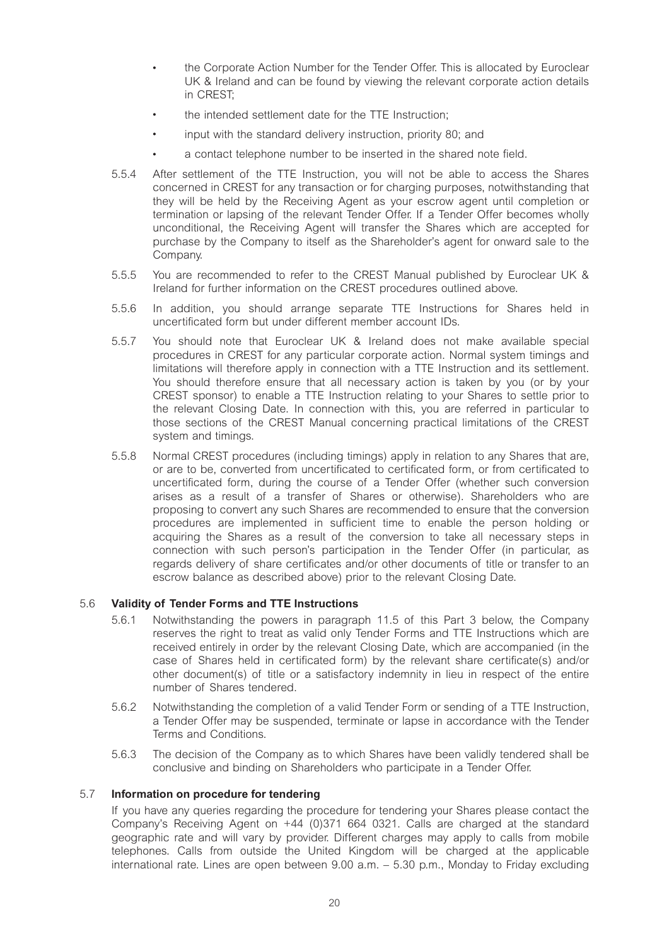- the Corporate Action Number for the Tender Offer. This is allocated by Euroclear UK & Ireland and can be found by viewing the relevant corporate action details in CREST;
- the intended settlement date for the TTE Instruction;
- input with the standard delivery instruction, priority 80; and
- a contact telephone number to be inserted in the shared note field.
- 5.5.4 After settlement of the TTE Instruction, you will not be able to access the Shares concerned in CREST for any transaction or for charging purposes, notwithstanding that they will be held by the Receiving Agent as your escrow agent until completion or termination or lapsing of the relevant Tender Offer. If a Tender Offer becomes wholly unconditional, the Receiving Agent will transfer the Shares which are accepted for purchase by the Company to itself as the Shareholder's agent for onward sale to the Company.
- 5.5.5 You are recommended to refer to the CREST Manual published by Euroclear UK & Ireland for further information on the CREST procedures outlined above.
- 5.5.6 In addition, you should arrange separate TTE Instructions for Shares held in uncertificated form but under different member account IDs.
- 5.5.7 You should note that Euroclear UK & Ireland does not make available special procedures in CREST for any particular corporate action. Normal system timings and limitations will therefore apply in connection with a TTE Instruction and its settlement. You should therefore ensure that all necessary action is taken by you (or by your CREST sponsor) to enable a TTE Instruction relating to your Shares to settle prior to the relevant Closing Date. In connection with this, you are referred in particular to those sections of the CREST Manual concerning practical limitations of the CREST system and timings.
- 5.5.8 Normal CREST procedures (including timings) apply in relation to any Shares that are, or are to be, converted from uncertificated to certificated form, or from certificated to uncertificated form, during the course of a Tender Offer (whether such conversion arises as a result of a transfer of Shares or otherwise). Shareholders who are proposing to convert any such Shares are recommended to ensure that the conversion procedures are implemented in sufficient time to enable the person holding or acquiring the Shares as a result of the conversion to take all necessary steps in connection with such person's participation in the Tender Offer (in particular, as regards delivery of share certificates and/or other documents of title or transfer to an escrow balance as described above) prior to the relevant Closing Date.

# 5.6 **Validity of Tender Forms and TTE Instructions**

- 5.6.1 Notwithstanding the powers in paragraph 11.5 of this Part 3 below, the Company reserves the right to treat as valid only Tender Forms and TTE Instructions which are received entirely in order by the relevant Closing Date, which are accompanied (in the case of Shares held in certificated form) by the relevant share certificate(s) and/or other document(s) of title or a satisfactory indemnity in lieu in respect of the entire number of Shares tendered.
- 5.6.2 Notwithstanding the completion of a valid Tender Form or sending of a TTE Instruction, a Tender Offer may be suspended, terminate or lapse in accordance with the Tender Terms and Conditions.
- 5.6.3 The decision of the Company as to which Shares have been validly tendered shall be conclusive and binding on Shareholders who participate in a Tender Offer.

# 5.7 **Information on procedure for tendering**

If you have any queries regarding the procedure for tendering your Shares please contact the Company's Receiving Agent on +44 (0)371 664 0321. Calls are charged at the standard geographic rate and will vary by provider. Different charges may apply to calls from mobile telephones. Calls from outside the United Kingdom will be charged at the applicable international rate. Lines are open between 9.00 a.m. – 5.30 p.m., Monday to Friday excluding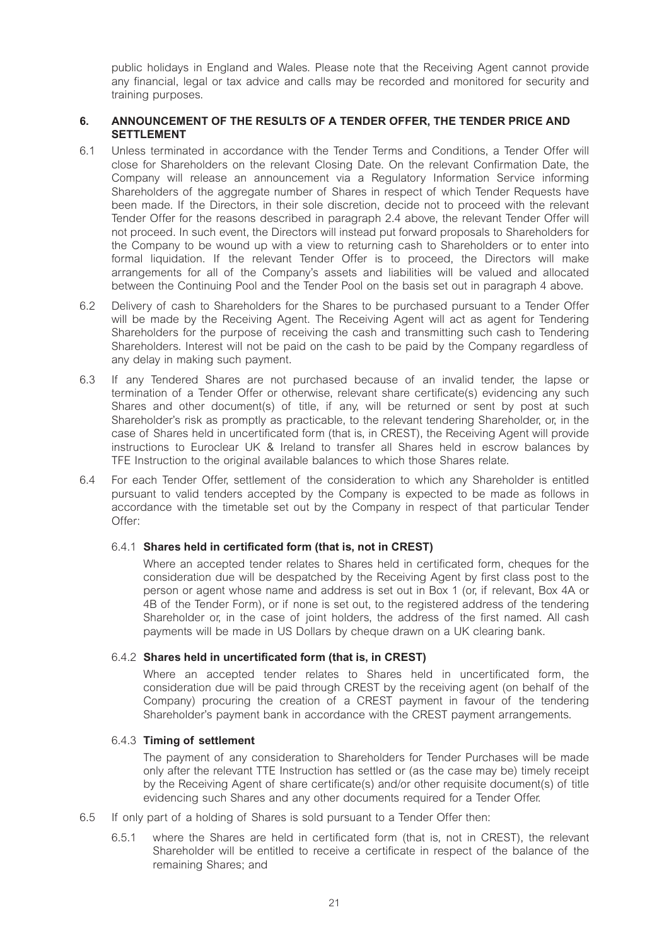public holidays in England and Wales. Please note that the Receiving Agent cannot provide any financial, legal or tax advice and calls may be recorded and monitored for security and training purposes.

#### **6. ANNOUNCEMENT OF THE RESULTS OF A TENDER OFFER, THE TENDER PRICE AND SETTLEMENT**

- 6.1 Unless terminated in accordance with the Tender Terms and Conditions, a Tender Offer will close for Shareholders on the relevant Closing Date. On the relevant Confirmation Date, the Company will release an announcement via a Regulatory Information Service informing Shareholders of the aggregate number of Shares in respect of which Tender Requests have been made. If the Directors, in their sole discretion, decide not to proceed with the relevant Tender Offer for the reasons described in paragraph 2.4 above, the relevant Tender Offer will not proceed. In such event, the Directors will instead put forward proposals to Shareholders for the Company to be wound up with a view to returning cash to Shareholders or to enter into formal liquidation. If the relevant Tender Offer is to proceed, the Directors will make arrangements for all of the Company's assets and liabilities will be valued and allocated between the Continuing Pool and the Tender Pool on the basis set out in paragraph 4 above.
- 6.2 Delivery of cash to Shareholders for the Shares to be purchased pursuant to a Tender Offer will be made by the Receiving Agent. The Receiving Agent will act as agent for Tendering Shareholders for the purpose of receiving the cash and transmitting such cash to Tendering Shareholders. Interest will not be paid on the cash to be paid by the Company regardless of any delay in making such payment.
- 6.3 If any Tendered Shares are not purchased because of an invalid tender, the lapse or termination of a Tender Offer or otherwise, relevant share certificate(s) evidencing any such Shares and other document(s) of title, if any, will be returned or sent by post at such Shareholder's risk as promptly as practicable, to the relevant tendering Shareholder, or, in the case of Shares held in uncertificated form (that is, in CREST), the Receiving Agent will provide instructions to Euroclear UK & Ireland to transfer all Shares held in escrow balances by TFE Instruction to the original available balances to which those Shares relate.
- 6.4 For each Tender Offer, settlement of the consideration to which any Shareholder is entitled pursuant to valid tenders accepted by the Company is expected to be made as follows in accordance with the timetable set out by the Company in respect of that particular Tender Offer:

# 6.4.1 **Shares held in certificated form (that is, not in CREST)**

Where an accepted tender relates to Shares held in certificated form, cheques for the consideration due will be despatched by the Receiving Agent by first class post to the person or agent whose name and address is set out in Box 1 (or, if relevant, Box 4A or 4B of the Tender Form), or if none is set out, to the registered address of the tendering Shareholder or, in the case of joint holders, the address of the first named. All cash payments will be made in US Dollars by cheque drawn on a UK clearing bank.

# 6.4.2 **Shares held in uncertificated form (that is, in CREST)**

Where an accepted tender relates to Shares held in uncertificated form, the consideration due will be paid through CREST by the receiving agent (on behalf of the Company) procuring the creation of a CREST payment in favour of the tendering Shareholder's payment bank in accordance with the CREST payment arrangements.

#### 6.4.3 **Timing of settlement**

The payment of any consideration to Shareholders for Tender Purchases will be made only after the relevant TTE Instruction has settled or (as the case may be) timely receipt by the Receiving Agent of share certificate(s) and/or other requisite document(s) of title evidencing such Shares and any other documents required for a Tender Offer.

- 6.5 If only part of a holding of Shares is sold pursuant to a Tender Offer then:
	- 6.5.1 where the Shares are held in certificated form (that is, not in CREST), the relevant Shareholder will be entitled to receive a certificate in respect of the balance of the remaining Shares; and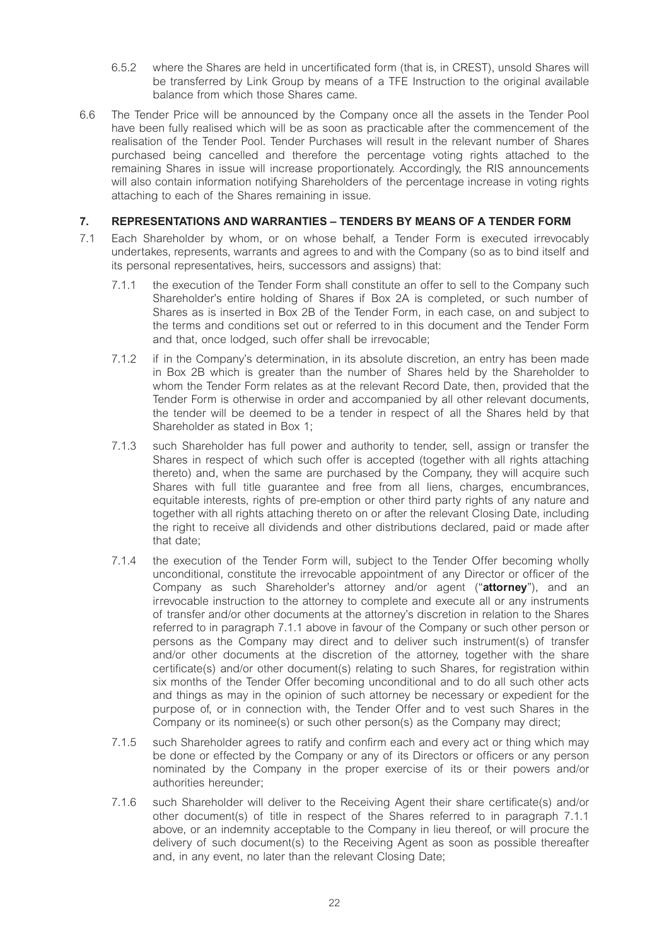- 6.5.2 where the Shares are held in uncertificated form (that is, in CREST), unsold Shares will be transferred by Link Group by means of a TFE Instruction to the original available balance from which those Shares came.
- 6.6 The Tender Price will be announced by the Company once all the assets in the Tender Pool have been fully realised which will be as soon as practicable after the commencement of the realisation of the Tender Pool. Tender Purchases will result in the relevant number of Shares purchased being cancelled and therefore the percentage voting rights attached to the remaining Shares in issue will increase proportionately. Accordingly, the RIS announcements will also contain information notifying Shareholders of the percentage increase in voting rights attaching to each of the Shares remaining in issue.

# **7. REPRESENTATIONS AND WARRANTIES – TENDERS BY MEANS OF A TENDER FORM**

- 7.1 Each Shareholder by whom, or on whose behalf, a Tender Form is executed irrevocably undertakes, represents, warrants and agrees to and with the Company (so as to bind itself and its personal representatives, heirs, successors and assigns) that:
	- 7.1.1 the execution of the Tender Form shall constitute an offer to sell to the Company such Shareholder's entire holding of Shares if Box 2A is completed, or such number of Shares as is inserted in Box 2B of the Tender Form, in each case, on and subject to the terms and conditions set out or referred to in this document and the Tender Form and that, once lodged, such offer shall be irrevocable;
	- 7.1.2 if in the Company's determination, in its absolute discretion, an entry has been made in Box 2B which is greater than the number of Shares held by the Shareholder to whom the Tender Form relates as at the relevant Record Date, then, provided that the Tender Form is otherwise in order and accompanied by all other relevant documents, the tender will be deemed to be a tender in respect of all the Shares held by that Shareholder as stated in Box 1;
	- 7.1.3 such Shareholder has full power and authority to tender, sell, assign or transfer the Shares in respect of which such offer is accepted (together with all rights attaching thereto) and, when the same are purchased by the Company, they will acquire such Shares with full title guarantee and free from all liens, charges, encumbrances, equitable interests, rights of pre-emption or other third party rights of any nature and together with all rights attaching thereto on or after the relevant Closing Date, including the right to receive all dividends and other distributions declared, paid or made after that date;
	- 7.1.4 the execution of the Tender Form will, subject to the Tender Offer becoming wholly unconditional, constitute the irrevocable appointment of any Director or officer of the Company as such Shareholder's attorney and/or agent ("**attorney**"), and an irrevocable instruction to the attorney to complete and execute all or any instruments of transfer and/or other documents at the attorney's discretion in relation to the Shares referred to in paragraph 7.1.1 above in favour of the Company or such other person or persons as the Company may direct and to deliver such instrument(s) of transfer and/or other documents at the discretion of the attorney, together with the share certificate(s) and/or other document(s) relating to such Shares, for registration within six months of the Tender Offer becoming unconditional and to do all such other acts and things as may in the opinion of such attorney be necessary or expedient for the purpose of, or in connection with, the Tender Offer and to vest such Shares in the Company or its nominee(s) or such other person(s) as the Company may direct;
	- 7.1.5 such Shareholder agrees to ratify and confirm each and every act or thing which may be done or effected by the Company or any of its Directors or officers or any person nominated by the Company in the proper exercise of its or their powers and/or authorities hereunder;
	- 7.1.6 such Shareholder will deliver to the Receiving Agent their share certificate(s) and/or other document(s) of title in respect of the Shares referred to in paragraph 7.1.1 above, or an indemnity acceptable to the Company in lieu thereof, or will procure the delivery of such document(s) to the Receiving Agent as soon as possible thereafter and, in any event, no later than the relevant Closing Date;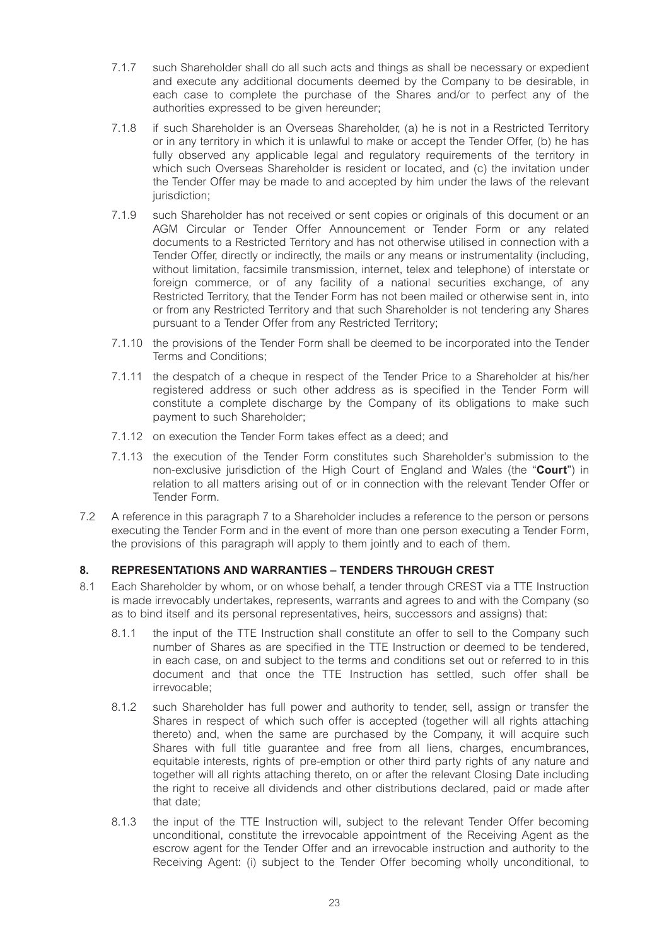- 7.1.7 such Shareholder shall do all such acts and things as shall be necessary or expedient and execute any additional documents deemed by the Company to be desirable, in each case to complete the purchase of the Shares and/or to perfect any of the authorities expressed to be given hereunder;
- 7.1.8 if such Shareholder is an Overseas Shareholder, (a) he is not in a Restricted Territory or in any territory in which it is unlawful to make or accept the Tender Offer, (b) he has fully observed any applicable legal and regulatory requirements of the territory in which such Overseas Shareholder is resident or located, and (c) the invitation under the Tender Offer may be made to and accepted by him under the laws of the relevant jurisdiction:
- 7.1.9 such Shareholder has not received or sent copies or originals of this document or an AGM Circular or Tender Offer Announcement or Tender Form or any related documents to a Restricted Territory and has not otherwise utilised in connection with a Tender Offer, directly or indirectly, the mails or any means or instrumentality (including, without limitation, facsimile transmission, internet, telex and telephone) of interstate or foreign commerce, or of any facility of a national securities exchange, of any Restricted Territory, that the Tender Form has not been mailed or otherwise sent in, into or from any Restricted Territory and that such Shareholder is not tendering any Shares pursuant to a Tender Offer from any Restricted Territory;
- 7.1.10 the provisions of the Tender Form shall be deemed to be incorporated into the Tender Terms and Conditions;
- 7.1.11 the despatch of a cheque in respect of the Tender Price to a Shareholder at his/her registered address or such other address as is specified in the Tender Form will constitute a complete discharge by the Company of its obligations to make such payment to such Shareholder;
- 7.1.12 on execution the Tender Form takes effect as a deed; and
- 7.1.13 the execution of the Tender Form constitutes such Shareholder's submission to the non-exclusive jurisdiction of the High Court of England and Wales (the "**Court**") in relation to all matters arising out of or in connection with the relevant Tender Offer or Tender Form.
- 7.2 A reference in this paragraph 7 to a Shareholder includes a reference to the person or persons executing the Tender Form and in the event of more than one person executing a Tender Form, the provisions of this paragraph will apply to them jointly and to each of them.

# **8. REPRESENTATIONS AND WARRANTIES – TENDERS THROUGH CREST**

- 8.1 Each Shareholder by whom, or on whose behalf, a tender through CREST via a TTE Instruction is made irrevocably undertakes, represents, warrants and agrees to and with the Company (so as to bind itself and its personal representatives, heirs, successors and assigns) that:
	- 8.1.1 the input of the TTE Instruction shall constitute an offer to sell to the Company such number of Shares as are specified in the TTE Instruction or deemed to be tendered, in each case, on and subject to the terms and conditions set out or referred to in this document and that once the TTE Instruction has settled, such offer shall be irrevocable;
	- 8.1.2 such Shareholder has full power and authority to tender, sell, assign or transfer the Shares in respect of which such offer is accepted (together will all rights attaching thereto) and, when the same are purchased by the Company, it will acquire such Shares with full title guarantee and free from all liens, charges, encumbrances, equitable interests, rights of pre-emption or other third party rights of any nature and together will all rights attaching thereto, on or after the relevant Closing Date including the right to receive all dividends and other distributions declared, paid or made after that date;
	- 8.1.3 the input of the TTE Instruction will, subject to the relevant Tender Offer becoming unconditional, constitute the irrevocable appointment of the Receiving Agent as the escrow agent for the Tender Offer and an irrevocable instruction and authority to the Receiving Agent: (i) subject to the Tender Offer becoming wholly unconditional, to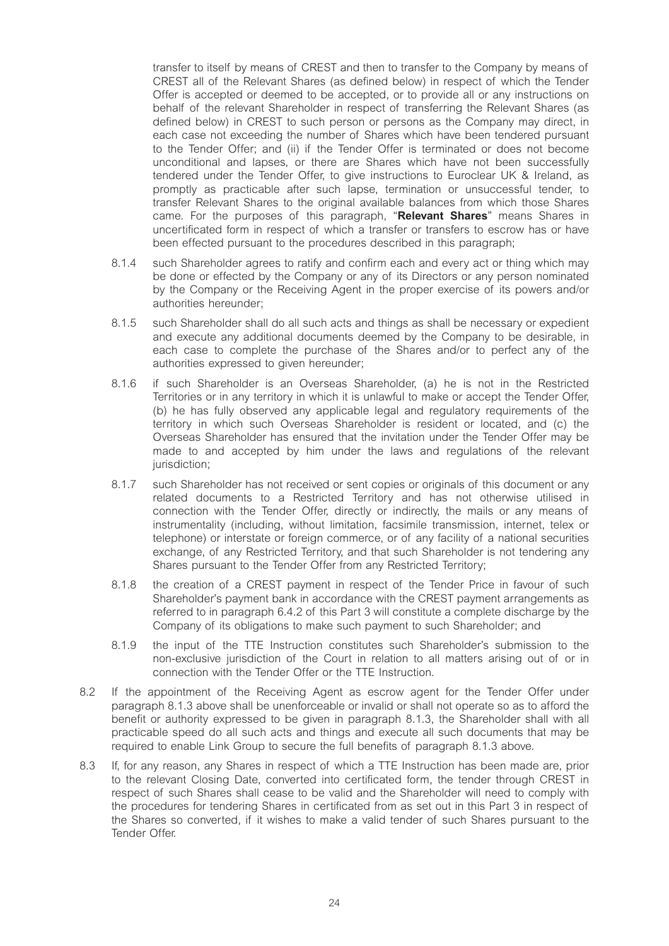transfer to itself by means of CREST and then to transfer to the Company by means of CREST all of the Relevant Shares (as defined below) in respect of which the Tender Offer is accepted or deemed to be accepted, or to provide all or any instructions on behalf of the relevant Shareholder in respect of transferring the Relevant Shares (as defined below) in CREST to such person or persons as the Company may direct, in each case not exceeding the number of Shares which have been tendered pursuant to the Tender Offer; and (ii) if the Tender Offer is terminated or does not become unconditional and lapses, or there are Shares which have not been successfully tendered under the Tender Offer, to give instructions to Euroclear UK & Ireland, as promptly as practicable after such lapse, termination or unsuccessful tender, to transfer Relevant Shares to the original available balances from which those Shares came. For the purposes of this paragraph, "**Relevant Shares**" means Shares in uncertificated form in respect of which a transfer or transfers to escrow has or have been effected pursuant to the procedures described in this paragraph;

- 8.1.4 such Shareholder agrees to ratify and confirm each and every act or thing which may be done or effected by the Company or any of its Directors or any person nominated by the Company or the Receiving Agent in the proper exercise of its powers and/or authorities hereunder;
- 8.1.5 such Shareholder shall do all such acts and things as shall be necessary or expedient and execute any additional documents deemed by the Company to be desirable, in each case to complete the purchase of the Shares and/or to perfect any of the authorities expressed to given hereunder;
- 8.1.6 if such Shareholder is an Overseas Shareholder, (a) he is not in the Restricted Territories or in any territory in which it is unlawful to make or accept the Tender Offer, (b) he has fully observed any applicable legal and regulatory requirements of the territory in which such Overseas Shareholder is resident or located, and (c) the Overseas Shareholder has ensured that the invitation under the Tender Offer may be made to and accepted by him under the laws and regulations of the relevant jurisdiction:
- 8.1.7 such Shareholder has not received or sent copies or originals of this document or any related documents to a Restricted Territory and has not otherwise utilised in connection with the Tender Offer, directly or indirectly, the mails or any means of instrumentality (including, without limitation, facsimile transmission, internet, telex or telephone) or interstate or foreign commerce, or of any facility of a national securities exchange, of any Restricted Territory, and that such Shareholder is not tendering any Shares pursuant to the Tender Offer from any Restricted Territory;
- 8.1.8 the creation of a CREST payment in respect of the Tender Price in favour of such Shareholder's payment bank in accordance with the CREST payment arrangements as referred to in paragraph 6.4.2 of this Part 3 will constitute a complete discharge by the Company of its obligations to make such payment to such Shareholder; and
- 8.1.9 the input of the TTE Instruction constitutes such Shareholder's submission to the non-exclusive jurisdiction of the Court in relation to all matters arising out of or in connection with the Tender Offer or the TTE Instruction.
- 8.2 If the appointment of the Receiving Agent as escrow agent for the Tender Offer under paragraph 8.1.3 above shall be unenforceable or invalid or shall not operate so as to afford the benefit or authority expressed to be given in paragraph 8.1.3, the Shareholder shall with all practicable speed do all such acts and things and execute all such documents that may be required to enable Link Group to secure the full benefits of paragraph 8.1.3 above.
- 8.3 If, for any reason, any Shares in respect of which a TTE Instruction has been made are, prior to the relevant Closing Date, converted into certificated form, the tender through CREST in respect of such Shares shall cease to be valid and the Shareholder will need to comply with the procedures for tendering Shares in certificated from as set out in this Part 3 in respect of the Shares so converted, if it wishes to make a valid tender of such Shares pursuant to the Tender Offer.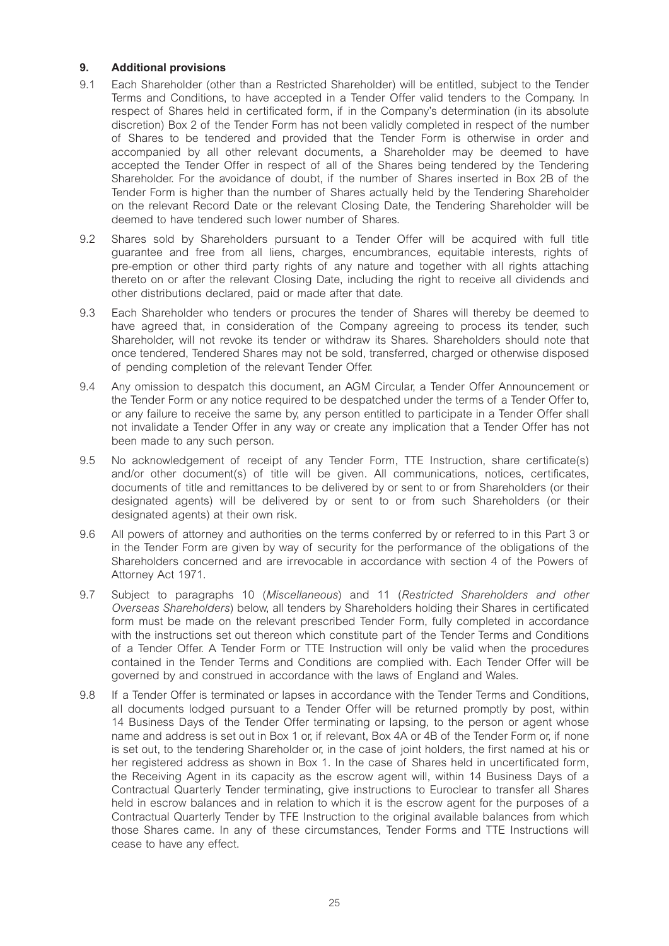# **9. Additional provisions**

- 9.1 Each Shareholder (other than a Restricted Shareholder) will be entitled, subject to the Tender Terms and Conditions, to have accepted in a Tender Offer valid tenders to the Company. In respect of Shares held in certificated form, if in the Company's determination (in its absolute discretion) Box 2 of the Tender Form has not been validly completed in respect of the number of Shares to be tendered and provided that the Tender Form is otherwise in order and accompanied by all other relevant documents, a Shareholder may be deemed to have accepted the Tender Offer in respect of all of the Shares being tendered by the Tendering Shareholder. For the avoidance of doubt, if the number of Shares inserted in Box 2B of the Tender Form is higher than the number of Shares actually held by the Tendering Shareholder on the relevant Record Date or the relevant Closing Date, the Tendering Shareholder will be deemed to have tendered such lower number of Shares.
- 9.2 Shares sold by Shareholders pursuant to a Tender Offer will be acquired with full title guarantee and free from all liens, charges, encumbrances, equitable interests, rights of pre-emption or other third party rights of any nature and together with all rights attaching thereto on or after the relevant Closing Date, including the right to receive all dividends and other distributions declared, paid or made after that date.
- 9.3 Each Shareholder who tenders or procures the tender of Shares will thereby be deemed to have agreed that, in consideration of the Company agreeing to process its tender, such Shareholder, will not revoke its tender or withdraw its Shares. Shareholders should note that once tendered, Tendered Shares may not be sold, transferred, charged or otherwise disposed of pending completion of the relevant Tender Offer.
- 9.4 Any omission to despatch this document, an AGM Circular, a Tender Offer Announcement or the Tender Form or any notice required to be despatched under the terms of a Tender Offer to, or any failure to receive the same by, any person entitled to participate in a Tender Offer shall not invalidate a Tender Offer in any way or create any implication that a Tender Offer has not been made to any such person.
- 9.5 No acknowledgement of receipt of any Tender Form, TTE Instruction, share certificate(s) and/or other document(s) of title will be given. All communications, notices, certificates, documents of title and remittances to be delivered by or sent to or from Shareholders (or their designated agents) will be delivered by or sent to or from such Shareholders (or their designated agents) at their own risk.
- 9.6 All powers of attorney and authorities on the terms conferred by or referred to in this Part 3 or in the Tender Form are given by way of security for the performance of the obligations of the Shareholders concerned and are irrevocable in accordance with section 4 of the Powers of Attorney Act 1971.
- 9.7 Subject to paragraphs 10 (*Miscellaneous*) and 11 (*Restricted Shareholders and other Overseas Shareholders*) below, all tenders by Shareholders holding their Shares in certificated form must be made on the relevant prescribed Tender Form, fully completed in accordance with the instructions set out thereon which constitute part of the Tender Terms and Conditions of a Tender Offer. A Tender Form or TTE Instruction will only be valid when the procedures contained in the Tender Terms and Conditions are complied with. Each Tender Offer will be governed by and construed in accordance with the laws of England and Wales.
- 9.8 If a Tender Offer is terminated or lapses in accordance with the Tender Terms and Conditions, all documents lodged pursuant to a Tender Offer will be returned promptly by post, within 14 Business Days of the Tender Offer terminating or lapsing, to the person or agent whose name and address is set out in Box 1 or, if relevant, Box 4A or 4B of the Tender Form or, if none is set out, to the tendering Shareholder or, in the case of joint holders, the first named at his or her registered address as shown in Box 1. In the case of Shares held in uncertificated form, the Receiving Agent in its capacity as the escrow agent will, within 14 Business Days of a Contractual Quarterly Tender terminating, give instructions to Euroclear to transfer all Shares held in escrow balances and in relation to which it is the escrow agent for the purposes of a Contractual Quarterly Tender by TFE Instruction to the original available balances from which those Shares came. In any of these circumstances, Tender Forms and TTE Instructions will cease to have any effect.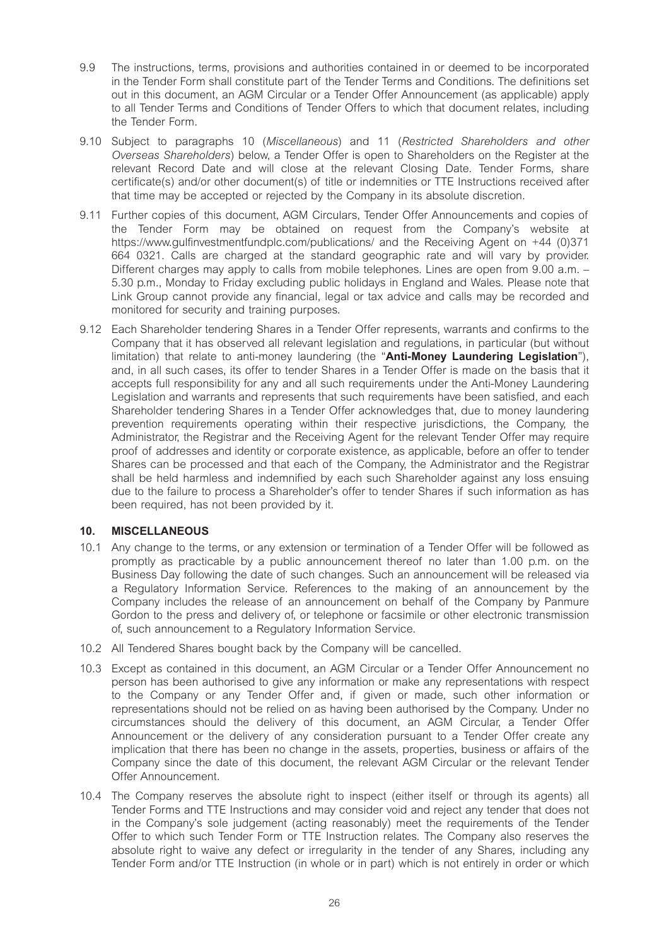- 9.9 The instructions, terms, provisions and authorities contained in or deemed to be incorporated in the Tender Form shall constitute part of the Tender Terms and Conditions. The definitions set out in this document, an AGM Circular or a Tender Offer Announcement (as applicable) apply to all Tender Terms and Conditions of Tender Offers to which that document relates, including the Tender Form.
- 9.10 Subject to paragraphs 10 (*Miscellaneous*) and 11 (*Restricted Shareholders and other Overseas Shareholders*) below, a Tender Offer is open to Shareholders on the Register at the relevant Record Date and will close at the relevant Closing Date. Tender Forms, share certificate(s) and/or other document(s) of title or indemnities or TTE Instructions received after that time may be accepted or rejected by the Company in its absolute discretion.
- 9.11 Further copies of this document, AGM Circulars, Tender Offer Announcements and copies of the Tender Form may be obtained on request from the Company's website at https://www.gulfinvestmentfundplc.com/publications/ and the Receiving Agent on +44 (0)371 664 0321. Calls are charged at the standard geographic rate and will vary by provider. Different charges may apply to calls from mobile telephones. Lines are open from 9.00 a.m. -5.30 p.m., Monday to Friday excluding public holidays in England and Wales. Please note that Link Group cannot provide any financial, legal or tax advice and calls may be recorded and monitored for security and training purposes.
- 9.12 Each Shareholder tendering Shares in a Tender Offer represents, warrants and confirms to the Company that it has observed all relevant legislation and regulations, in particular (but without limitation) that relate to anti-money laundering (the "**Anti-Money Laundering Legislation**"), and, in all such cases, its offer to tender Shares in a Tender Offer is made on the basis that it accepts full responsibility for any and all such requirements under the Anti-Money Laundering Legislation and warrants and represents that such requirements have been satisfied, and each Shareholder tendering Shares in a Tender Offer acknowledges that, due to money laundering prevention requirements operating within their respective jurisdictions, the Company, the Administrator, the Registrar and the Receiving Agent for the relevant Tender Offer may require proof of addresses and identity or corporate existence, as applicable, before an offer to tender Shares can be processed and that each of the Company, the Administrator and the Registrar shall be held harmless and indemnified by each such Shareholder against any loss ensuing due to the failure to process a Shareholder's offer to tender Shares if such information as has been required, has not been provided by it.

# **10. MISCELLANEOUS**

- 10.1 Any change to the terms, or any extension or termination of a Tender Offer will be followed as promptly as practicable by a public announcement thereof no later than 1.00 p.m. on the Business Day following the date of such changes. Such an announcement will be released via a Regulatory Information Service. References to the making of an announcement by the Company includes the release of an announcement on behalf of the Company by Panmure Gordon to the press and delivery of, or telephone or facsimile or other electronic transmission of, such announcement to a Regulatory Information Service.
- 10.2 All Tendered Shares bought back by the Company will be cancelled.
- 10.3 Except as contained in this document, an AGM Circular or a Tender Offer Announcement no person has been authorised to give any information or make any representations with respect to the Company or any Tender Offer and, if given or made, such other information or representations should not be relied on as having been authorised by the Company. Under no circumstances should the delivery of this document, an AGM Circular, a Tender Offer Announcement or the delivery of any consideration pursuant to a Tender Offer create any implication that there has been no change in the assets, properties, business or affairs of the Company since the date of this document, the relevant AGM Circular or the relevant Tender Offer Announcement.
- 10.4 The Company reserves the absolute right to inspect (either itself or through its agents) all Tender Forms and TTE Instructions and may consider void and reject any tender that does not in the Company's sole judgement (acting reasonably) meet the requirements of the Tender Offer to which such Tender Form or TTE Instruction relates. The Company also reserves the absolute right to waive any defect or irregularity in the tender of any Shares, including any Tender Form and/or TTE Instruction (in whole or in part) which is not entirely in order or which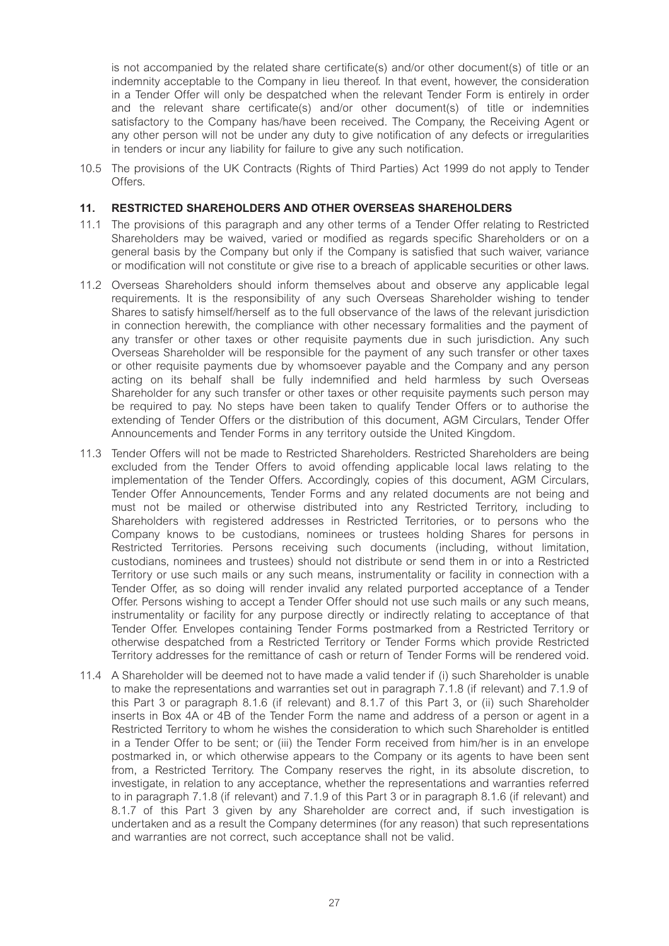is not accompanied by the related share certificate(s) and/or other document(s) of title or an indemnity acceptable to the Company in lieu thereof. In that event, however, the consideration in a Tender Offer will only be despatched when the relevant Tender Form is entirely in order and the relevant share certificate(s) and/or other document(s) of title or indemnities satisfactory to the Company has/have been received. The Company, the Receiving Agent or any other person will not be under any duty to give notification of any defects or irregularities in tenders or incur any liability for failure to give any such notification.

10.5 The provisions of the UK Contracts (Rights of Third Parties) Act 1999 do not apply to Tender Offers.

#### **11. RESTRICTED SHAREHOLDERS AND OTHER OVERSEAS SHAREHOLDERS**

- 11.1 The provisions of this paragraph and any other terms of a Tender Offer relating to Restricted Shareholders may be waived, varied or modified as regards specific Shareholders or on a general basis by the Company but only if the Company is satisfied that such waiver, variance or modification will not constitute or give rise to a breach of applicable securities or other laws.
- 11.2 Overseas Shareholders should inform themselves about and observe any applicable legal requirements. It is the responsibility of any such Overseas Shareholder wishing to tender Shares to satisfy himself/herself as to the full observance of the laws of the relevant jurisdiction in connection herewith, the compliance with other necessary formalities and the payment of any transfer or other taxes or other requisite payments due in such jurisdiction. Any such Overseas Shareholder will be responsible for the payment of any such transfer or other taxes or other requisite payments due by whomsoever payable and the Company and any person acting on its behalf shall be fully indemnified and held harmless by such Overseas Shareholder for any such transfer or other taxes or other requisite payments such person may be required to pay. No steps have been taken to qualify Tender Offers or to authorise the extending of Tender Offers or the distribution of this document, AGM Circulars, Tender Offer Announcements and Tender Forms in any territory outside the United Kingdom.
- 11.3 Tender Offers will not be made to Restricted Shareholders. Restricted Shareholders are being excluded from the Tender Offers to avoid offending applicable local laws relating to the implementation of the Tender Offers. Accordingly, copies of this document, AGM Circulars, Tender Offer Announcements, Tender Forms and any related documents are not being and must not be mailed or otherwise distributed into any Restricted Territory, including to Shareholders with registered addresses in Restricted Territories, or to persons who the Company knows to be custodians, nominees or trustees holding Shares for persons in Restricted Territories. Persons receiving such documents (including, without limitation, custodians, nominees and trustees) should not distribute or send them in or into a Restricted Territory or use such mails or any such means, instrumentality or facility in connection with a Tender Offer, as so doing will render invalid any related purported acceptance of a Tender Offer. Persons wishing to accept a Tender Offer should not use such mails or any such means, instrumentality or facility for any purpose directly or indirectly relating to acceptance of that Tender Offer. Envelopes containing Tender Forms postmarked from a Restricted Territory or otherwise despatched from a Restricted Territory or Tender Forms which provide Restricted Territory addresses for the remittance of cash or return of Tender Forms will be rendered void.
- 11.4 A Shareholder will be deemed not to have made a valid tender if (i) such Shareholder is unable to make the representations and warranties set out in paragraph 7.1.8 (if relevant) and 7.1.9 of this Part 3 or paragraph 8.1.6 (if relevant) and 8.1.7 of this Part 3, or (ii) such Shareholder inserts in Box 4A or 4B of the Tender Form the name and address of a person or agent in a Restricted Territory to whom he wishes the consideration to which such Shareholder is entitled in a Tender Offer to be sent; or (iii) the Tender Form received from him/her is in an envelope postmarked in, or which otherwise appears to the Company or its agents to have been sent from, a Restricted Territory. The Company reserves the right, in its absolute discretion, to investigate, in relation to any acceptance, whether the representations and warranties referred to in paragraph 7.1.8 (if relevant) and 7.1.9 of this Part 3 or in paragraph 8.1.6 (if relevant) and 8.1.7 of this Part 3 given by any Shareholder are correct and, if such investigation is undertaken and as a result the Company determines (for any reason) that such representations and warranties are not correct, such acceptance shall not be valid.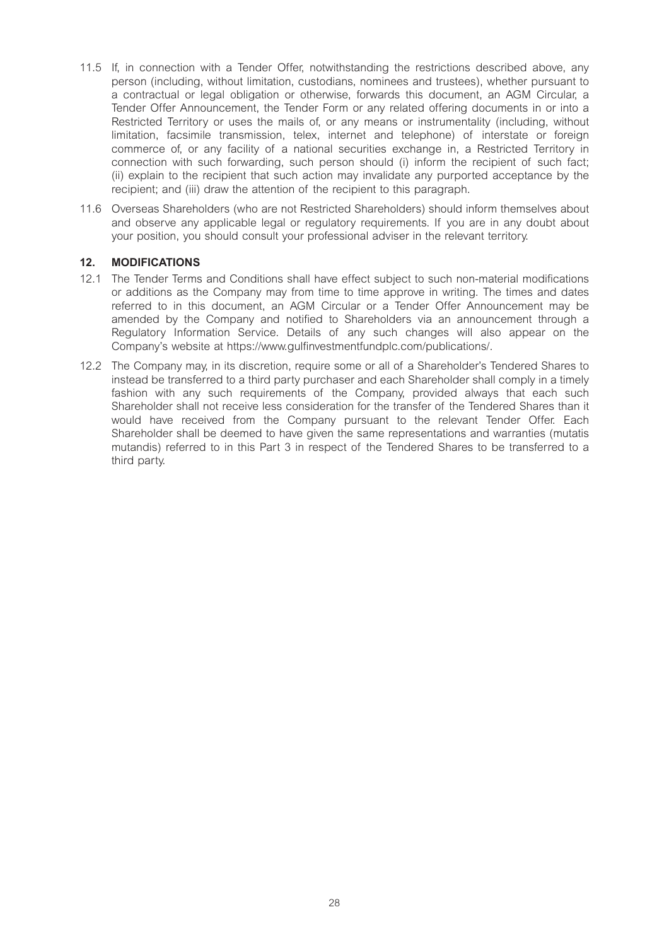- 11.5 If, in connection with a Tender Offer, notwithstanding the restrictions described above, any person (including, without limitation, custodians, nominees and trustees), whether pursuant to a contractual or legal obligation or otherwise, forwards this document, an AGM Circular, a Tender Offer Announcement, the Tender Form or any related offering documents in or into a Restricted Territory or uses the mails of, or any means or instrumentality (including, without limitation, facsimile transmission, telex, internet and telephone) of interstate or foreign commerce of, or any facility of a national securities exchange in, a Restricted Territory in connection with such forwarding, such person should (i) inform the recipient of such fact; (ii) explain to the recipient that such action may invalidate any purported acceptance by the recipient; and (iii) draw the attention of the recipient to this paragraph.
- 11.6 Overseas Shareholders (who are not Restricted Shareholders) should inform themselves about and observe any applicable legal or regulatory requirements. If you are in any doubt about your position, you should consult your professional adviser in the relevant territory.

# **12. MODIFICATIONS**

- 12.1 The Tender Terms and Conditions shall have effect subject to such non-material modifications or additions as the Company may from time to time approve in writing. The times and dates referred to in this document, an AGM Circular or a Tender Offer Announcement may be amended by the Company and notified to Shareholders via an announcement through a Regulatory Information Service. Details of any such changes will also appear on the Company's website at https://www.gulfinvestmentfundplc.com/publications/.
- 12.2 The Company may, in its discretion, require some or all of a Shareholder's Tendered Shares to instead be transferred to a third party purchaser and each Shareholder shall comply in a timely fashion with any such requirements of the Company, provided always that each such Shareholder shall not receive less consideration for the transfer of the Tendered Shares than it would have received from the Company pursuant to the relevant Tender Offer. Each Shareholder shall be deemed to have given the same representations and warranties (mutatis mutandis) referred to in this Part 3 in respect of the Tendered Shares to be transferred to a third party.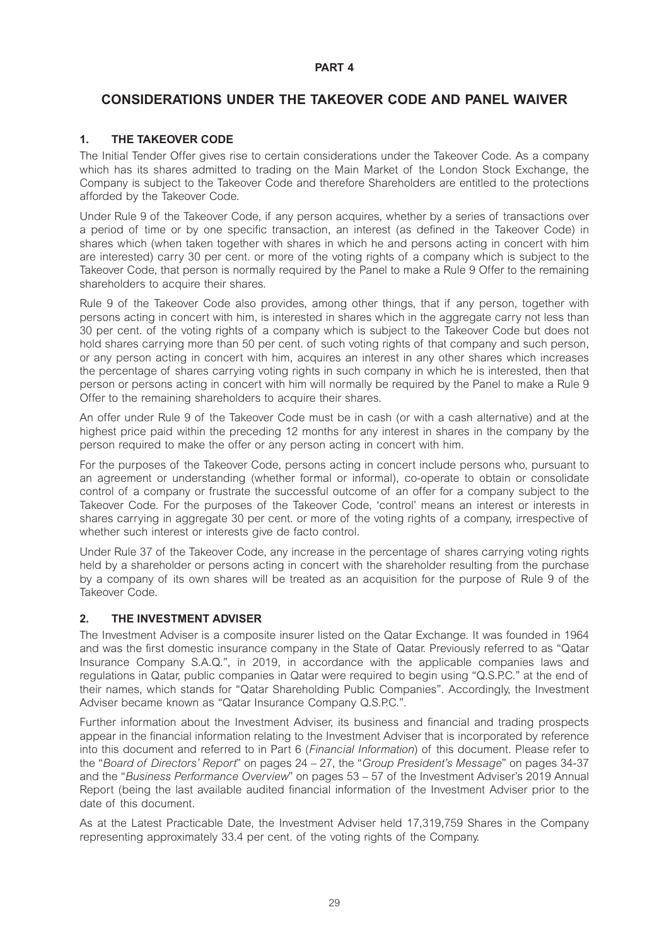#### **PART 4**

# **CONSIDERATIONS UNDER THE TAKEOVER CODE AND PANEL WAIVER**

# **1. THE TAKEOVER CODE**

The Initial Tender Offer gives rise to certain considerations under the Takeover Code. As a company which has its shares admitted to trading on the Main Market of the London Stock Exchange, the Company is subject to the Takeover Code and therefore Shareholders are entitled to the protections afforded by the Takeover Code.

Under Rule 9 of the Takeover Code, if any person acquires, whether by a series of transactions over a period of time or by one specific transaction, an interest (as defined in the Takeover Code) in shares which (when taken together with shares in which he and persons acting in concert with him are interested) carry 30 per cent. or more of the voting rights of a company which is subject to the Takeover Code, that person is normally required by the Panel to make a Rule 9 Offer to the remaining shareholders to acquire their shares.

Rule 9 of the Takeover Code also provides, among other things, that if any person, together with persons acting in concert with him, is interested in shares which in the aggregate carry not less than 30 per cent. of the voting rights of a company which is subject to the Takeover Code but does not hold shares carrying more than 50 per cent. of such voting rights of that company and such person, or any person acting in concert with him, acquires an interest in any other shares which increases the percentage of shares carrying voting rights in such company in which he is interested, then that person or persons acting in concert with him will normally be required by the Panel to make a Rule 9 Offer to the remaining shareholders to acquire their shares.

An offer under Rule 9 of the Takeover Code must be in cash (or with a cash alternative) and at the highest price paid within the preceding 12 months for any interest in shares in the company by the person required to make the offer or any person acting in concert with him.

For the purposes of the Takeover Code, persons acting in concert include persons who, pursuant to an agreement or understanding (whether formal or informal), co-operate to obtain or consolidate control of a company or frustrate the successful outcome of an offer for a company subject to the Takeover Code. For the purposes of the Takeover Code, 'control' means an interest or interests in shares carrying in aggregate 30 per cent. or more of the voting rights of a company, irrespective of whether such interest or interests give de facto control.

Under Rule 37 of the Takeover Code, any increase in the percentage of shares carrying voting rights held by a shareholder or persons acting in concert with the shareholder resulting from the purchase by a company of its own shares will be treated as an acquisition for the purpose of Rule 9 of the Takeover Code.

# **2. THE INVESTMENT ADVISER**

The Investment Adviser is a composite insurer listed on the Qatar Exchange. It was founded in 1964 and was the first domestic insurance company in the State of Qatar. Previously referred to as "Qatar Insurance Company S.A.Q.", in 2019, in accordance with the applicable companies laws and regulations in Qatar, public companies in Qatar were required to begin using "Q.S.P.C." at the end of their names, which stands for "Qatar Shareholding Public Companies". Accordingly, the Investment Adviser became known as "Qatar Insurance Company Q.S.P.C.".

Further information about the Investment Adviser, its business and financial and trading prospects appear in the financial information relating to the Investment Adviser that is incorporated by reference into this document and referred to in Part 6 (*Financial Information*) of this document. Please refer to the "*Board of Directors' Report*" on pages 24 – 27, the "*Group President's Message*" on pages 34-37 and the "*Business Performance Overview*" on pages 53 – 57 of the Investment Adviser's 2019 Annual Report (being the last available audited financial information of the Investment Adviser prior to the date of this document.

As at the Latest Practicable Date, the Investment Adviser held 17,319,759 Shares in the Company representing approximately 33.4 per cent. of the voting rights of the Company.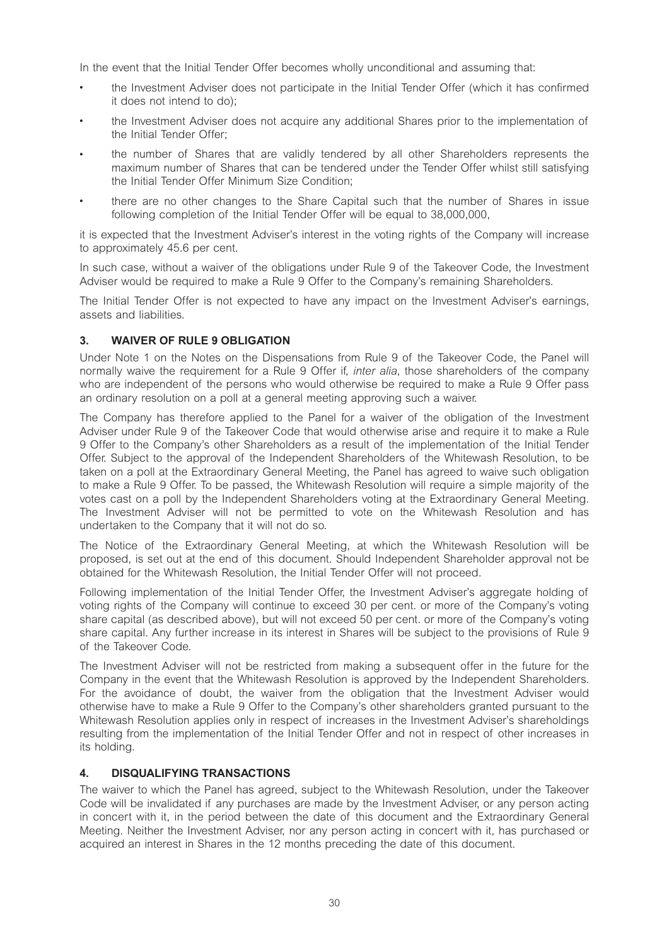In the event that the Initial Tender Offer becomes wholly unconditional and assuming that:

- <sup>l</sup> the Investment Adviser does not participate in the Initial Tender Offer (which it has confirmed it does not intend to do);
- <sup>l</sup> the Investment Adviser does not acquire any additional Shares prior to the implementation of the Initial Tender Offer;
- <sup>l</sup> the number of Shares that are validly tendered by all other Shareholders represents the maximum number of Shares that can be tendered under the Tender Offer whilst still satisfying the Initial Tender Offer Minimum Size Condition;
- <sup>l</sup> there are no other changes to the Share Capital such that the number of Shares in issue following completion of the Initial Tender Offer will be equal to 38,000,000,

it is expected that the Investment Adviser's interest in the voting rights of the Company will increase to approximately 45.6 per cent.

In such case, without a waiver of the obligations under Rule 9 of the Takeover Code, the Investment Adviser would be required to make a Rule 9 Offer to the Company's remaining Shareholders.

The Initial Tender Offer is not expected to have any impact on the Investment Adviser's earnings, assets and liabilities.

# **3. WAIVER OF RULE 9 OBLIGATION**

Under Note 1 on the Notes on the Dispensations from Rule 9 of the Takeover Code, the Panel will normally waive the requirement for a Rule 9 Offer if, *inter alia*, those shareholders of the company who are independent of the persons who would otherwise be required to make a Rule 9 Offer pass an ordinary resolution on a poll at a general meeting approving such a waiver.

The Company has therefore applied to the Panel for a waiver of the obligation of the Investment Adviser under Rule 9 of the Takeover Code that would otherwise arise and require it to make a Rule 9 Offer to the Company's other Shareholders as a result of the implementation of the Initial Tender Offer. Subject to the approval of the Independent Shareholders of the Whitewash Resolution, to be taken on a poll at the Extraordinary General Meeting, the Panel has agreed to waive such obligation to make a Rule 9 Offer. To be passed, the Whitewash Resolution will require a simple majority of the votes cast on a poll by the Independent Shareholders voting at the Extraordinary General Meeting. The Investment Adviser will not be permitted to vote on the Whitewash Resolution and has undertaken to the Company that it will not do so.

The Notice of the Extraordinary General Meeting, at which the Whitewash Resolution will be proposed, is set out at the end of this document. Should Independent Shareholder approval not be obtained for the Whitewash Resolution, the Initial Tender Offer will not proceed.

Following implementation of the Initial Tender Offer, the Investment Adviser's aggregate holding of voting rights of the Company will continue to exceed 30 per cent. or more of the Company's voting share capital (as described above), but will not exceed 50 per cent. or more of the Company's voting share capital. Any further increase in its interest in Shares will be subject to the provisions of Rule 9 of the Takeover Code.

The Investment Adviser will not be restricted from making a subsequent offer in the future for the Company in the event that the Whitewash Resolution is approved by the Independent Shareholders. For the avoidance of doubt, the waiver from the obligation that the Investment Adviser would otherwise have to make a Rule 9 Offer to the Company's other shareholders granted pursuant to the Whitewash Resolution applies only in respect of increases in the Investment Adviser's shareholdings resulting from the implementation of the Initial Tender Offer and not in respect of other increases in its holding.

# **4. DISQUALIFYING TRANSACTIONS**

The waiver to which the Panel has agreed, subject to the Whitewash Resolution, under the Takeover Code will be invalidated if any purchases are made by the Investment Adviser, or any person acting in concert with it, in the period between the date of this document and the Extraordinary General Meeting. Neither the Investment Adviser, nor any person acting in concert with it, has purchased or acquired an interest in Shares in the 12 months preceding the date of this document.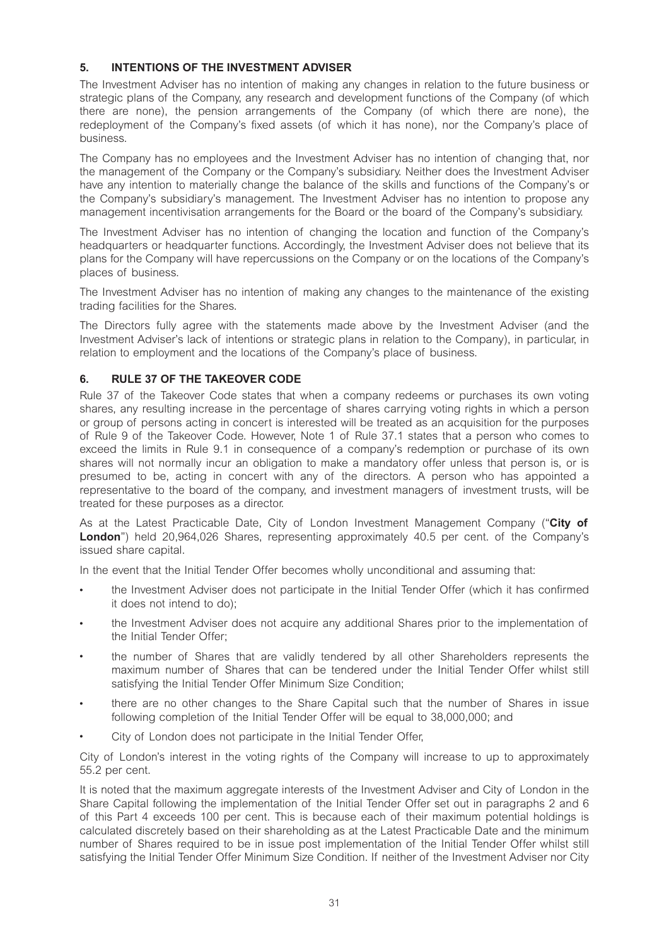# **5. INTENTIONS OF THE INVESTMENT ADVISER**

The Investment Adviser has no intention of making any changes in relation to the future business or strategic plans of the Company, any research and development functions of the Company (of which there are none), the pension arrangements of the Company (of which there are none), the redeployment of the Company's fixed assets (of which it has none), nor the Company's place of business.

The Company has no employees and the Investment Adviser has no intention of changing that, nor the management of the Company or the Company's subsidiary. Neither does the Investment Adviser have any intention to materially change the balance of the skills and functions of the Company's or the Company's subsidiary's management. The Investment Adviser has no intention to propose any management incentivisation arrangements for the Board or the board of the Company's subsidiary.

The Investment Adviser has no intention of changing the location and function of the Company's headquarters or headquarter functions. Accordingly, the Investment Adviser does not believe that its plans for the Company will have repercussions on the Company or on the locations of the Company's places of business.

The Investment Adviser has no intention of making any changes to the maintenance of the existing trading facilities for the Shares.

The Directors fully agree with the statements made above by the Investment Adviser (and the Investment Adviser's lack of intentions or strategic plans in relation to the Company), in particular, in relation to employment and the locations of the Company's place of business.

# **6. RULE 37 OF THE TAKEOVER CODE**

Rule 37 of the Takeover Code states that when a company redeems or purchases its own voting shares, any resulting increase in the percentage of shares carrying voting rights in which a person or group of persons acting in concert is interested will be treated as an acquisition for the purposes of Rule 9 of the Takeover Code. However, Note 1 of Rule 37.1 states that a person who comes to exceed the limits in Rule 9.1 in consequence of a company's redemption or purchase of its own shares will not normally incur an obligation to make a mandatory offer unless that person is, or is presumed to be, acting in concert with any of the directors. A person who has appointed a representative to the board of the company, and investment managers of investment trusts, will be treated for these purposes as a director.

As at the Latest Practicable Date, City of London Investment Management Company ("**City of London**") held 20,964,026 Shares, representing approximately 40.5 per cent. of the Company's issued share capital.

In the event that the Initial Tender Offer becomes wholly unconditional and assuming that:

- <sup>l</sup> the Investment Adviser does not participate in the Initial Tender Offer (which it has confirmed it does not intend to do);
- the Investment Adviser does not acquire any additional Shares prior to the implementation of the Initial Tender Offer;
- the number of Shares that are validly tendered by all other Shareholders represents the maximum number of Shares that can be tendered under the Initial Tender Offer whilst still satisfying the Initial Tender Offer Minimum Size Condition;
- <sup>l</sup> there are no other changes to the Share Capital such that the number of Shares in issue following completion of the Initial Tender Offer will be equal to 38,000,000; and
- City of London does not participate in the Initial Tender Offer,

City of London's interest in the voting rights of the Company will increase to up to approximately 55.2 per cent.

It is noted that the maximum aggregate interests of the Investment Adviser and City of London in the Share Capital following the implementation of the Initial Tender Offer set out in paragraphs 2 and 6 of this Part 4 exceeds 100 per cent. This is because each of their maximum potential holdings is calculated discretely based on their shareholding as at the Latest Practicable Date and the minimum number of Shares required to be in issue post implementation of the Initial Tender Offer whilst still satisfying the Initial Tender Offer Minimum Size Condition. If neither of the Investment Adviser nor City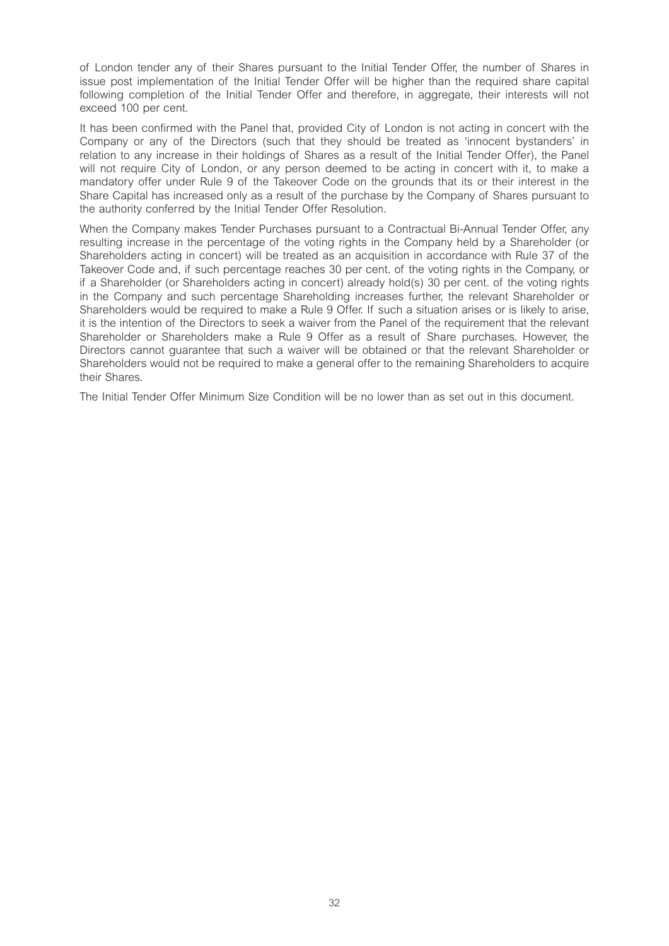of London tender any of their Shares pursuant to the Initial Tender Offer, the number of Shares in issue post implementation of the Initial Tender Offer will be higher than the required share capital following completion of the Initial Tender Offer and therefore, in aggregate, their interests will not exceed 100 per cent.

It has been confirmed with the Panel that, provided City of London is not acting in concert with the Company or any of the Directors (such that they should be treated as 'innocent bystanders' in relation to any increase in their holdings of Shares as a result of the Initial Tender Offer), the Panel will not require City of London, or any person deemed to be acting in concert with it, to make a mandatory offer under Rule 9 of the Takeover Code on the grounds that its or their interest in the Share Capital has increased only as a result of the purchase by the Company of Shares pursuant to the authority conferred by the Initial Tender Offer Resolution.

When the Company makes Tender Purchases pursuant to a Contractual Bi-Annual Tender Offer, any resulting increase in the percentage of the voting rights in the Company held by a Shareholder (or Shareholders acting in concert) will be treated as an acquisition in accordance with Rule 37 of the Takeover Code and, if such percentage reaches 30 per cent. of the voting rights in the Company, or if a Shareholder (or Shareholders acting in concert) already hold(s) 30 per cent. of the voting rights in the Company and such percentage Shareholding increases further, the relevant Shareholder or Shareholders would be required to make a Rule 9 Offer. If such a situation arises or is likely to arise, it is the intention of the Directors to seek a waiver from the Panel of the requirement that the relevant Shareholder or Shareholders make a Rule 9 Offer as a result of Share purchases. However, the Directors cannot guarantee that such a waiver will be obtained or that the relevant Shareholder or Shareholders would not be required to make a general offer to the remaining Shareholders to acquire their Shares.

The Initial Tender Offer Minimum Size Condition will be no lower than as set out in this document.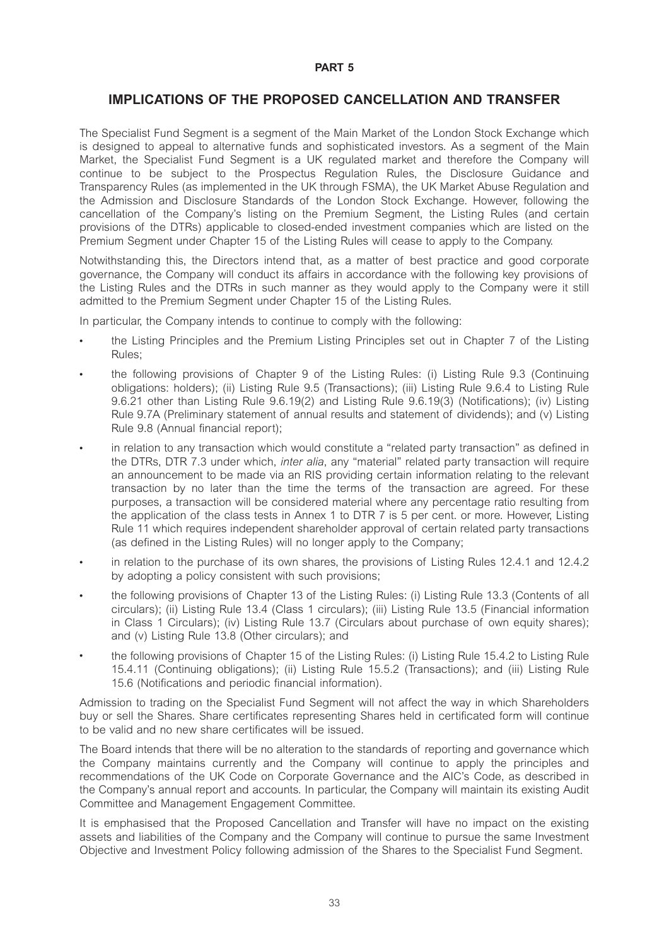# **IMPLICATIONS OF THE PROPOSED CANCELLATION AND TRANSFER**

The Specialist Fund Segment is a segment of the Main Market of the London Stock Exchange which is designed to appeal to alternative funds and sophisticated investors. As a segment of the Main Market, the Specialist Fund Segment is a UK regulated market and therefore the Company will continue to be subject to the Prospectus Regulation Rules, the Disclosure Guidance and Transparency Rules (as implemented in the UK through FSMA), the UK Market Abuse Regulation and the Admission and Disclosure Standards of the London Stock Exchange. However, following the cancellation of the Company's listing on the Premium Segment, the Listing Rules (and certain provisions of the DTRs) applicable to closed-ended investment companies which are listed on the Premium Segment under Chapter 15 of the Listing Rules will cease to apply to the Company.

Notwithstanding this, the Directors intend that, as a matter of best practice and good corporate governance, the Company will conduct its affairs in accordance with the following key provisions of the Listing Rules and the DTRs in such manner as they would apply to the Company were it still admitted to the Premium Segment under Chapter 15 of the Listing Rules.

In particular, the Company intends to continue to comply with the following:

- <sup>l</sup> the Listing Principles and the Premium Listing Principles set out in Chapter 7 of the Listing Rules;
- the following provisions of Chapter 9 of the Listing Rules: (i) Listing Rule 9.3 (Continuing obligations: holders); (ii) Listing Rule 9.5 (Transactions); (iii) Listing Rule 9.6.4 to Listing Rule 9.6.21 other than Listing Rule 9.6.19(2) and Listing Rule 9.6.19(3) (Notifications); (iv) Listing Rule 9.7A (Preliminary statement of annual results and statement of dividends); and (v) Listing Rule 9.8 (Annual financial report);
- in relation to any transaction which would constitute a "related party transaction" as defined in the DTRs, DTR 7.3 under which, *inter alia*, any "material" related party transaction will require an announcement to be made via an RIS providing certain information relating to the relevant transaction by no later than the time the terms of the transaction are agreed. For these purposes, a transaction will be considered material where any percentage ratio resulting from the application of the class tests in Annex 1 to DTR 7 is 5 per cent. or more. However, Listing Rule 11 which requires independent shareholder approval of certain related party transactions (as defined in the Listing Rules) will no longer apply to the Company;
- in relation to the purchase of its own shares, the provisions of Listing Rules 12.4.1 and 12.4.2 by adopting a policy consistent with such provisions;
- the following provisions of Chapter 13 of the Listing Rules: (i) Listing Rule 13.3 (Contents of all circulars); (ii) Listing Rule 13.4 (Class 1 circulars); (iii) Listing Rule 13.5 (Financial information in Class 1 Circulars); (iv) Listing Rule 13.7 (Circulars about purchase of own equity shares); and (v) Listing Rule 13.8 (Other circulars); and
- <sup>l</sup> the following provisions of Chapter 15 of the Listing Rules: (i) Listing Rule 15.4.2 to Listing Rule 15.4.11 (Continuing obligations); (ii) Listing Rule 15.5.2 (Transactions); and (iii) Listing Rule 15.6 (Notifications and periodic financial information).

Admission to trading on the Specialist Fund Segment will not affect the way in which Shareholders buy or sell the Shares. Share certificates representing Shares held in certificated form will continue to be valid and no new share certificates will be issued.

The Board intends that there will be no alteration to the standards of reporting and governance which the Company maintains currently and the Company will continue to apply the principles and recommendations of the UK Code on Corporate Governance and the AIC's Code, as described in the Company's annual report and accounts. In particular, the Company will maintain its existing Audit Committee and Management Engagement Committee.

It is emphasised that the Proposed Cancellation and Transfer will have no impact on the existing assets and liabilities of the Company and the Company will continue to pursue the same Investment Objective and Investment Policy following admission of the Shares to the Specialist Fund Segment.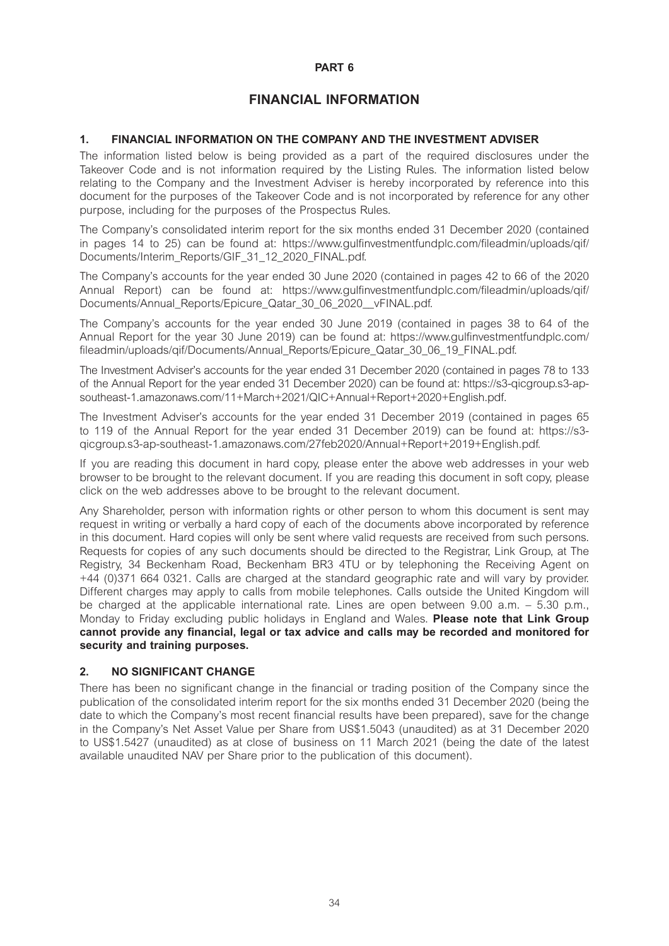# **FINANCIAL INFORMATION**

# **1. FINANCIAL INFORMATION ON THE COMPANY AND THE INVESTMENT ADVISER**

The information listed below is being provided as a part of the required disclosures under the Takeover Code and is not information required by the Listing Rules. The information listed below relating to the Company and the Investment Adviser is hereby incorporated by reference into this document for the purposes of the Takeover Code and is not incorporated by reference for any other purpose, including for the purposes of the Prospectus Rules.

The Company's consolidated interim report for the six months ended 31 December 2020 (contained in pages 14 to 25) can be found at: https://www.gulfinvestmentfundplc.com/fileadmin/uploads/qif/ Documents/Interim\_Reports/GIF\_31\_12\_2020\_FINAL.pdf.

The Company's accounts for the year ended 30 June 2020 (contained in pages 42 to 66 of the 2020 Annual Report) can be found at: https://www.gulfinvestmentfundplc.com/fileadmin/uploads/qif/ Documents/Annual Reports/Epicure Qatar 30\_06\_2020\_\_vFINAL.pdf.

The Company's accounts for the year ended 30 June 2019 (contained in pages 38 to 64 of the Annual Report for the year 30 June 2019) can be found at: https://www.gulfinvestmentfundplc.com/ fileadmin/uploads/qif/Documents/Annual\_Reports/Epicure\_Qatar\_30\_06\_19\_FINAL.pdf.

The Investment Adviser's accounts for the year ended 31 December 2020 (contained in pages 78 to 133 of the Annual Report for the year ended 31 December 2020) can be found at: https://s3-qicgroup.s3-apsoutheast-1.amazonaws.com/11+March+2021/QIC+Annual+Report+2020+English.pdf.

The Investment Adviser's accounts for the year ended 31 December 2019 (contained in pages 65 to 119 of the Annual Report for the year ended 31 December 2019) can be found at: https://s3 qicgroup.s3-ap-southeast-1.amazonaws.com/27feb2020/Annual+Report+2019+English.pdf.

If you are reading this document in hard copy, please enter the above web addresses in your web browser to be brought to the relevant document. If you are reading this document in soft copy, please click on the web addresses above to be brought to the relevant document.

Any Shareholder, person with information rights or other person to whom this document is sent may request in writing or verbally a hard copy of each of the documents above incorporated by reference in this document. Hard copies will only be sent where valid requests are received from such persons. Requests for copies of any such documents should be directed to the Registrar, Link Group, at The Registry, 34 Beckenham Road, Beckenham BR3 4TU or by telephoning the Receiving Agent on +44 (0)371 664 0321. Calls are charged at the standard geographic rate and will vary by provider. Different charges may apply to calls from mobile telephones. Calls outside the United Kingdom will be charged at the applicable international rate. Lines are open between 9.00 a.m. – 5.30 p.m., Monday to Friday excluding public holidays in England and Wales. **Please note that Link Group cannot provide any financial, legal or tax advice and calls may be recorded and monitored for security and training purposes.**

# **2. NO SIGNIFICANT CHANGE**

There has been no significant change in the financial or trading position of the Company since the publication of the consolidated interim report for the six months ended 31 December 2020 (being the date to which the Company's most recent financial results have been prepared), save for the change in the Company's Net Asset Value per Share from US\$1.5043 (unaudited) as at 31 December 2020 to US\$1.5427 (unaudited) as at close of business on 11 March 2021 (being the date of the latest available unaudited NAV per Share prior to the publication of this document).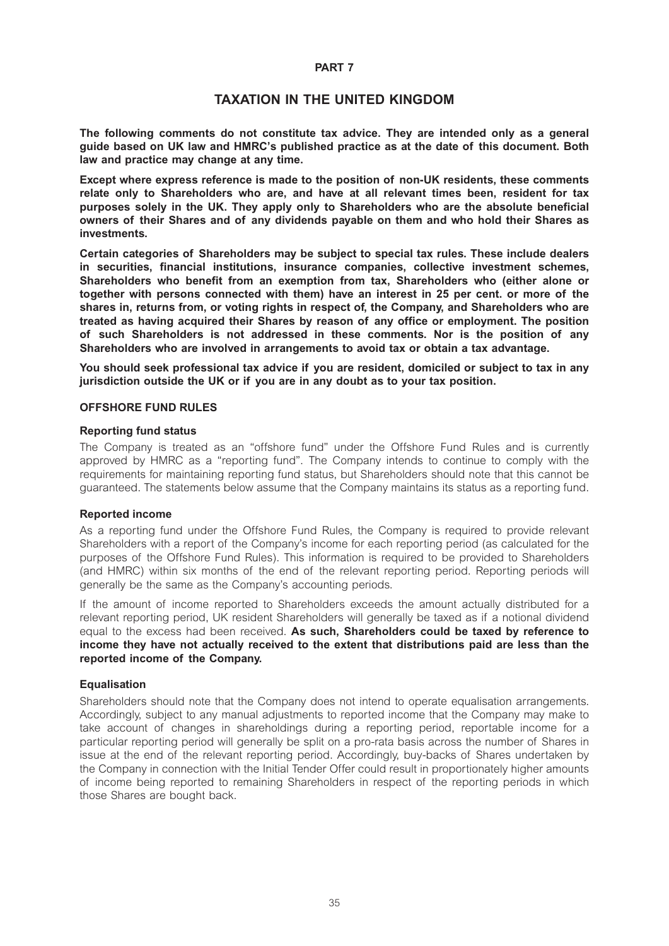#### **PART 7**

# **TAXATION IN THE UNITED KINGDOM**

**The following comments do not constitute tax advice. They are intended only as a general guide based on UK law and HMRC's published practice as at the date of this document. Both law and practice may change at any time.** 

**Except where express reference is made to the position of non-UK residents, these comments relate only to Shareholders who are, and have at all relevant times been, resident for tax purposes solely in the UK. They apply only to Shareholders who are the absolute beneficial owners of their Shares and of any dividends payable on them and who hold their Shares as investments.** 

**Certain categories of Shareholders may be subject to special tax rules. These include dealers in securities, financial institutions, insurance companies, collective investment schemes, Shareholders who benefit from an exemption from tax, Shareholders who (either alone or together with persons connected with them) have an interest in 25 per cent. or more of the shares in, returns from, or voting rights in respect of, the Company, and Shareholders who are treated as having acquired their Shares by reason of any office or employment. The position of such Shareholders is not addressed in these comments. Nor is the position of any Shareholders who are involved in arrangements to avoid tax or obtain a tax advantage.** 

**You should seek professional tax advice if you are resident, domiciled or subject to tax in any jurisdiction outside the UK or if you are in any doubt as to your tax position.** 

#### **OFFSHORE FUND RULES**

#### **Reporting fund status**

The Company is treated as an "offshore fund" under the Offshore Fund Rules and is currently approved by HMRC as a "reporting fund". The Company intends to continue to comply with the requirements for maintaining reporting fund status, but Shareholders should note that this cannot be guaranteed. The statements below assume that the Company maintains its status as a reporting fund.

# **Reported income**

As a reporting fund under the Offshore Fund Rules, the Company is required to provide relevant Shareholders with a report of the Company's income for each reporting period (as calculated for the purposes of the Offshore Fund Rules). This information is required to be provided to Shareholders (and HMRC) within six months of the end of the relevant reporting period. Reporting periods will generally be the same as the Company's accounting periods.

If the amount of income reported to Shareholders exceeds the amount actually distributed for a relevant reporting period, UK resident Shareholders will generally be taxed as if a notional dividend equal to the excess had been received. **As such, Shareholders could be taxed by reference to income they have not actually received to the extent that distributions paid are less than the reported income of the Company.** 

# **Equalisation**

Shareholders should note that the Company does not intend to operate equalisation arrangements. Accordingly, subject to any manual adjustments to reported income that the Company may make to take account of changes in shareholdings during a reporting period, reportable income for a particular reporting period will generally be split on a pro-rata basis across the number of Shares in issue at the end of the relevant reporting period. Accordingly, buy-backs of Shares undertaken by the Company in connection with the Initial Tender Offer could result in proportionately higher amounts of income being reported to remaining Shareholders in respect of the reporting periods in which those Shares are bought back.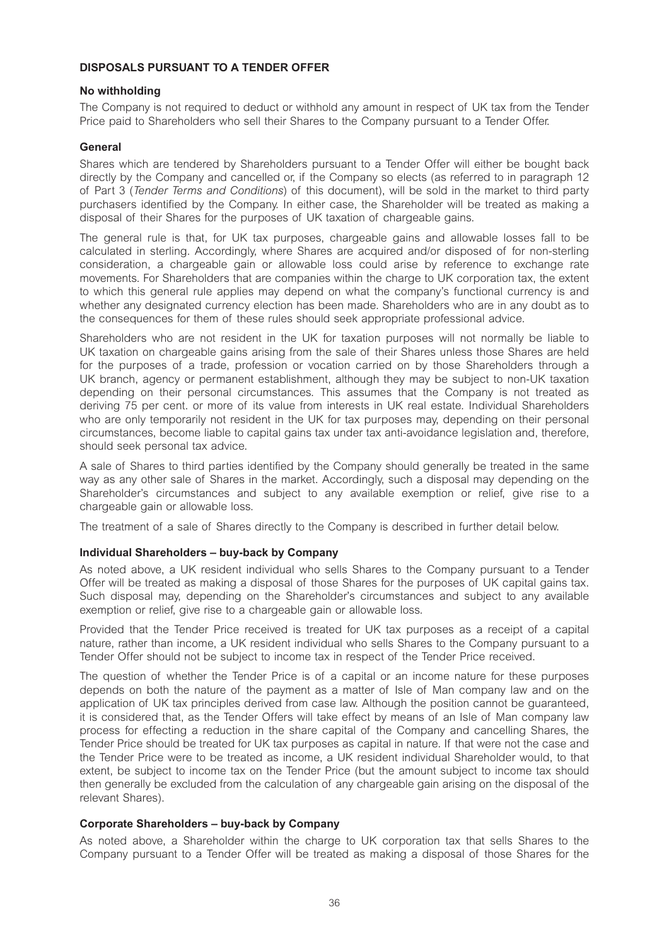# **DISPOSALS PURSUANT TO A TENDER OFFER**

# **No withholding**

The Company is not required to deduct or withhold any amount in respect of UK tax from the Tender Price paid to Shareholders who sell their Shares to the Company pursuant to a Tender Offer.

# **General**

Shares which are tendered by Shareholders pursuant to a Tender Offer will either be bought back directly by the Company and cancelled or, if the Company so elects (as referred to in paragraph 12 of Part 3 (*Tender Terms and Conditions*) of this document), will be sold in the market to third party purchasers identified by the Company. In either case, the Shareholder will be treated as making a disposal of their Shares for the purposes of UK taxation of chargeable gains.

The general rule is that, for UK tax purposes, chargeable gains and allowable losses fall to be calculated in sterling. Accordingly, where Shares are acquired and/or disposed of for non-sterling consideration, a chargeable gain or allowable loss could arise by reference to exchange rate movements. For Shareholders that are companies within the charge to UK corporation tax, the extent to which this general rule applies may depend on what the company's functional currency is and whether any designated currency election has been made. Shareholders who are in any doubt as to the consequences for them of these rules should seek appropriate professional advice.

Shareholders who are not resident in the UK for taxation purposes will not normally be liable to UK taxation on chargeable gains arising from the sale of their Shares unless those Shares are held for the purposes of a trade, profession or vocation carried on by those Shareholders through a UK branch, agency or permanent establishment, although they may be subject to non-UK taxation depending on their personal circumstances. This assumes that the Company is not treated as deriving 75 per cent. or more of its value from interests in UK real estate. Individual Shareholders who are only temporarily not resident in the UK for tax purposes may, depending on their personal circumstances, become liable to capital gains tax under tax anti-avoidance legislation and, therefore, should seek personal tax advice.

A sale of Shares to third parties identified by the Company should generally be treated in the same way as any other sale of Shares in the market. Accordingly, such a disposal may depending on the Shareholder's circumstances and subject to any available exemption or relief, give rise to a chargeable gain or allowable loss.

The treatment of a sale of Shares directly to the Company is described in further detail below.

# **Individual Shareholders – buy-back by Company**

As noted above, a UK resident individual who sells Shares to the Company pursuant to a Tender Offer will be treated as making a disposal of those Shares for the purposes of UK capital gains tax. Such disposal may, depending on the Shareholder's circumstances and subject to any available exemption or relief, give rise to a chargeable gain or allowable loss.

Provided that the Tender Price received is treated for UK tax purposes as a receipt of a capital nature, rather than income, a UK resident individual who sells Shares to the Company pursuant to a Tender Offer should not be subject to income tax in respect of the Tender Price received.

The question of whether the Tender Price is of a capital or an income nature for these purposes depends on both the nature of the payment as a matter of Isle of Man company law and on the application of UK tax principles derived from case law. Although the position cannot be guaranteed, it is considered that, as the Tender Offers will take effect by means of an Isle of Man company law process for effecting a reduction in the share capital of the Company and cancelling Shares, the Tender Price should be treated for UK tax purposes as capital in nature. If that were not the case and the Tender Price were to be treated as income, a UK resident individual Shareholder would, to that extent, be subject to income tax on the Tender Price (but the amount subject to income tax should then generally be excluded from the calculation of any chargeable gain arising on the disposal of the relevant Shares).

# **Corporate Shareholders – buy-back by Company**

As noted above, a Shareholder within the charge to UK corporation tax that sells Shares to the Company pursuant to a Tender Offer will be treated as making a disposal of those Shares for the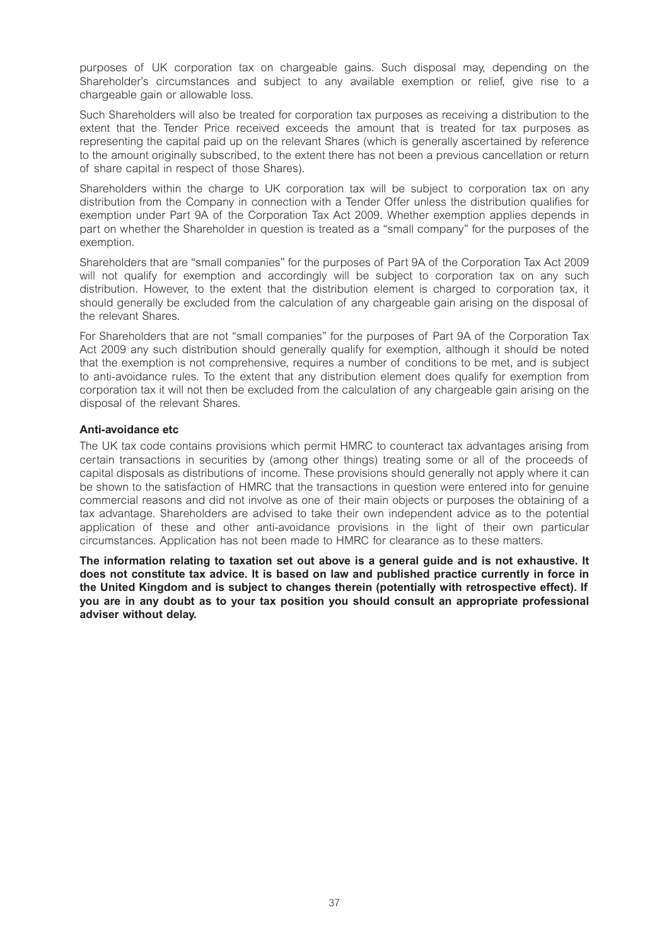purposes of UK corporation tax on chargeable gains. Such disposal may, depending on the Shareholder's circumstances and subject to any available exemption or relief, give rise to a chargeable gain or allowable loss.

Such Shareholders will also be treated for corporation tax purposes as receiving a distribution to the extent that the Tender Price received exceeds the amount that is treated for tax purposes as representing the capital paid up on the relevant Shares (which is generally ascertained by reference to the amount originally subscribed, to the extent there has not been a previous cancellation or return of share capital in respect of those Shares).

Shareholders within the charge to UK corporation tax will be subject to corporation tax on any distribution from the Company in connection with a Tender Offer unless the distribution qualifies for exemption under Part 9A of the Corporation Tax Act 2009. Whether exemption applies depends in part on whether the Shareholder in question is treated as a "small company" for the purposes of the exemption.

Shareholders that are "small companies" for the purposes of Part 9A of the Corporation Tax Act 2009 will not qualify for exemption and accordingly will be subject to corporation tax on any such distribution. However, to the extent that the distribution element is charged to corporation tax, it should generally be excluded from the calculation of any chargeable gain arising on the disposal of the relevant Shares.

For Shareholders that are not "small companies" for the purposes of Part 9A of the Corporation Tax Act 2009 any such distribution should generally qualify for exemption, although it should be noted that the exemption is not comprehensive, requires a number of conditions to be met, and is subject to anti-avoidance rules. To the extent that any distribution element does qualify for exemption from corporation tax it will not then be excluded from the calculation of any chargeable gain arising on the disposal of the relevant Shares.

#### **Anti-avoidance etc**

The UK tax code contains provisions which permit HMRC to counteract tax advantages arising from certain transactions in securities by (among other things) treating some or all of the proceeds of capital disposals as distributions of income. These provisions should generally not apply where it can be shown to the satisfaction of HMRC that the transactions in question were entered into for genuine commercial reasons and did not involve as one of their main objects or purposes the obtaining of a tax advantage. Shareholders are advised to take their own independent advice as to the potential application of these and other anti-avoidance provisions in the light of their own particular circumstances. Application has not been made to HMRC for clearance as to these matters.

**The information relating to taxation set out above is a general guide and is not exhaustive. It does not constitute tax advice. It is based on law and published practice currently in force in the United Kingdom and is subject to changes therein (potentially with retrospective effect). If you are in any doubt as to your tax position you should consult an appropriate professional adviser without delay.**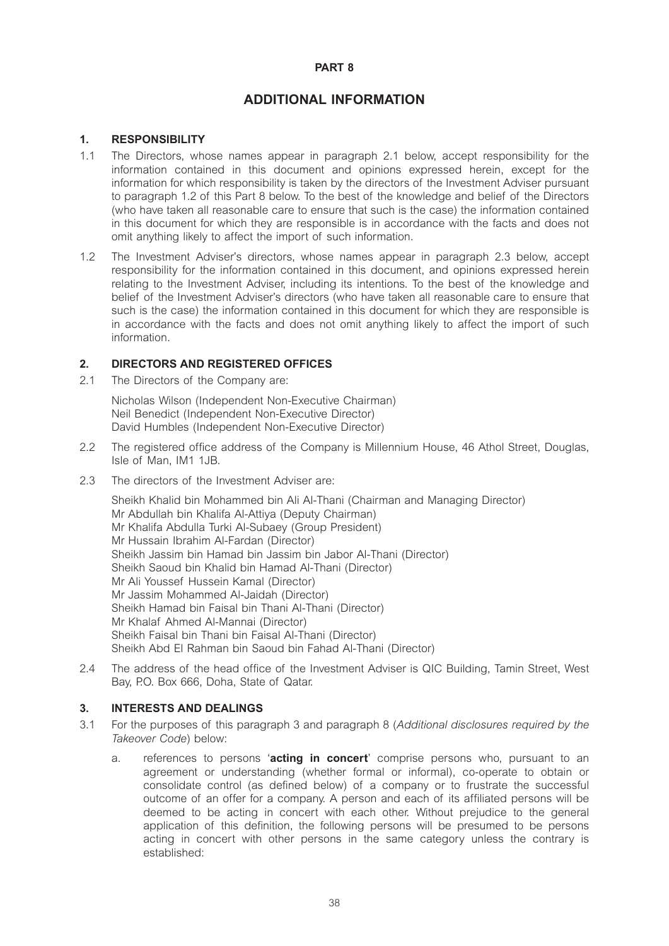#### **PART 8**

# **ADDITIONAL INFORMATION**

# **1. RESPONSIBILITY**

- 1.1 The Directors, whose names appear in paragraph 2.1 below, accept responsibility for the information contained in this document and opinions expressed herein, except for the information for which responsibility is taken by the directors of the Investment Adviser pursuant to paragraph 1.2 of this Part 8 below. To the best of the knowledge and belief of the Directors (who have taken all reasonable care to ensure that such is the case) the information contained in this document for which they are responsible is in accordance with the facts and does not omit anything likely to affect the import of such information.
- 1.2 The Investment Adviser's directors, whose names appear in paragraph 2.3 below, accept responsibility for the information contained in this document, and opinions expressed herein relating to the Investment Adviser, including its intentions. To the best of the knowledge and belief of the Investment Adviser's directors (who have taken all reasonable care to ensure that such is the case) the information contained in this document for which they are responsible is in accordance with the facts and does not omit anything likely to affect the import of such information.

# **2. DIRECTORS AND REGISTERED OFFICES**

2.1 The Directors of the Company are:

Nicholas Wilson (Independent Non-Executive Chairman) Neil Benedict (Independent Non-Executive Director) David Humbles (Independent Non-Executive Director)

- 2.2 The registered office address of the Company is Millennium House, 46 Athol Street, Douglas, Isle of Man, IM1 1JB.
- 2.3 The directors of the Investment Adviser are:

Sheikh Khalid bin Mohammed bin Ali Al-Thani (Chairman and Managing Director) Mr Abdullah bin Khalifa Al-Attiya (Deputy Chairman) Mr Khalifa Abdulla Turki Al-Subaey (Group President) Mr Hussain Ibrahim Al-Fardan (Director) Sheikh Jassim bin Hamad bin Jassim bin Jabor Al-Thani (Director) Sheikh Saoud bin Khalid bin Hamad Al-Thani (Director) Mr Ali Youssef Hussein Kamal (Director) Mr Jassim Mohammed Al-Jaidah (Director) Sheikh Hamad bin Faisal bin Thani Al-Thani (Director) Mr Khalaf Ahmed Al-Mannai (Director) Sheikh Faisal bin Thani bin Faisal Al-Thani (Director) Sheikh Abd El Rahman bin Saoud bin Fahad Al-Thani (Director)

2.4 The address of the head office of the Investment Adviser is QIC Building, Tamin Street, West Bay, P.O. Box 666, Doha, State of Qatar.

# **3. INTERESTS AND DEALINGS**

- 3.1 For the purposes of this paragraph 3 and paragraph 8 (*Additional disclosures required by the Takeover Code*) below:
	- a. references to persons '**acting in concert**' comprise persons who, pursuant to an agreement or understanding (whether formal or informal), co-operate to obtain or consolidate control (as defined below) of a company or to frustrate the successful outcome of an offer for a company. A person and each of its affiliated persons will be deemed to be acting in concert with each other. Without prejudice to the general application of this definition, the following persons will be presumed to be persons acting in concert with other persons in the same category unless the contrary is established: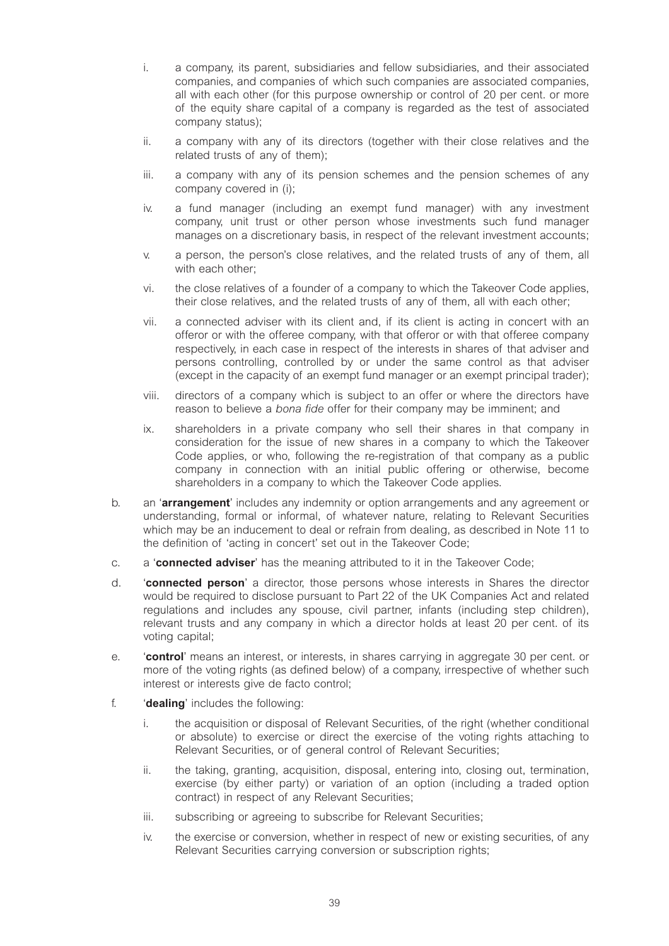- i. a company, its parent, subsidiaries and fellow subsidiaries, and their associated companies, and companies of which such companies are associated companies, all with each other (for this purpose ownership or control of 20 per cent. or more of the equity share capital of a company is regarded as the test of associated company status);
- ii. a company with any of its directors (together with their close relatives and the related trusts of any of them);
- iii. a company with any of its pension schemes and the pension schemes of any company covered in (i);
- iv. a fund manager (including an exempt fund manager) with any investment company, unit trust or other person whose investments such fund manager manages on a discretionary basis, in respect of the relevant investment accounts;
- v. a person, the person's close relatives, and the related trusts of any of them, all with each other:
- vi. the close relatives of a founder of a company to which the Takeover Code applies, their close relatives, and the related trusts of any of them, all with each other;
- vii. a connected adviser with its client and, if its client is acting in concert with an offeror or with the offeree company, with that offeror or with that offeree company respectively, in each case in respect of the interests in shares of that adviser and persons controlling, controlled by or under the same control as that adviser (except in the capacity of an exempt fund manager or an exempt principal trader);
- viii. directors of a company which is subject to an offer or where the directors have reason to believe a *bona fide* offer for their company may be imminent; and
- ix. shareholders in a private company who sell their shares in that company in consideration for the issue of new shares in a company to which the Takeover Code applies, or who, following the re-registration of that company as a public company in connection with an initial public offering or otherwise, become shareholders in a company to which the Takeover Code applies.
- b. an '**arrangement**' includes any indemnity or option arrangements and any agreement or understanding, formal or informal, of whatever nature, relating to Relevant Securities which may be an inducement to deal or refrain from dealing, as described in Note 11 to the definition of 'acting in concert' set out in the Takeover Code;
- c. a '**connected adviser**' has the meaning attributed to it in the Takeover Code;
- d. '**connected person**' a director, those persons whose interests in Shares the director would be required to disclose pursuant to Part 22 of the UK Companies Act and related regulations and includes any spouse, civil partner, infants (including step children), relevant trusts and any company in which a director holds at least 20 per cent. of its voting capital;
- e. '**control**' means an interest, or interests, in shares carrying in aggregate 30 per cent. or more of the voting rights (as defined below) of a company, irrespective of whether such interest or interests give de facto control;
- f. '**dealing**' includes the following:
	- i. the acquisition or disposal of Relevant Securities, of the right (whether conditional or absolute) to exercise or direct the exercise of the voting rights attaching to Relevant Securities, or of general control of Relevant Securities;
	- ii. the taking, granting, acquisition, disposal, entering into, closing out, termination, exercise (by either party) or variation of an option (including a traded option contract) in respect of any Relevant Securities;
	- iii. subscribing or agreeing to subscribe for Relevant Securities;
	- iv. the exercise or conversion, whether in respect of new or existing securities, of any Relevant Securities carrying conversion or subscription rights;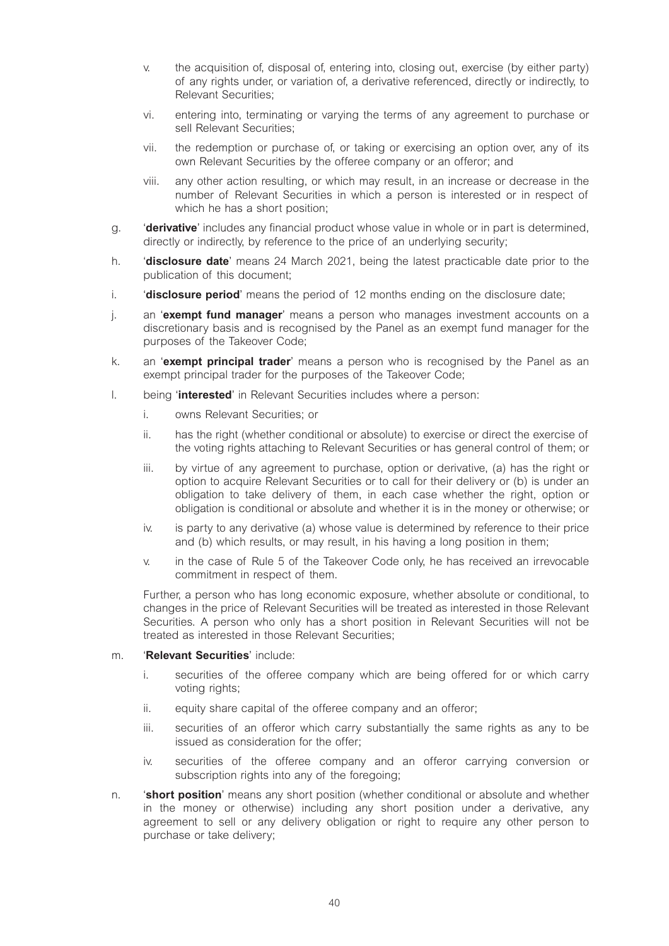- v. the acquisition of, disposal of, entering into, closing out, exercise (by either party) of any rights under, or variation of, a derivative referenced, directly or indirectly, to Relevant Securities;
- vi. entering into, terminating or varying the terms of any agreement to purchase or sell Relevant Securities;
- vii. the redemption or purchase of, or taking or exercising an option over, any of its own Relevant Securities by the offeree company or an offeror; and
- viii. any other action resulting, or which may result, in an increase or decrease in the number of Relevant Securities in which a person is interested or in respect of which he has a short position:
- g. '**derivative**' includes any financial product whose value in whole or in part is determined, directly or indirectly, by reference to the price of an underlying security;
- h. '**disclosure date**' means 24 March 2021, being the latest practicable date prior to the publication of this document;
- i. '**disclosure period**' means the period of 12 months ending on the disclosure date;
- j. an '**exempt fund manager**' means a person who manages investment accounts on a discretionary basis and is recognised by the Panel as an exempt fund manager for the purposes of the Takeover Code;
- k. an '**exempt principal trader**' means a person who is recognised by the Panel as an exempt principal trader for the purposes of the Takeover Code;
- l. being '**interested**' in Relevant Securities includes where a person:
	- i. owns Relevant Securities; or
	- ii. has the right (whether conditional or absolute) to exercise or direct the exercise of the voting rights attaching to Relevant Securities or has general control of them; or
	- iii. by virtue of any agreement to purchase, option or derivative, (a) has the right or option to acquire Relevant Securities or to call for their delivery or (b) is under an obligation to take delivery of them, in each case whether the right, option or obligation is conditional or absolute and whether it is in the money or otherwise; or
	- iv. is party to any derivative (a) whose value is determined by reference to their price and (b) which results, or may result, in his having a long position in them;
	- v. in the case of Rule 5 of the Takeover Code only, he has received an irrevocable commitment in respect of them.

Further, a person who has long economic exposure, whether absolute or conditional, to changes in the price of Relevant Securities will be treated as interested in those Relevant Securities. A person who only has a short position in Relevant Securities will not be treated as interested in those Relevant Securities;

#### m. '**Relevant Securities**' include:

- i. securities of the offeree company which are being offered for or which carry voting rights;
- ii. equity share capital of the offeree company and an offeror;
- iii. securities of an offeror which carry substantially the same rights as any to be issued as consideration for the offer;
- iv. securities of the offeree company and an offeror carrying conversion or subscription rights into any of the foregoing;
- n. '**short position**' means any short position (whether conditional or absolute and whether in the money or otherwise) including any short position under a derivative, any agreement to sell or any delivery obligation or right to require any other person to purchase or take delivery;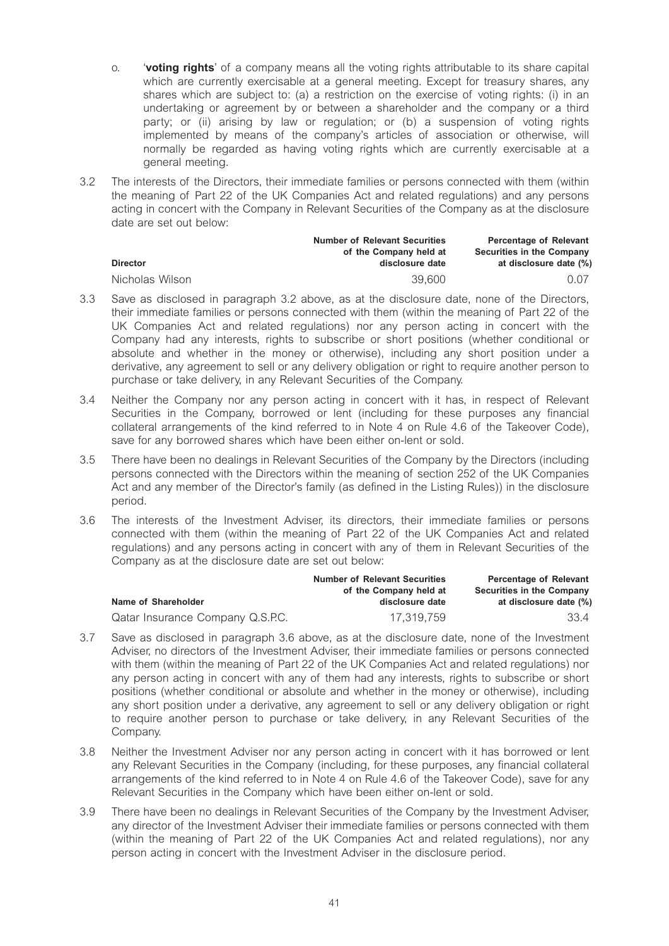- o. '**voting rights**' of a company means all the voting rights attributable to its share capital which are currently exercisable at a general meeting. Except for treasury shares, any shares which are subject to: (a) a restriction on the exercise of voting rights: (i) in an undertaking or agreement by or between a shareholder and the company or a third party; or (ii) arising by law or regulation; or (b) a suspension of voting rights implemented by means of the company's articles of association or otherwise, will normally be regarded as having voting rights which are currently exercisable at a general meeting.
- 3.2 The interests of the Directors, their immediate families or persons connected with them (within the meaning of Part 22 of the UK Companies Act and related regulations) and any persons acting in concert with the Company in Relevant Securities of the Company as at the disclosure date are set out below:

|                 | <b>Number of Relevant Securities</b><br>of the Company held at | <b>Percentage of Relevant</b><br>Securities in the Company |
|-----------------|----------------------------------------------------------------|------------------------------------------------------------|
| <b>Director</b> | disclosure date                                                | at disclosure date (%)                                     |
| Nicholas Wilson | 39.600                                                         | 0.07                                                       |

- 3.3 Save as disclosed in paragraph 3.2 above, as at the disclosure date, none of the Directors, their immediate families or persons connected with them (within the meaning of Part 22 of the UK Companies Act and related regulations) nor any person acting in concert with the Company had any interests, rights to subscribe or short positions (whether conditional or absolute and whether in the money or otherwise), including any short position under a derivative, any agreement to sell or any delivery obligation or right to require another person to purchase or take delivery, in any Relevant Securities of the Company.
- 3.4 Neither the Company nor any person acting in concert with it has, in respect of Relevant Securities in the Company, borrowed or lent (including for these purposes any financial collateral arrangements of the kind referred to in Note 4 on Rule 4.6 of the Takeover Code), save for any borrowed shares which have been either on-lent or sold.
- 3.5 There have been no dealings in Relevant Securities of the Company by the Directors (including persons connected with the Directors within the meaning of section 252 of the UK Companies Act and any member of the Director's family (as defined in the Listing Rules)) in the disclosure period.
- 3.6 The interests of the Investment Adviser, its directors, their immediate families or persons connected with them (within the meaning of Part 22 of the UK Companies Act and related regulations) and any persons acting in concert with any of them in Relevant Securities of the Company as at the disclosure date are set out below:

| Name of Shareholder              | <b>Number of Relevant Securities</b><br>of the Company held at<br>disclosure date | <b>Percentage of Relevant</b><br>Securities in the Company<br>at disclosure date (%) |
|----------------------------------|-----------------------------------------------------------------------------------|--------------------------------------------------------------------------------------|
| Qatar Insurance Company Q.S.P.C. | 17.319.759                                                                        | 33.4                                                                                 |

- 3.7 Save as disclosed in paragraph 3.6 above, as at the disclosure date, none of the Investment Adviser, no directors of the Investment Adviser, their immediate families or persons connected with them (within the meaning of Part 22 of the UK Companies Act and related regulations) nor any person acting in concert with any of them had any interests, rights to subscribe or short positions (whether conditional or absolute and whether in the money or otherwise), including any short position under a derivative, any agreement to sell or any delivery obligation or right to require another person to purchase or take delivery, in any Relevant Securities of the Company.
- 3.8 Neither the Investment Adviser nor any person acting in concert with it has borrowed or lent any Relevant Securities in the Company (including, for these purposes, any financial collateral arrangements of the kind referred to in Note 4 on Rule 4.6 of the Takeover Code), save for any Relevant Securities in the Company which have been either on-lent or sold.
- 3.9 There have been no dealings in Relevant Securities of the Company by the Investment Adviser, any director of the Investment Adviser their immediate families or persons connected with them (within the meaning of Part 22 of the UK Companies Act and related regulations), nor any person acting in concert with the Investment Adviser in the disclosure period.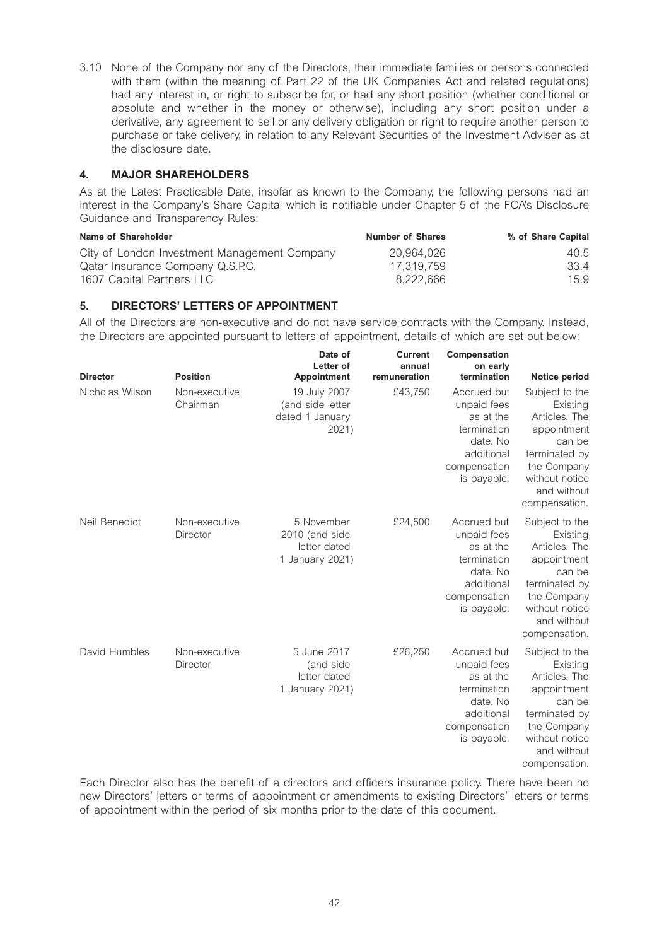3.10 None of the Company nor any of the Directors, their immediate families or persons connected with them (within the meaning of Part 22 of the UK Companies Act and related regulations) had any interest in, or right to subscribe for, or had any short position (whether conditional or absolute and whether in the money or otherwise), including any short position under a derivative, any agreement to sell or any delivery obligation or right to require another person to purchase or take delivery, in relation to any Relevant Securities of the Investment Adviser as at the disclosure date.

# **4. MAJOR SHAREHOLDERS**

As at the Latest Practicable Date, insofar as known to the Company, the following persons had an interest in the Company's Share Capital which is notifiable under Chapter 5 of the FCA's Disclosure Guidance and Transparency Rules:

| Name of Shareholder                          | <b>Number of Shares</b> | % of Share Capital |
|----------------------------------------------|-------------------------|--------------------|
| City of London Investment Management Company | 20.964.026              | 40.5               |
| Qatar Insurance Company Q.S.P.C.             | 17.319.759              | 33.4               |
| 1607 Capital Partners LLC                    | 8.222.666               | 15.9               |

# **5. DIRECTORS' LETTERS OF APPOINTMENT**

All of the Directors are non-executive and do not have service contracts with the Company. Instead, the Directors are appointed pursuant to letters of appointment, details of which are set out below:

| <b>Director</b> | <b>Position</b>           | Date of<br>Letter of<br>Appointment                             | <b>Current</b><br>annual<br>remuneration | Compensation<br>on early<br>termination                                                                         | Notice period                                                                                                                                          |
|-----------------|---------------------------|-----------------------------------------------------------------|------------------------------------------|-----------------------------------------------------------------------------------------------------------------|--------------------------------------------------------------------------------------------------------------------------------------------------------|
| Nicholas Wilson | Non-executive<br>Chairman | 19 July 2007<br>(and side letter<br>dated 1 January<br>2021)    | £43,750                                  | Accrued but<br>unpaid fees<br>as at the<br>termination<br>date. No<br>additional<br>compensation<br>is payable. | Subject to the<br>Existing<br>Articles. The<br>appointment<br>can be<br>terminated by<br>the Company<br>without notice<br>and without<br>compensation. |
| Neil Benedict   | Non-executive<br>Director | 5 November<br>2010 (and side<br>letter dated<br>1 January 2021) | £24,500                                  | Accrued but<br>unpaid fees<br>as at the<br>termination<br>date. No<br>additional<br>compensation<br>is payable. | Subject to the<br>Existing<br>Articles. The<br>appointment<br>can be<br>terminated by<br>the Company<br>without notice<br>and without<br>compensation. |
| David Humbles   | Non-executive<br>Director | 5 June 2017<br>(and side<br>letter dated<br>1 January 2021)     | £26,250                                  | Accrued but<br>unpaid fees<br>as at the<br>termination<br>date. No<br>additional<br>compensation<br>is payable. | Subject to the<br>Existing<br>Articles. The<br>appointment<br>can be<br>terminated by<br>the Company<br>without notice<br>and without<br>compensation. |

Each Director also has the benefit of a directors and officers insurance policy. There have been no new Directors' letters or terms of appointment or amendments to existing Directors' letters or terms of appointment within the period of six months prior to the date of this document.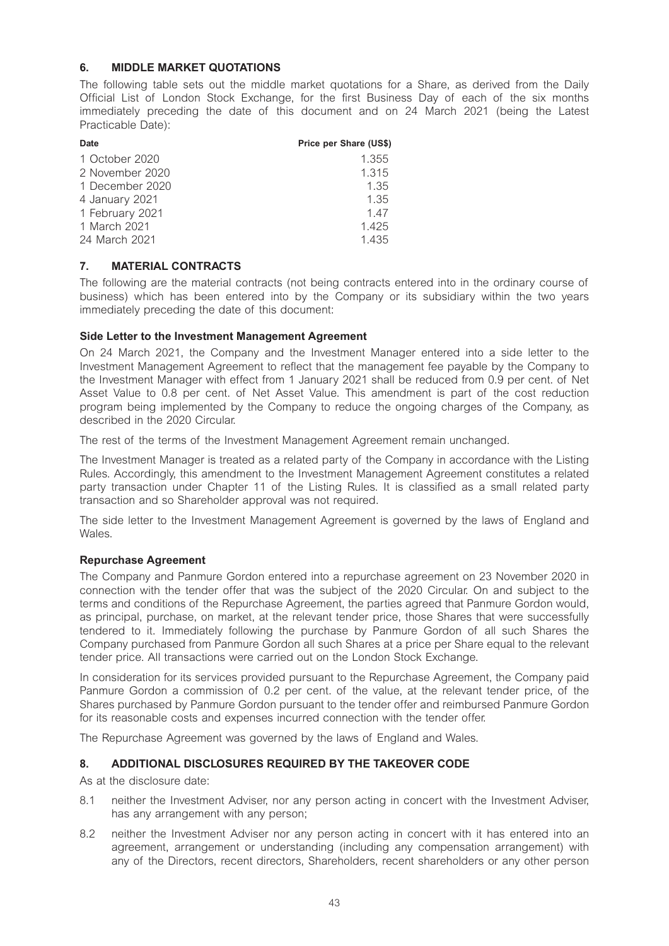# **6. MIDDLE MARKET QUOTATIONS**

The following table sets out the middle market quotations for a Share, as derived from the Daily Official List of London Stock Exchange, for the first Business Day of each of the six months immediately preceding the date of this document and on 24 March 2021 (being the Latest Practicable Date):

| Date            | Price per Share (US\$) |
|-----------------|------------------------|
| 1 October 2020  | 1.355                  |
| 2 November 2020 | 1.315                  |
| 1 December 2020 | 1.35                   |
| 4 January 2021  | 1.35                   |
| 1 February 2021 | 1.47                   |
| 1 March 2021    | 1.425                  |
| 24 March 2021   | 1.435                  |

# **7. MATERIAL CONTRACTS**

The following are the material contracts (not being contracts entered into in the ordinary course of business) which has been entered into by the Company or its subsidiary within the two years immediately preceding the date of this document:

# **Side Letter to the Investment Management Agreement**

On 24 March 2021, the Company and the Investment Manager entered into a side letter to the Investment Management Agreement to reflect that the management fee payable by the Company to the Investment Manager with effect from 1 January 2021 shall be reduced from 0.9 per cent. of Net Asset Value to 0.8 per cent. of Net Asset Value. This amendment is part of the cost reduction program being implemented by the Company to reduce the ongoing charges of the Company, as described in the 2020 Circular.

The rest of the terms of the Investment Management Agreement remain unchanged.

The Investment Manager is treated as a related party of the Company in accordance with the Listing Rules. Accordingly, this amendment to the Investment Management Agreement constitutes a related party transaction under Chapter 11 of the Listing Rules. It is classified as a small related party transaction and so Shareholder approval was not required.

The side letter to the Investment Management Agreement is governed by the laws of England and Wales.

# **Repurchase Agreement**

The Company and Panmure Gordon entered into a repurchase agreement on 23 November 2020 in connection with the tender offer that was the subject of the 2020 Circular. On and subject to the terms and conditions of the Repurchase Agreement, the parties agreed that Panmure Gordon would, as principal, purchase, on market, at the relevant tender price, those Shares that were successfully tendered to it. Immediately following the purchase by Panmure Gordon of all such Shares the Company purchased from Panmure Gordon all such Shares at a price per Share equal to the relevant tender price. All transactions were carried out on the London Stock Exchange.

In consideration for its services provided pursuant to the Repurchase Agreement, the Company paid Panmure Gordon a commission of 0.2 per cent. of the value, at the relevant tender price, of the Shares purchased by Panmure Gordon pursuant to the tender offer and reimbursed Panmure Gordon for its reasonable costs and expenses incurred connection with the tender offer.

The Repurchase Agreement was governed by the laws of England and Wales.

# **8. ADDITIONAL DISCLOSURES REQUIRED BY THE TAKEOVER CODE**

As at the disclosure date:

- 8.1 neither the Investment Adviser, nor any person acting in concert with the Investment Adviser, has any arrangement with any person;
- 8.2 neither the Investment Adviser nor any person acting in concert with it has entered into an agreement, arrangement or understanding (including any compensation arrangement) with any of the Directors, recent directors, Shareholders, recent shareholders or any other person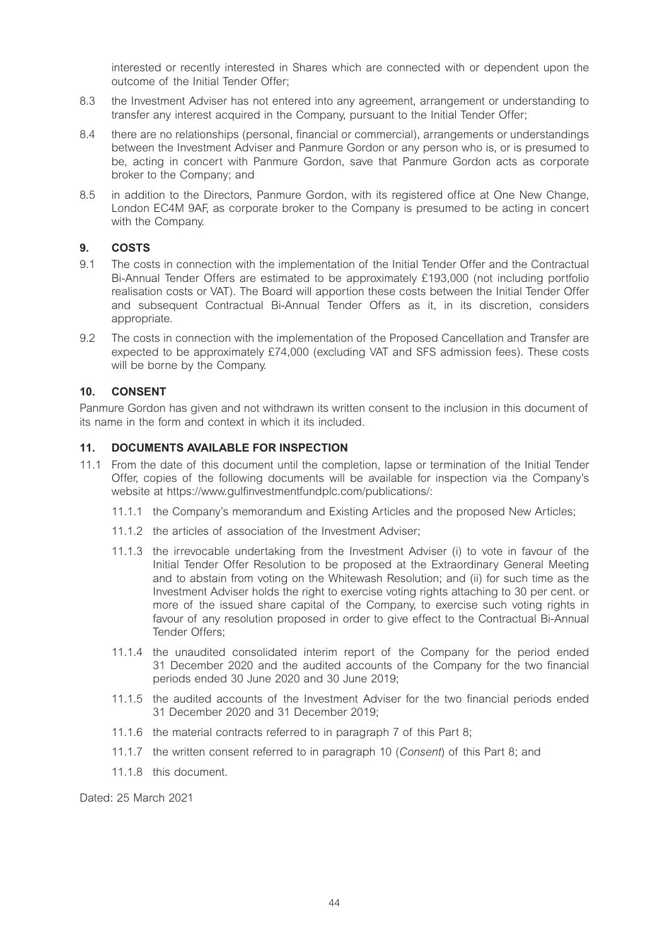interested or recently interested in Shares which are connected with or dependent upon the outcome of the Initial Tender Offer;

- 8.3 the Investment Adviser has not entered into any agreement, arrangement or understanding to transfer any interest acquired in the Company, pursuant to the Initial Tender Offer;
- 8.4 there are no relationships (personal, financial or commercial), arrangements or understandings between the Investment Adviser and Panmure Gordon or any person who is, or is presumed to be, acting in concert with Panmure Gordon, save that Panmure Gordon acts as corporate broker to the Company; and
- 8.5 in addition to the Directors, Panmure Gordon, with its registered office at One New Change, London EC4M 9AF, as corporate broker to the Company is presumed to be acting in concert with the Company.

# **9. COSTS**

- 9.1 The costs in connection with the implementation of the Initial Tender Offer and the Contractual Bi-Annual Tender Offers are estimated to be approximately £193,000 (not including portfolio realisation costs or VAT). The Board will apportion these costs between the Initial Tender Offer and subsequent Contractual Bi-Annual Tender Offers as it, in its discretion, considers appropriate.
- 9.2 The costs in connection with the implementation of the Proposed Cancellation and Transfer are expected to be approximately £74,000 (excluding VAT and SFS admission fees). These costs will be borne by the Company.

# **10. CONSENT**

Panmure Gordon has given and not withdrawn its written consent to the inclusion in this document of its name in the form and context in which it its included.

# **11. DOCUMENTS AVAILABLE FOR INSPECTION**

- 11.1 From the date of this document until the completion, lapse or termination of the Initial Tender Offer, copies of the following documents will be available for inspection via the Company's website at https://www.gulfinvestmentfundplc.com/publications/:
	- 11.1.1 the Company's memorandum and Existing Articles and the proposed New Articles;
	- 11.1.2 the articles of association of the Investment Adviser;
	- 11.1.3 the irrevocable undertaking from the Investment Adviser (i) to vote in favour of the Initial Tender Offer Resolution to be proposed at the Extraordinary General Meeting and to abstain from voting on the Whitewash Resolution; and (ii) for such time as the Investment Adviser holds the right to exercise voting rights attaching to 30 per cent. or more of the issued share capital of the Company, to exercise such voting rights in favour of any resolution proposed in order to give effect to the Contractual Bi-Annual Tender Offers;
	- 11.1.4 the unaudited consolidated interim report of the Company for the period ended 31 December 2020 and the audited accounts of the Company for the two financial periods ended 30 June 2020 and 30 June 2019;
	- 11.1.5 the audited accounts of the Investment Adviser for the two financial periods ended 31 December 2020 and 31 December 2019;
	- 11.1.6 the material contracts referred to in paragraph 7 of this Part 8;
	- 11.1.7 the written consent referred to in paragraph 10 (*Consent*) of this Part 8; and
	- 11.1.8 this document.

Dated: 25 March 2021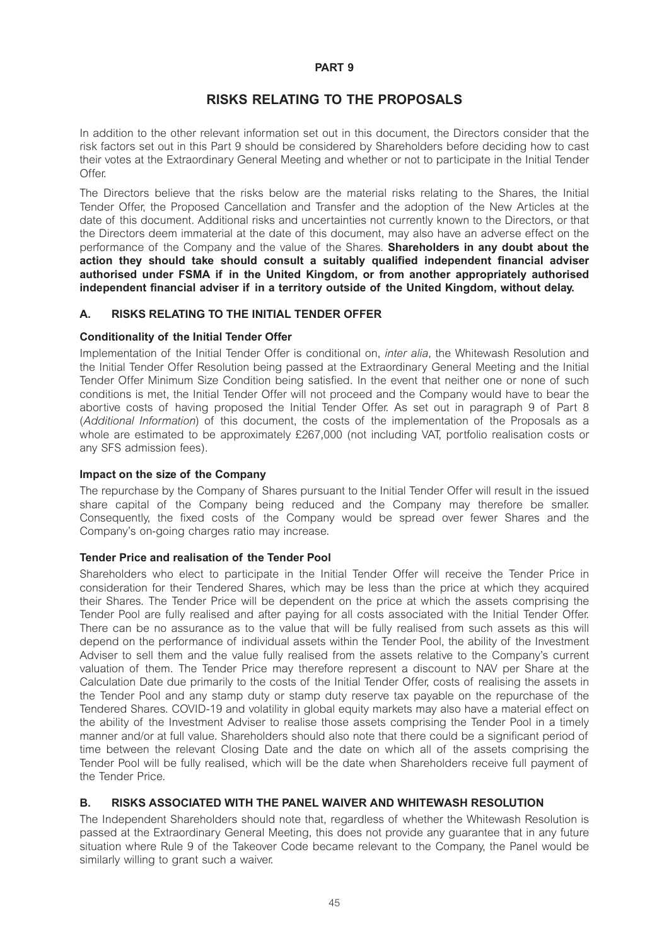#### **PART 9**

# **RISKS RELATING TO THE PROPOSALS**

In addition to the other relevant information set out in this document, the Directors consider that the risk factors set out in this Part 9 should be considered by Shareholders before deciding how to cast their votes at the Extraordinary General Meeting and whether or not to participate in the Initial Tender Offer.

The Directors believe that the risks below are the material risks relating to the Shares, the Initial Tender Offer, the Proposed Cancellation and Transfer and the adoption of the New Articles at the date of this document. Additional risks and uncertainties not currently known to the Directors, or that the Directors deem immaterial at the date of this document, may also have an adverse effect on the performance of the Company and the value of the Shares. **Shareholders in any doubt about the action they should take should consult a suitably qualified independent financial adviser authorised under FSMA if in the United Kingdom, or from another appropriately authorised independent financial adviser if in a territory outside of the United Kingdom, without delay.** 

# **A. RISKS RELATING TO THE INITIAL TENDER OFFER**

# **Conditionality of the Initial Tender Offer**

Implementation of the Initial Tender Offer is conditional on, *inter alia*, the Whitewash Resolution and the Initial Tender Offer Resolution being passed at the Extraordinary General Meeting and the Initial Tender Offer Minimum Size Condition being satisfied. In the event that neither one or none of such conditions is met, the Initial Tender Offer will not proceed and the Company would have to bear the abortive costs of having proposed the Initial Tender Offer. As set out in paragraph 9 of Part 8 (*Additional Information*) of this document, the costs of the implementation of the Proposals as a whole are estimated to be approximately £267,000 (not including VAT, portfolio realisation costs or any SFS admission fees).

# **Impact on the size of the Company**

The repurchase by the Company of Shares pursuant to the Initial Tender Offer will result in the issued share capital of the Company being reduced and the Company may therefore be smaller. Consequently, the fixed costs of the Company would be spread over fewer Shares and the Company's on-going charges ratio may increase.

# **Tender Price and realisation of the Tender Pool**

Shareholders who elect to participate in the Initial Tender Offer will receive the Tender Price in consideration for their Tendered Shares, which may be less than the price at which they acquired their Shares. The Tender Price will be dependent on the price at which the assets comprising the Tender Pool are fully realised and after paying for all costs associated with the Initial Tender Offer. There can be no assurance as to the value that will be fully realised from such assets as this will depend on the performance of individual assets within the Tender Pool, the ability of the Investment Adviser to sell them and the value fully realised from the assets relative to the Company's current valuation of them. The Tender Price may therefore represent a discount to NAV per Share at the Calculation Date due primarily to the costs of the Initial Tender Offer, costs of realising the assets in the Tender Pool and any stamp duty or stamp duty reserve tax payable on the repurchase of the Tendered Shares. COVID-19 and volatility in global equity markets may also have a material effect on the ability of the Investment Adviser to realise those assets comprising the Tender Pool in a timely manner and/or at full value. Shareholders should also note that there could be a significant period of time between the relevant Closing Date and the date on which all of the assets comprising the Tender Pool will be fully realised, which will be the date when Shareholders receive full payment of the Tender Price.

# **B. RISKS ASSOCIATED WITH THE PANEL WAIVER AND WHITEWASH RESOLUTION**

The Independent Shareholders should note that, regardless of whether the Whitewash Resolution is passed at the Extraordinary General Meeting, this does not provide any guarantee that in any future situation where Rule 9 of the Takeover Code became relevant to the Company, the Panel would be similarly willing to grant such a waiver.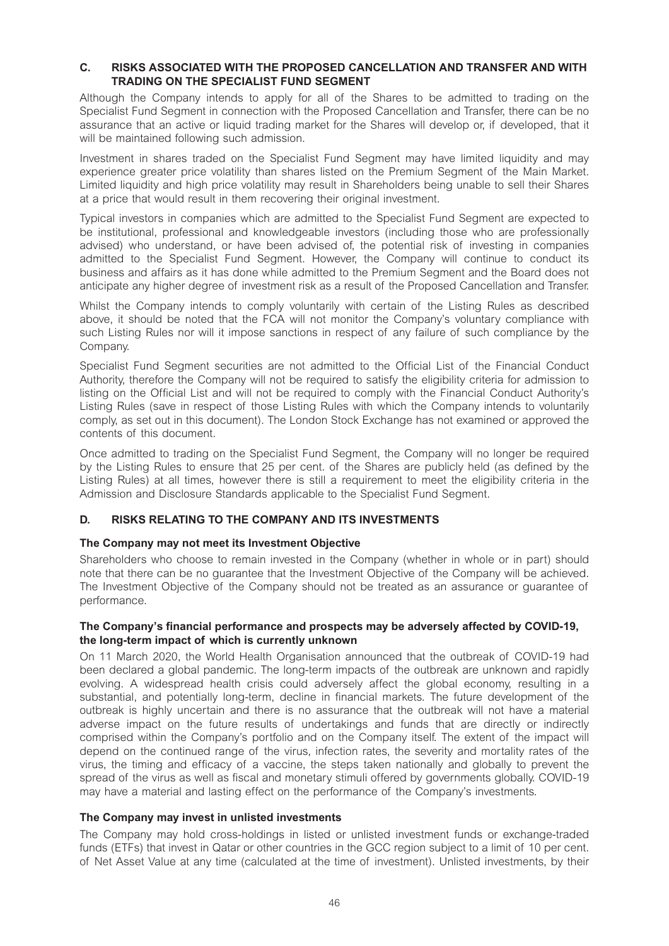#### **C. RISKS ASSOCIATED WITH THE PROPOSED CANCELLATION AND TRANSFER AND WITH TRADING ON THE SPECIALIST FUND SEGMENT**

Although the Company intends to apply for all of the Shares to be admitted to trading on the Specialist Fund Segment in connection with the Proposed Cancellation and Transfer, there can be no assurance that an active or liquid trading market for the Shares will develop or, if developed, that it will be maintained following such admission.

Investment in shares traded on the Specialist Fund Segment may have limited liquidity and may experience greater price volatility than shares listed on the Premium Segment of the Main Market. Limited liquidity and high price volatility may result in Shareholders being unable to sell their Shares at a price that would result in them recovering their original investment.

Typical investors in companies which are admitted to the Specialist Fund Segment are expected to be institutional, professional and knowledgeable investors (including those who are professionally advised) who understand, or have been advised of, the potential risk of investing in companies admitted to the Specialist Fund Segment. However, the Company will continue to conduct its business and affairs as it has done while admitted to the Premium Segment and the Board does not anticipate any higher degree of investment risk as a result of the Proposed Cancellation and Transfer.

Whilst the Company intends to comply voluntarily with certain of the Listing Rules as described above, it should be noted that the FCA will not monitor the Company's voluntary compliance with such Listing Rules nor will it impose sanctions in respect of any failure of such compliance by the Company.

Specialist Fund Segment securities are not admitted to the Official List of the Financial Conduct Authority, therefore the Company will not be required to satisfy the eligibility criteria for admission to listing on the Official List and will not be required to comply with the Financial Conduct Authority's Listing Rules (save in respect of those Listing Rules with which the Company intends to voluntarily comply, as set out in this document). The London Stock Exchange has not examined or approved the contents of this document.

Once admitted to trading on the Specialist Fund Segment, the Company will no longer be required by the Listing Rules to ensure that 25 per cent. of the Shares are publicly held (as defined by the Listing Rules) at all times, however there is still a requirement to meet the eligibility criteria in the Admission and Disclosure Standards applicable to the Specialist Fund Segment.

# **D. RISKS RELATING TO THE COMPANY AND ITS INVESTMENTS**

# **The Company may not meet its Investment Objective**

Shareholders who choose to remain invested in the Company (whether in whole or in part) should note that there can be no guarantee that the Investment Objective of the Company will be achieved. The Investment Objective of the Company should not be treated as an assurance or guarantee of performance.

# **The Company's financial performance and prospects may be adversely affected by COVID-19, the long-term impact of which is currently unknown**

On 11 March 2020, the World Health Organisation announced that the outbreak of COVID-19 had been declared a global pandemic. The long-term impacts of the outbreak are unknown and rapidly evolving. A widespread health crisis could adversely affect the global economy, resulting in a substantial, and potentially long-term, decline in financial markets. The future development of the outbreak is highly uncertain and there is no assurance that the outbreak will not have a material adverse impact on the future results of undertakings and funds that are directly or indirectly comprised within the Company's portfolio and on the Company itself. The extent of the impact will depend on the continued range of the virus, infection rates, the severity and mortality rates of the virus, the timing and efficacy of a vaccine, the steps taken nationally and globally to prevent the spread of the virus as well as fiscal and monetary stimuli offered by governments globally. COVID-19 may have a material and lasting effect on the performance of the Company's investments.

# **The Company may invest in unlisted investments**

The Company may hold cross-holdings in listed or unlisted investment funds or exchange-traded funds (ETFs) that invest in Qatar or other countries in the GCC region subject to a limit of 10 per cent. of Net Asset Value at any time (calculated at the time of investment). Unlisted investments, by their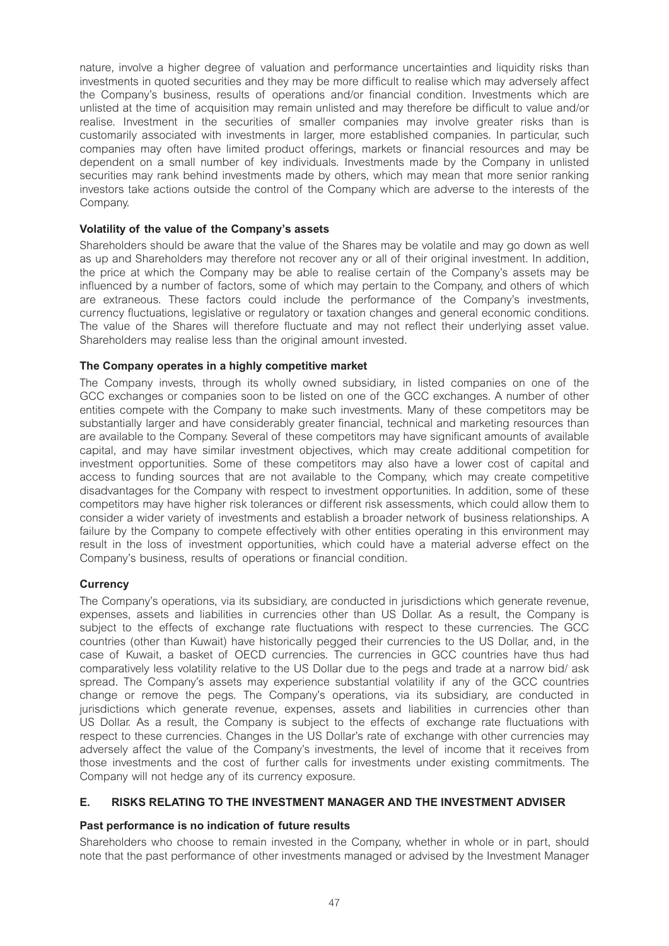nature, involve a higher degree of valuation and performance uncertainties and liquidity risks than investments in quoted securities and they may be more difficult to realise which may adversely affect the Company's business, results of operations and/or financial condition. Investments which are unlisted at the time of acquisition may remain unlisted and may therefore be difficult to value and/or realise. Investment in the securities of smaller companies may involve greater risks than is customarily associated with investments in larger, more established companies. In particular, such companies may often have limited product offerings, markets or financial resources and may be dependent on a small number of key individuals. Investments made by the Company in unlisted securities may rank behind investments made by others, which may mean that more senior ranking investors take actions outside the control of the Company which are adverse to the interests of the Company.

# **Volatility of the value of the Company's assets**

Shareholders should be aware that the value of the Shares may be volatile and may go down as well as up and Shareholders may therefore not recover any or all of their original investment. In addition, the price at which the Company may be able to realise certain of the Company's assets may be influenced by a number of factors, some of which may pertain to the Company, and others of which are extraneous. These factors could include the performance of the Company's investments, currency fluctuations, legislative or regulatory or taxation changes and general economic conditions. The value of the Shares will therefore fluctuate and may not reflect their underlying asset value. Shareholders may realise less than the original amount invested.

# **The Company operates in a highly competitive market**

The Company invests, through its wholly owned subsidiary, in listed companies on one of the GCC exchanges or companies soon to be listed on one of the GCC exchanges. A number of other entities compete with the Company to make such investments. Many of these competitors may be substantially larger and have considerably greater financial, technical and marketing resources than are available to the Company. Several of these competitors may have significant amounts of available capital, and may have similar investment objectives, which may create additional competition for investment opportunities. Some of these competitors may also have a lower cost of capital and access to funding sources that are not available to the Company, which may create competitive disadvantages for the Company with respect to investment opportunities. In addition, some of these competitors may have higher risk tolerances or different risk assessments, which could allow them to consider a wider variety of investments and establish a broader network of business relationships. A failure by the Company to compete effectively with other entities operating in this environment may result in the loss of investment opportunities, which could have a material adverse effect on the Company's business, results of operations or financial condition.

# **Currency**

The Company's operations, via its subsidiary, are conducted in jurisdictions which generate revenue, expenses, assets and liabilities in currencies other than US Dollar. As a result, the Company is subject to the effects of exchange rate fluctuations with respect to these currencies. The GCC countries (other than Kuwait) have historically pegged their currencies to the US Dollar, and, in the case of Kuwait, a basket of OECD currencies. The currencies in GCC countries have thus had comparatively less volatility relative to the US Dollar due to the pegs and trade at a narrow bid/ ask spread. The Company's assets may experience substantial volatility if any of the GCC countries change or remove the pegs. The Company's operations, via its subsidiary, are conducted in jurisdictions which generate revenue, expenses, assets and liabilities in currencies other than US Dollar. As a result, the Company is subject to the effects of exchange rate fluctuations with respect to these currencies. Changes in the US Dollar's rate of exchange with other currencies may adversely affect the value of the Company's investments, the level of income that it receives from those investments and the cost of further calls for investments under existing commitments. The Company will not hedge any of its currency exposure.

# **E. RISKS RELATING TO THE INVESTMENT MANAGER AND THE INVESTMENT ADVISER**

# **Past performance is no indication of future results**

Shareholders who choose to remain invested in the Company, whether in whole or in part, should note that the past performance of other investments managed or advised by the Investment Manager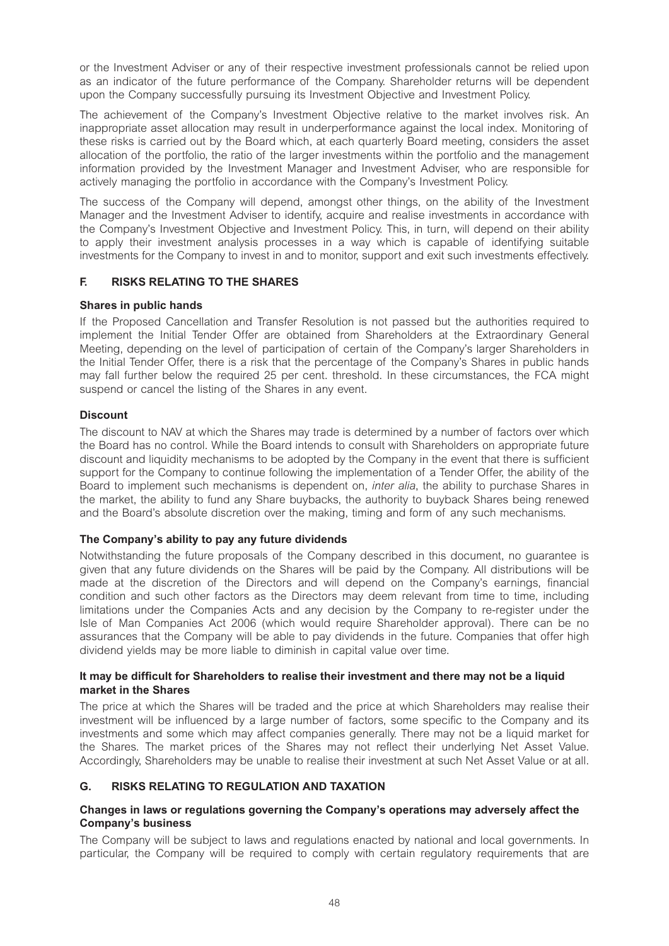or the Investment Adviser or any of their respective investment professionals cannot be relied upon as an indicator of the future performance of the Company. Shareholder returns will be dependent upon the Company successfully pursuing its Investment Objective and Investment Policy.

The achievement of the Company's Investment Objective relative to the market involves risk. An inappropriate asset allocation may result in underperformance against the local index. Monitoring of these risks is carried out by the Board which, at each quarterly Board meeting, considers the asset allocation of the portfolio, the ratio of the larger investments within the portfolio and the management information provided by the Investment Manager and Investment Adviser, who are responsible for actively managing the portfolio in accordance with the Company's Investment Policy.

The success of the Company will depend, amongst other things, on the ability of the Investment Manager and the Investment Adviser to identify, acquire and realise investments in accordance with the Company's Investment Objective and Investment Policy. This, in turn, will depend on their ability to apply their investment analysis processes in a way which is capable of identifying suitable investments for the Company to invest in and to monitor, support and exit such investments effectively.

# **F. RISKS RELATING TO THE SHARES**

# **Shares in public hands**

If the Proposed Cancellation and Transfer Resolution is not passed but the authorities required to implement the Initial Tender Offer are obtained from Shareholders at the Extraordinary General Meeting, depending on the level of participation of certain of the Company's larger Shareholders in the Initial Tender Offer, there is a risk that the percentage of the Company's Shares in public hands may fall further below the required 25 per cent. threshold. In these circumstances, the FCA might suspend or cancel the listing of the Shares in any event.

# **Discount**

The discount to NAV at which the Shares may trade is determined by a number of factors over which the Board has no control. While the Board intends to consult with Shareholders on appropriate future discount and liquidity mechanisms to be adopted by the Company in the event that there is sufficient support for the Company to continue following the implementation of a Tender Offer, the ability of the Board to implement such mechanisms is dependent on, *inter alia*, the ability to purchase Shares in the market, the ability to fund any Share buybacks, the authority to buyback Shares being renewed and the Board's absolute discretion over the making, timing and form of any such mechanisms.

# **The Company's ability to pay any future dividends**

Notwithstanding the future proposals of the Company described in this document, no guarantee is given that any future dividends on the Shares will be paid by the Company. All distributions will be made at the discretion of the Directors and will depend on the Company's earnings, financial condition and such other factors as the Directors may deem relevant from time to time, including limitations under the Companies Acts and any decision by the Company to re-register under the Isle of Man Companies Act 2006 (which would require Shareholder approval). There can be no assurances that the Company will be able to pay dividends in the future. Companies that offer high dividend yields may be more liable to diminish in capital value over time.

#### **It may be difficult for Shareholders to realise their investment and there may not be a liquid market in the Shares**

The price at which the Shares will be traded and the price at which Shareholders may realise their investment will be influenced by a large number of factors, some specific to the Company and its investments and some which may affect companies generally. There may not be a liquid market for the Shares. The market prices of the Shares may not reflect their underlying Net Asset Value. Accordingly, Shareholders may be unable to realise their investment at such Net Asset Value or at all.

# **G. RISKS RELATING TO REGULATION AND TAXATION**

#### **Changes in laws or regulations governing the Company's operations may adversely affect the Company's business**

The Company will be subject to laws and regulations enacted by national and local governments. In particular, the Company will be required to comply with certain regulatory requirements that are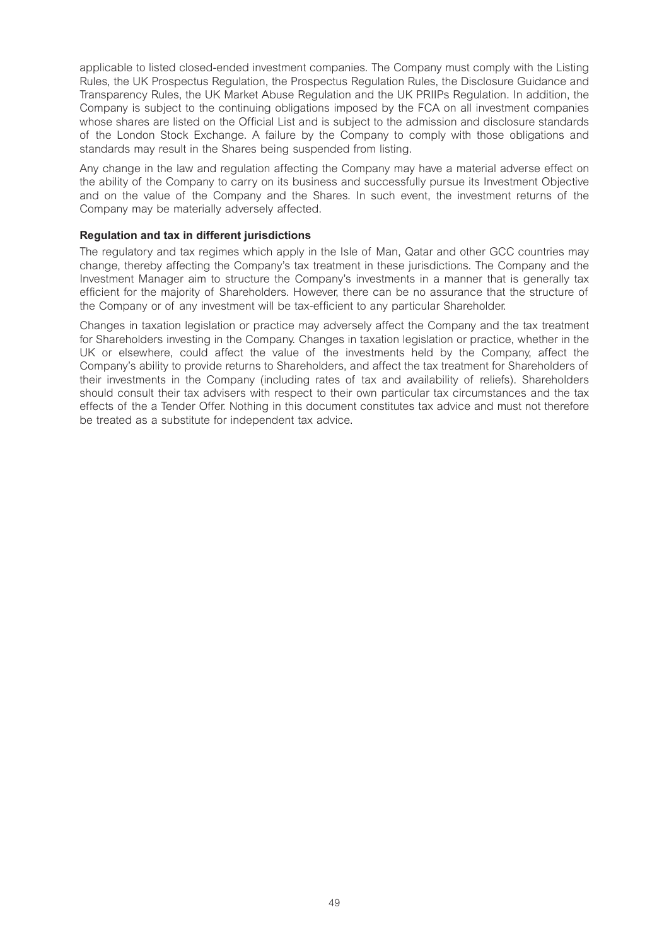applicable to listed closed-ended investment companies. The Company must comply with the Listing Rules, the UK Prospectus Regulation, the Prospectus Regulation Rules, the Disclosure Guidance and Transparency Rules, the UK Market Abuse Regulation and the UK PRIIPs Regulation. In addition, the Company is subject to the continuing obligations imposed by the FCA on all investment companies whose shares are listed on the Official List and is subject to the admission and disclosure standards of the London Stock Exchange. A failure by the Company to comply with those obligations and standards may result in the Shares being suspended from listing.

Any change in the law and regulation affecting the Company may have a material adverse effect on the ability of the Company to carry on its business and successfully pursue its Investment Objective and on the value of the Company and the Shares. In such event, the investment returns of the Company may be materially adversely affected.

# **Regulation and tax in different jurisdictions**

The regulatory and tax regimes which apply in the Isle of Man, Qatar and other GCC countries may change, thereby affecting the Company's tax treatment in these jurisdictions. The Company and the Investment Manager aim to structure the Company's investments in a manner that is generally tax efficient for the majority of Shareholders. However, there can be no assurance that the structure of the Company or of any investment will be tax-efficient to any particular Shareholder.

Changes in taxation legislation or practice may adversely affect the Company and the tax treatment for Shareholders investing in the Company. Changes in taxation legislation or practice, whether in the UK or elsewhere, could affect the value of the investments held by the Company, affect the Company's ability to provide returns to Shareholders, and affect the tax treatment for Shareholders of their investments in the Company (including rates of tax and availability of reliefs). Shareholders should consult their tax advisers with respect to their own particular tax circumstances and the tax effects of the a Tender Offer. Nothing in this document constitutes tax advice and must not therefore be treated as a substitute for independent tax advice.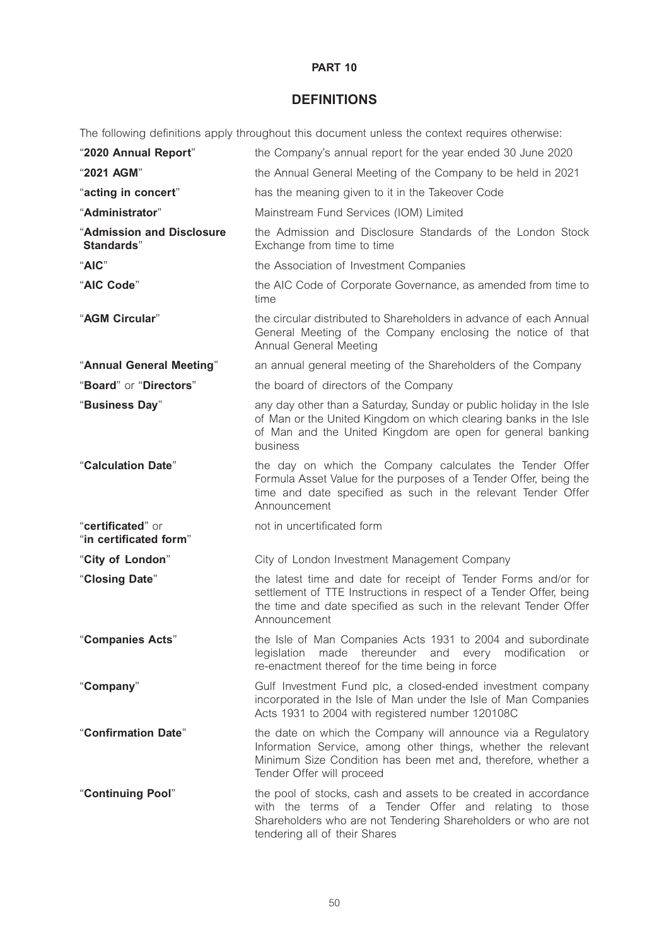# **PART 10**

# **DEFINITIONS**

The following definitions apply throughout this document unless the context requires otherwise:

| "2020 Annual Report"                        | the Company's annual report for the year ended 30 June 2020                                                                                                                                                                  |
|---------------------------------------------|------------------------------------------------------------------------------------------------------------------------------------------------------------------------------------------------------------------------------|
| "2021 AGM"                                  | the Annual General Meeting of the Company to be held in 2021                                                                                                                                                                 |
| "acting in concert"                         | has the meaning given to it in the Takeover Code                                                                                                                                                                             |
| "Administrator"                             | Mainstream Fund Services (IOM) Limited                                                                                                                                                                                       |
| "Admission and Disclosure<br>Standards"     | the Admission and Disclosure Standards of the London Stock<br>Exchange from time to time                                                                                                                                     |
| "AIC"                                       | the Association of Investment Companies                                                                                                                                                                                      |
| "AIC Code"                                  | the AIC Code of Corporate Governance, as amended from time to<br>time                                                                                                                                                        |
| "AGM Circular"                              | the circular distributed to Shareholders in advance of each Annual<br>General Meeting of the Company enclosing the notice of that<br><b>Annual General Meeting</b>                                                           |
| "Annual General Meeting"                    | an annual general meeting of the Shareholders of the Company                                                                                                                                                                 |
| "Board" or "Directors"                      | the board of directors of the Company                                                                                                                                                                                        |
| "Business Day"                              | any day other than a Saturday, Sunday or public holiday in the Isle<br>of Man or the United Kingdom on which clearing banks in the Isle<br>of Man and the United Kingdom are open for general banking<br>business            |
| "Calculation Date"                          | the day on which the Company calculates the Tender Offer<br>Formula Asset Value for the purposes of a Tender Offer, being the<br>time and date specified as such in the relevant Tender Offer<br>Announcement                |
| "certificated" or<br>"in certificated form" | not in uncertificated form                                                                                                                                                                                                   |
| "City of London"                            | City of London Investment Management Company                                                                                                                                                                                 |
| "Closing Date"                              | the latest time and date for receipt of Tender Forms and/or for<br>settlement of TTE Instructions in respect of a Tender Offer, being<br>the time and date specified as such in the relevant Tender Offer<br>Announcement    |
| "Companies Acts"                            | the Isle of Man Companies Acts 1931 to 2004 and subordinate<br>legislation made thereunder and<br>every modification<br>or<br>re-enactment thereof for the time being in force                                               |
| "Company"                                   | Gulf Investment Fund plc, a closed-ended investment company<br>incorporated in the Isle of Man under the Isle of Man Companies<br>Acts 1931 to 2004 with registered number 120108C                                           |
| "Confirmation Date"                         | the date on which the Company will announce via a Regulatory<br>Information Service, among other things, whether the relevant<br>Minimum Size Condition has been met and, therefore, whether a<br>Tender Offer will proceed  |
| "Continuing Pool"                           | the pool of stocks, cash and assets to be created in accordance<br>with the terms of a Tender Offer and relating to those<br>Shareholders who are not Tendering Shareholders or who are not<br>tendering all of their Shares |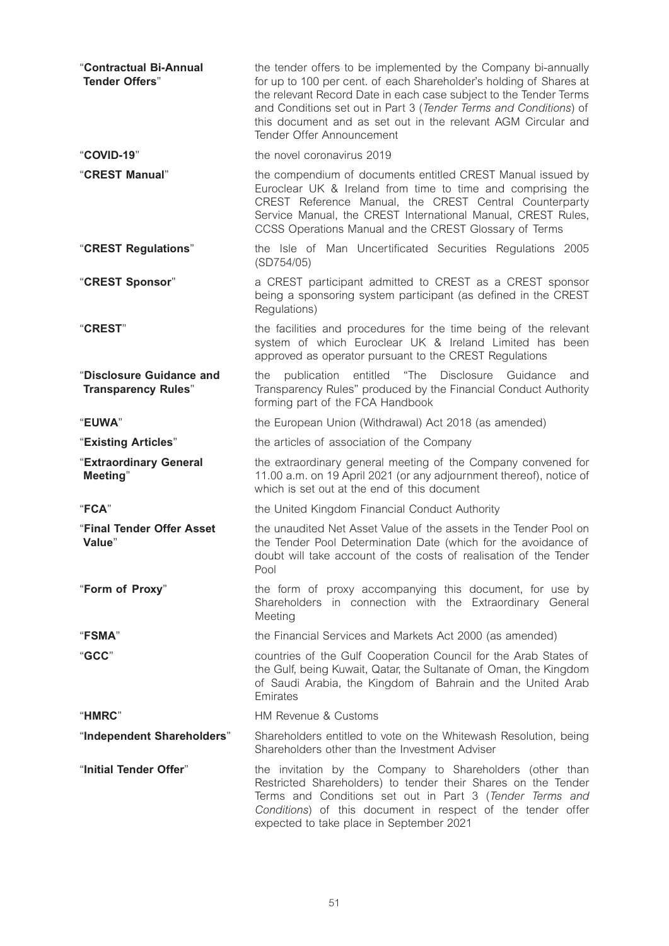| "Contractual Bi-Annual<br><b>Tender Offers"</b>        | the tender offers to be implemented by the Company bi-annually<br>for up to 100 per cent. of each Shareholder's holding of Shares at<br>the relevant Record Date in each case subject to the Tender Terms<br>and Conditions set out in Part 3 (Tender Terms and Conditions) of<br>this document and as set out in the relevant AGM Circular and<br>Tender Offer Announcement |
|--------------------------------------------------------|------------------------------------------------------------------------------------------------------------------------------------------------------------------------------------------------------------------------------------------------------------------------------------------------------------------------------------------------------------------------------|
| "COVID-19"                                             | the novel coronavirus 2019                                                                                                                                                                                                                                                                                                                                                   |
| "CREST Manual"                                         | the compendium of documents entitled CREST Manual issued by<br>Euroclear UK & Ireland from time to time and comprising the<br>CREST Reference Manual, the CREST Central Counterparty<br>Service Manual, the CREST International Manual, CREST Rules,<br>CCSS Operations Manual and the CREST Glossary of Terms                                                               |
| "CREST Regulations"                                    | the Isle of Man Uncertificated Securities Regulations 2005<br>(SD754/05)                                                                                                                                                                                                                                                                                                     |
| "CREST Sponsor"                                        | a CREST participant admitted to CREST as a CREST sponsor<br>being a sponsoring system participant (as defined in the CREST<br>Regulations)                                                                                                                                                                                                                                   |
| "CREST"                                                | the facilities and procedures for the time being of the relevant<br>system of which Euroclear UK & Ireland Limited has been<br>approved as operator pursuant to the CREST Regulations                                                                                                                                                                                        |
| "Disclosure Guidance and<br><b>Transparency Rules"</b> | entitled "The<br>Disclosure<br>publication<br>Guidance<br>the<br>and<br>Transparency Rules" produced by the Financial Conduct Authority<br>forming part of the FCA Handbook                                                                                                                                                                                                  |
| "EUWA"                                                 | the European Union (Withdrawal) Act 2018 (as amended)                                                                                                                                                                                                                                                                                                                        |
| "Existing Articles"                                    | the articles of association of the Company                                                                                                                                                                                                                                                                                                                                   |
| "Extraordinary General<br>Meeting"                     | the extraordinary general meeting of the Company convened for<br>11.00 a.m. on 19 April 2021 (or any adjournment thereof), notice of<br>which is set out at the end of this document                                                                                                                                                                                         |
| "FCA"                                                  | the United Kingdom Financial Conduct Authority                                                                                                                                                                                                                                                                                                                               |
| "Final Tender Offer Asset<br>Value"                    | the unaudited Net Asset Value of the assets in the Tender Pool on<br>the Tender Pool Determination Date (which for the avoidance of<br>doubt will take account of the costs of realisation of the Tender<br>Pool                                                                                                                                                             |
| "Form of Proxy"                                        | the form of proxy accompanying this document, for use by<br>Shareholders in connection with the Extraordinary General<br>Meeting                                                                                                                                                                                                                                             |
| <b>"FSMA"</b>                                          | the Financial Services and Markets Act 2000 (as amended)                                                                                                                                                                                                                                                                                                                     |
| "GCC"                                                  | countries of the Gulf Cooperation Council for the Arab States of<br>the Gulf, being Kuwait, Qatar, the Sultanate of Oman, the Kingdom<br>of Saudi Arabia, the Kingdom of Bahrain and the United Arab<br>Emirates                                                                                                                                                             |
| "HMRC"                                                 | <b>HM Revenue &amp; Customs</b>                                                                                                                                                                                                                                                                                                                                              |
| "Independent Shareholders"                             | Shareholders entitled to vote on the Whitewash Resolution, being<br>Shareholders other than the Investment Adviser                                                                                                                                                                                                                                                           |
| "Initial Tender Offer"                                 | the invitation by the Company to Shareholders (other than<br>Restricted Shareholders) to tender their Shares on the Tender<br>Terms and Conditions set out in Part 3 (Tender Terms and<br>Conditions) of this document in respect of the tender offer<br>expected to take place in September 2021                                                                            |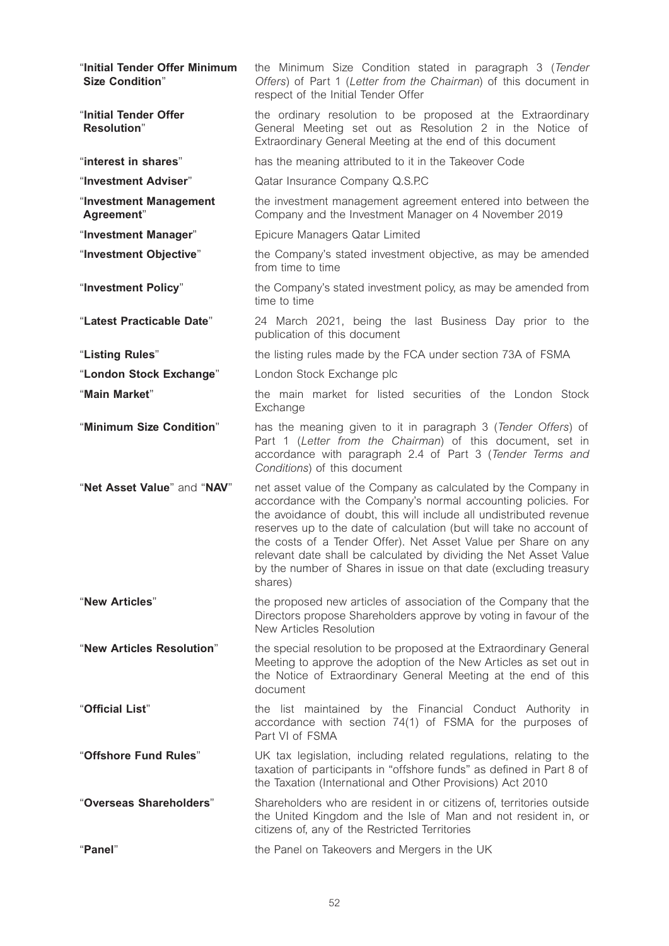| "Initial Tender Offer Minimum<br><b>Size Condition"</b> | the Minimum Size Condition stated in paragraph 3 (Tender<br>Offers) of Part 1 (Letter from the Chairman) of this document in<br>respect of the Initial Tender Offer                                                                                                                                                                                                                                                                                                                                  |
|---------------------------------------------------------|------------------------------------------------------------------------------------------------------------------------------------------------------------------------------------------------------------------------------------------------------------------------------------------------------------------------------------------------------------------------------------------------------------------------------------------------------------------------------------------------------|
| "Initial Tender Offer<br><b>Resolution"</b>             | the ordinary resolution to be proposed at the Extraordinary<br>General Meeting set out as Resolution 2 in the Notice of<br>Extraordinary General Meeting at the end of this document                                                                                                                                                                                                                                                                                                                 |
| "interest in shares"                                    | has the meaning attributed to it in the Takeover Code                                                                                                                                                                                                                                                                                                                                                                                                                                                |
| "Investment Adviser"                                    | Qatar Insurance Company Q.S.P.C                                                                                                                                                                                                                                                                                                                                                                                                                                                                      |
| "Investment Management<br>Agreement"                    | the investment management agreement entered into between the<br>Company and the Investment Manager on 4 November 2019                                                                                                                                                                                                                                                                                                                                                                                |
| "Investment Manager"                                    | Epicure Managers Qatar Limited                                                                                                                                                                                                                                                                                                                                                                                                                                                                       |
| "Investment Objective"                                  | the Company's stated investment objective, as may be amended<br>from time to time                                                                                                                                                                                                                                                                                                                                                                                                                    |
| "Investment Policy"                                     | the Company's stated investment policy, as may be amended from<br>time to time                                                                                                                                                                                                                                                                                                                                                                                                                       |
| "Latest Practicable Date"                               | 24 March 2021, being the last Business Day prior to the<br>publication of this document                                                                                                                                                                                                                                                                                                                                                                                                              |
| "Listing Rules"                                         | the listing rules made by the FCA under section 73A of FSMA                                                                                                                                                                                                                                                                                                                                                                                                                                          |
| "London Stock Exchange"                                 | London Stock Exchange plc                                                                                                                                                                                                                                                                                                                                                                                                                                                                            |
| "Main Market"                                           | the main market for listed securities of the London Stock<br>Exchange                                                                                                                                                                                                                                                                                                                                                                                                                                |
| "Minimum Size Condition"                                | has the meaning given to it in paragraph 3 (Tender Offers) of<br>Part 1 (Letter from the Chairman) of this document, set in<br>accordance with paragraph 2.4 of Part 3 (Tender Terms and<br>Conditions) of this document                                                                                                                                                                                                                                                                             |
| "Net Asset Value" and "NAV"                             | net asset value of the Company as calculated by the Company in<br>accordance with the Company's normal accounting policies. For<br>the avoidance of doubt, this will include all undistributed revenue<br>reserves up to the date of calculation (but will take no account of<br>the costs of a Tender Offer). Net Asset Value per Share on any<br>relevant date shall be calculated by dividing the Net Asset Value<br>by the number of Shares in issue on that date (excluding treasury<br>shares) |
| "New Articles"                                          | the proposed new articles of association of the Company that the<br>Directors propose Shareholders approve by voting in favour of the<br><b>New Articles Resolution</b>                                                                                                                                                                                                                                                                                                                              |
| "New Articles Resolution"                               | the special resolution to be proposed at the Extraordinary General<br>Meeting to approve the adoption of the New Articles as set out in<br>the Notice of Extraordinary General Meeting at the end of this<br>document                                                                                                                                                                                                                                                                                |
| "Official List"                                         | the list maintained by the Financial Conduct Authority in<br>accordance with section 74(1) of FSMA for the purposes of<br>Part VI of FSMA                                                                                                                                                                                                                                                                                                                                                            |
| "Offshore Fund Rules"                                   | UK tax legislation, including related regulations, relating to the<br>taxation of participants in "offshore funds" as defined in Part 8 of<br>the Taxation (International and Other Provisions) Act 2010                                                                                                                                                                                                                                                                                             |
| "Overseas Shareholders"                                 | Shareholders who are resident in or citizens of, territories outside<br>the United Kingdom and the Isle of Man and not resident in, or<br>citizens of, any of the Restricted Territories                                                                                                                                                                                                                                                                                                             |
| "Panel"                                                 | the Panel on Takeovers and Mergers in the UK                                                                                                                                                                                                                                                                                                                                                                                                                                                         |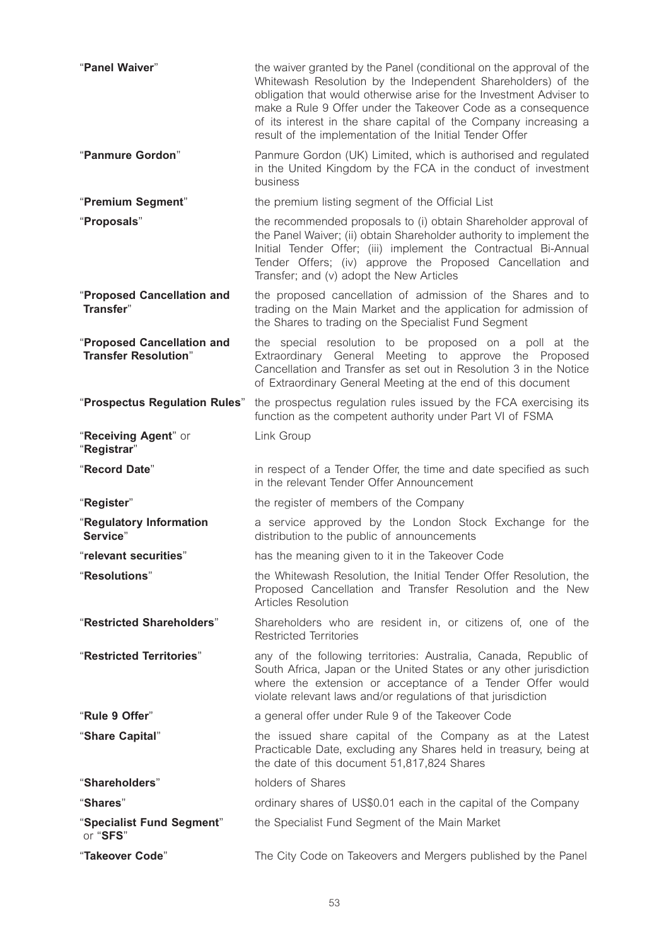| "Panel Waiver"                                            | the waiver granted by the Panel (conditional on the approval of the<br>Whitewash Resolution by the Independent Shareholders) of the<br>obligation that would otherwise arise for the Investment Adviser to<br>make a Rule 9 Offer under the Takeover Code as a consequence<br>of its interest in the share capital of the Company increasing a<br>result of the implementation of the Initial Tender Offer |
|-----------------------------------------------------------|------------------------------------------------------------------------------------------------------------------------------------------------------------------------------------------------------------------------------------------------------------------------------------------------------------------------------------------------------------------------------------------------------------|
| "Panmure Gordon"                                          | Panmure Gordon (UK) Limited, which is authorised and regulated<br>in the United Kingdom by the FCA in the conduct of investment<br>business                                                                                                                                                                                                                                                                |
| "Premium Segment"                                         | the premium listing segment of the Official List                                                                                                                                                                                                                                                                                                                                                           |
| "Proposals"                                               | the recommended proposals to (i) obtain Shareholder approval of<br>the Panel Waiver; (ii) obtain Shareholder authority to implement the<br>Initial Tender Offer; (iii) implement the Contractual Bi-Annual<br>Tender Offers; (iv) approve the Proposed Cancellation and<br>Transfer; and (v) adopt the New Articles                                                                                        |
| "Proposed Cancellation and<br>Transfer"                   | the proposed cancellation of admission of the Shares and to<br>trading on the Main Market and the application for admission of<br>the Shares to trading on the Specialist Fund Segment                                                                                                                                                                                                                     |
| "Proposed Cancellation and<br><b>Transfer Resolution"</b> | the special resolution to be proposed on a poll at the<br>Extraordinary General Meeting to approve the Proposed<br>Cancellation and Transfer as set out in Resolution 3 in the Notice<br>of Extraordinary General Meeting at the end of this document                                                                                                                                                      |
| "Prospectus Regulation Rules"                             | the prospectus regulation rules issued by the FCA exercising its<br>function as the competent authority under Part VI of FSMA                                                                                                                                                                                                                                                                              |
| "Receiving Agent" or<br>"Registrar"                       | Link Group                                                                                                                                                                                                                                                                                                                                                                                                 |
| "Record Date"                                             | in respect of a Tender Offer, the time and date specified as such<br>in the relevant Tender Offer Announcement                                                                                                                                                                                                                                                                                             |
| "Register"                                                | the register of members of the Company                                                                                                                                                                                                                                                                                                                                                                     |
| "Regulatory Information<br>Service"                       | a service approved by the London Stock Exchange for the<br>distribution to the public of announcements                                                                                                                                                                                                                                                                                                     |
| "relevant securities"                                     | has the meaning given to it in the Takeover Code                                                                                                                                                                                                                                                                                                                                                           |
| "Resolutions"                                             | the Whitewash Resolution, the Initial Tender Offer Resolution, the<br>Proposed Cancellation and Transfer Resolution and the New<br>Articles Resolution                                                                                                                                                                                                                                                     |
| "Restricted Shareholders"                                 | Shareholders who are resident in, or citizens of, one of the<br><b>Restricted Territories</b>                                                                                                                                                                                                                                                                                                              |
| "Restricted Territories"                                  | any of the following territories: Australia, Canada, Republic of<br>South Africa, Japan or the United States or any other jurisdiction<br>where the extension or acceptance of a Tender Offer would<br>violate relevant laws and/or regulations of that jurisdiction                                                                                                                                       |
| "Rule 9 Offer"                                            | a general offer under Rule 9 of the Takeover Code                                                                                                                                                                                                                                                                                                                                                          |
| "Share Capital"                                           | the issued share capital of the Company as at the Latest<br>Practicable Date, excluding any Shares held in treasury, being at<br>the date of this document 51,817,824 Shares                                                                                                                                                                                                                               |
| "Shareholders"                                            | holders of Shares                                                                                                                                                                                                                                                                                                                                                                                          |
| "Shares"                                                  | ordinary shares of US\$0.01 each in the capital of the Company                                                                                                                                                                                                                                                                                                                                             |
| "Specialist Fund Segment"<br>or "SFS"                     | the Specialist Fund Segment of the Main Market                                                                                                                                                                                                                                                                                                                                                             |
| "Takeover Code"                                           | The City Code on Takeovers and Mergers published by the Panel                                                                                                                                                                                                                                                                                                                                              |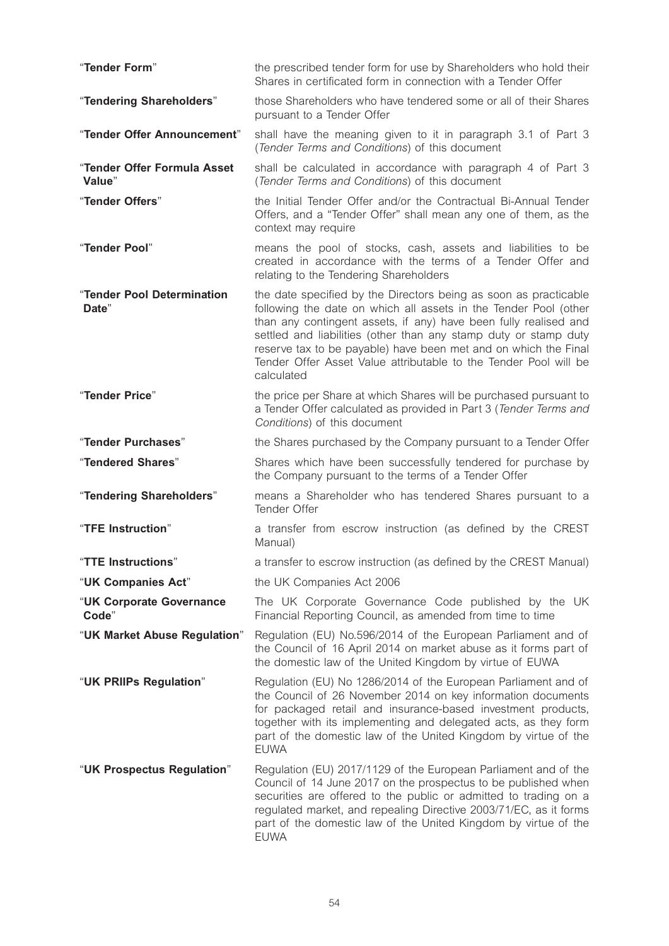| "Tender Form"                         | the prescribed tender form for use by Shareholders who hold their<br>Shares in certificated form in connection with a Tender Offer                                                                                                                                                                                                                                                                                                |
|---------------------------------------|-----------------------------------------------------------------------------------------------------------------------------------------------------------------------------------------------------------------------------------------------------------------------------------------------------------------------------------------------------------------------------------------------------------------------------------|
| "Tendering Shareholders"              | those Shareholders who have tendered some or all of their Shares<br>pursuant to a Tender Offer                                                                                                                                                                                                                                                                                                                                    |
| "Tender Offer Announcement"           | shall have the meaning given to it in paragraph 3.1 of Part 3<br>(Tender Terms and Conditions) of this document                                                                                                                                                                                                                                                                                                                   |
| "Tender Offer Formula Asset<br>Value" | shall be calculated in accordance with paragraph 4 of Part 3<br>(Tender Terms and Conditions) of this document                                                                                                                                                                                                                                                                                                                    |
| "Tender Offers"                       | the Initial Tender Offer and/or the Contractual Bi-Annual Tender<br>Offers, and a "Tender Offer" shall mean any one of them, as the<br>context may require                                                                                                                                                                                                                                                                        |
| "Tender Pool"                         | means the pool of stocks, cash, assets and liabilities to be<br>created in accordance with the terms of a Tender Offer and<br>relating to the Tendering Shareholders                                                                                                                                                                                                                                                              |
| "Tender Pool Determination<br>Date"   | the date specified by the Directors being as soon as practicable<br>following the date on which all assets in the Tender Pool (other<br>than any contingent assets, if any) have been fully realised and<br>settled and liabilities (other than any stamp duty or stamp duty<br>reserve tax to be payable) have been met and on which the Final<br>Tender Offer Asset Value attributable to the Tender Pool will be<br>calculated |
| "Tender Price"                        | the price per Share at which Shares will be purchased pursuant to<br>a Tender Offer calculated as provided in Part 3 (Tender Terms and<br>Conditions) of this document                                                                                                                                                                                                                                                            |
| "Tender Purchases"                    | the Shares purchased by the Company pursuant to a Tender Offer                                                                                                                                                                                                                                                                                                                                                                    |
| "Tendered Shares"                     | Shares which have been successfully tendered for purchase by<br>the Company pursuant to the terms of a Tender Offer                                                                                                                                                                                                                                                                                                               |
| "Tendering Shareholders"              | means a Shareholder who has tendered Shares pursuant to a<br><b>Tender Offer</b>                                                                                                                                                                                                                                                                                                                                                  |
| "TFE Instruction"                     | a transfer from escrow instruction (as defined by the CREST<br>Manual)                                                                                                                                                                                                                                                                                                                                                            |
| "TTE Instructions"                    | a transfer to escrow instruction (as defined by the CREST Manual)                                                                                                                                                                                                                                                                                                                                                                 |
| "UK Companies Act"                    | the UK Companies Act 2006                                                                                                                                                                                                                                                                                                                                                                                                         |
| "UK Corporate Governance<br>Code"     | The UK Corporate Governance Code published by the UK<br>Financial Reporting Council, as amended from time to time                                                                                                                                                                                                                                                                                                                 |
| "UK Market Abuse Regulation"          | Regulation (EU) No.596/2014 of the European Parliament and of<br>the Council of 16 April 2014 on market abuse as it forms part of<br>the domestic law of the United Kingdom by virtue of EUWA                                                                                                                                                                                                                                     |
| "UK PRIIPs Regulation"                | Regulation (EU) No 1286/2014 of the European Parliament and of<br>the Council of 26 November 2014 on key information documents<br>for packaged retail and insurance-based investment products,<br>together with its implementing and delegated acts, as they form<br>part of the domestic law of the United Kingdom by virtue of the<br><b>EUWA</b>                                                                               |
| "UK Prospectus Regulation"            | Regulation (EU) 2017/1129 of the European Parliament and of the<br>Council of 14 June 2017 on the prospectus to be published when<br>securities are offered to the public or admitted to trading on a<br>regulated market, and repealing Directive 2003/71/EC, as it forms<br>part of the domestic law of the United Kingdom by virtue of the<br><b>EUWA</b>                                                                      |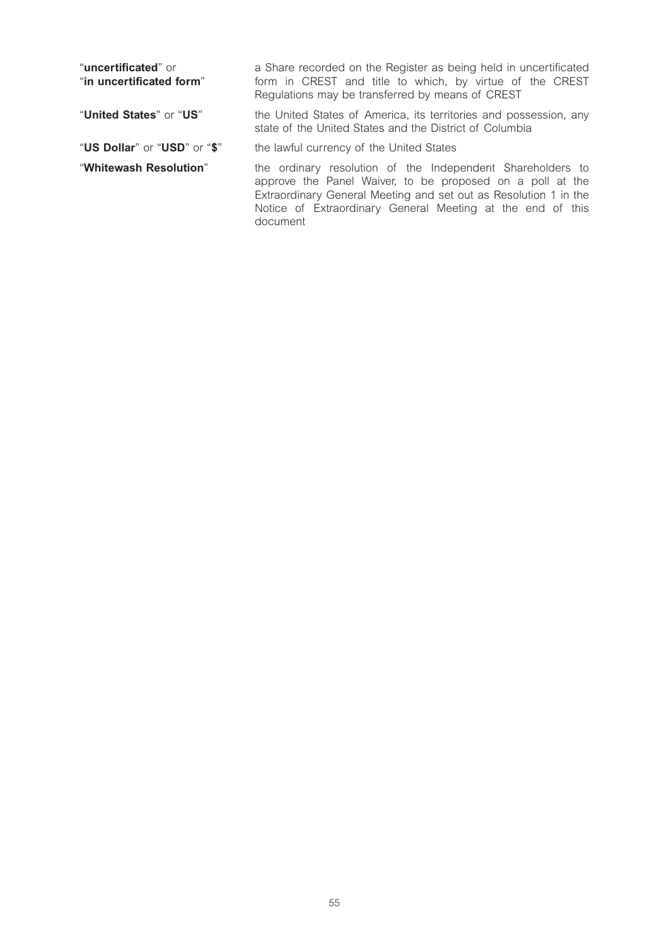"**uncertificated**" or a Share recorded on the Register as being held in uncertificated<br>"**in uncertificated form**" form in CREST and title to which, by virtue of the CREST form in CREST and title to which, by virtue of the CREST Regulations may be transferred by means of CREST "**United States**" or "US" the United States of America, its territories and possession, any state of the United States and the District of Columbia "**US Dollar**" or "**USD**" or "**\$**" the lawful currency of the United States "**Whitewash Resolution**" the ordinary resolution of the Independent Shareholders to approve the Panel Waiver, to be proposed on a poll at the Extraordinary General Meeting and set out as Resolution 1 in the Notice of Extraordinary General Meeting at the end of this document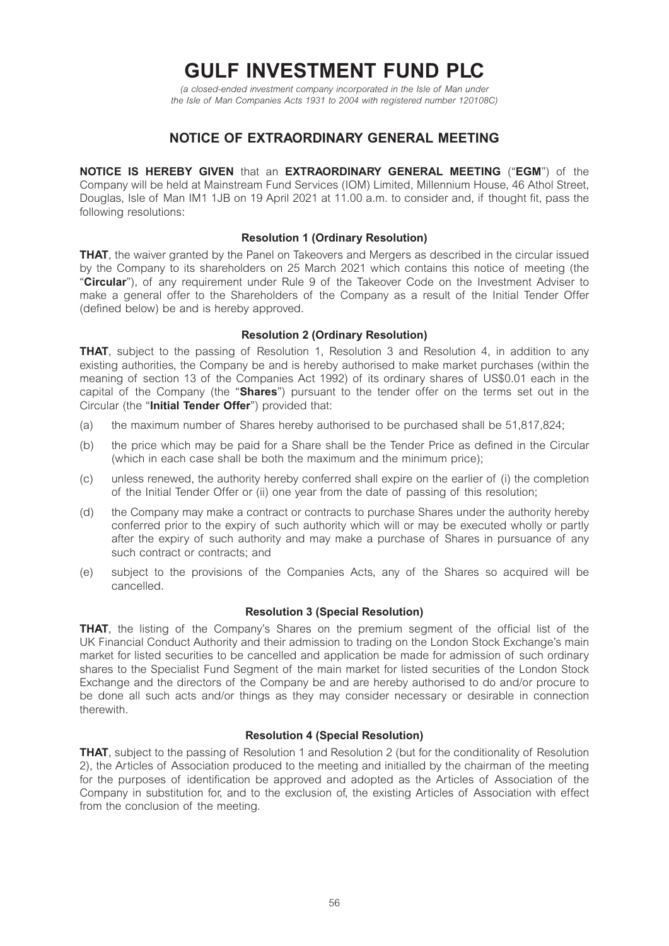# **GULF INVESTMENT FUND PLC**

*(a closed-ended investment company incorporated in the Isle of Man under the Isle of Man Companies Acts 1931 to 2004 with registered number 120108C)* 

# **NOTICE OF EXTRAORDINARY GENERAL MEETING**

**NOTICE IS HEREBY GIVEN** that an **EXTRAORDINARY GENERAL MEETING** ("**EGM**") of the Company will be held at Mainstream Fund Services (IOM) Limited, Millennium House, 46 Athol Street, Douglas, Isle of Man IM1 1JB on 19 April 2021 at 11.00 a.m. to consider and, if thought fit, pass the following resolutions:

# **Resolution 1 (Ordinary Resolution)**

**THAT**, the waiver granted by the Panel on Takeovers and Mergers as described in the circular issued by the Company to its shareholders on 25 March 2021 which contains this notice of meeting (the "**Circular**"), of any requirement under Rule 9 of the Takeover Code on the Investment Adviser to make a general offer to the Shareholders of the Company as a result of the Initial Tender Offer (defined below) be and is hereby approved.

# **Resolution 2 (Ordinary Resolution)**

**THAT**, subject to the passing of Resolution 1, Resolution 3 and Resolution 4, in addition to any existing authorities, the Company be and is hereby authorised to make market purchases (within the meaning of section 13 of the Companies Act 1992) of its ordinary shares of US\$0.01 each in the capital of the Company (the "**Shares**") pursuant to the tender offer on the terms set out in the Circular (the "**Initial Tender Offer**") provided that:

- (a) the maximum number of Shares hereby authorised to be purchased shall be 51,817,824;
- (b) the price which may be paid for a Share shall be the Tender Price as defined in the Circular (which in each case shall be both the maximum and the minimum price);
- (c) unless renewed, the authority hereby conferred shall expire on the earlier of (i) the completion of the Initial Tender Offer or (ii) one year from the date of passing of this resolution;
- (d) the Company may make a contract or contracts to purchase Shares under the authority hereby conferred prior to the expiry of such authority which will or may be executed wholly or partly after the expiry of such authority and may make a purchase of Shares in pursuance of any such contract or contracts; and
- (e) subject to the provisions of the Companies Acts, any of the Shares so acquired will be cancelled.

# **Resolution 3 (Special Resolution)**

**THAT**, the listing of the Company's Shares on the premium segment of the official list of the UK Financial Conduct Authority and their admission to trading on the London Stock Exchange's main market for listed securities to be cancelled and application be made for admission of such ordinary shares to the Specialist Fund Segment of the main market for listed securities of the London Stock Exchange and the directors of the Company be and are hereby authorised to do and/or procure to be done all such acts and/or things as they may consider necessary or desirable in connection therewith.

# **Resolution 4 (Special Resolution)**

**THAT**, subject to the passing of Resolution 1 and Resolution 2 (but for the conditionality of Resolution 2), the Articles of Association produced to the meeting and initialled by the chairman of the meeting for the purposes of identification be approved and adopted as the Articles of Association of the Company in substitution for, and to the exclusion of, the existing Articles of Association with effect from the conclusion of the meeting.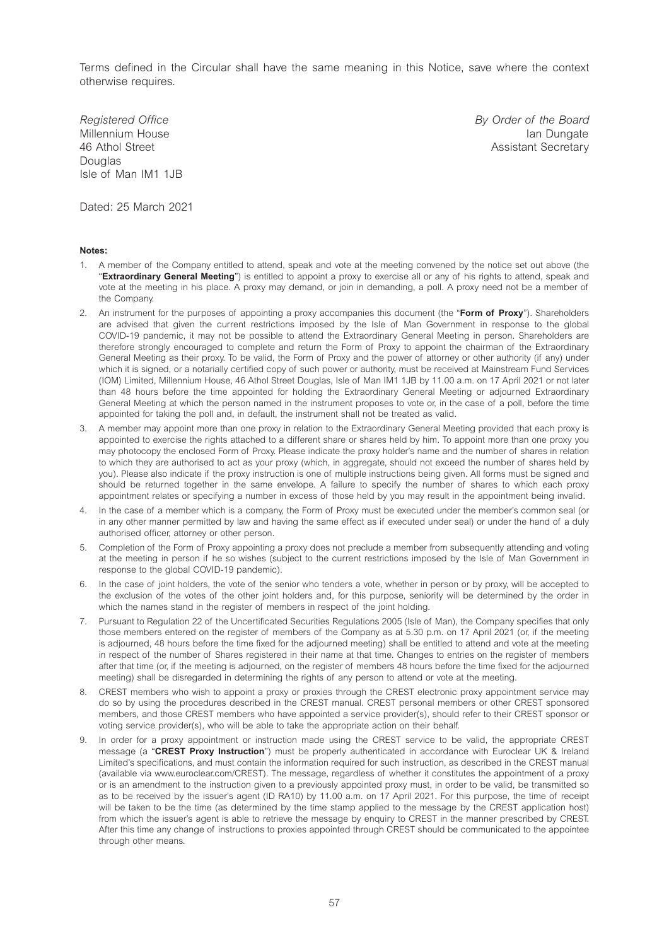Terms defined in the Circular shall have the same meaning in this Notice, save where the context otherwise requires.

Douglas Isle of Man IM1 1JB

*Registered Office By Order of the Board*  Millennium House **Ian Dungate** Ian Dungate Ian Dungate Assistant Secretary Assistant Secretary Assistant Secretary Assistant Secretary

Dated: 25 March 2021

#### **Notes:**

- A member of the Company entitled to attend, speak and vote at the meeting convened by the notice set out above (the "**Extraordinary General Meeting**") is entitled to appoint a proxy to exercise all or any of his rights to attend, speak and vote at the meeting in his place. A proxy may demand, or join in demanding, a poll. A proxy need not be a member of the Company.
- 2. An instrument for the purposes of appointing a proxy accompanies this document (the "**Form of Proxy**"). Shareholders are advised that given the current restrictions imposed by the Isle of Man Government in response to the global COVID-19 pandemic, it may not be possible to attend the Extraordinary General Meeting in person. Shareholders are therefore strongly encouraged to complete and return the Form of Proxy to appoint the chairman of the Extraordinary General Meeting as their proxy. To be valid, the Form of Proxy and the power of attorney or other authority (if any) under which it is signed, or a notarially certified copy of such power or authority, must be received at Mainstream Fund Services (IOM) Limited, Millennium House, 46 Athol Street Douglas, Isle of Man IM1 1JB by 11.00 a.m. on 17 April 2021 or not later than 48 hours before the time appointed for holding the Extraordinary General Meeting or adjourned Extraordinary General Meeting at which the person named in the instrument proposes to vote or, in the case of a poll, before the time appointed for taking the poll and, in default, the instrument shall not be treated as valid.
- 3. A member may appoint more than one proxy in relation to the Extraordinary General Meeting provided that each proxy is appointed to exercise the rights attached to a different share or shares held by him. To appoint more than one proxy you may photocopy the enclosed Form of Proxy. Please indicate the proxy holder's name and the number of shares in relation to which they are authorised to act as your proxy (which, in aggregate, should not exceed the number of shares held by you). Please also indicate if the proxy instruction is one of multiple instructions being given. All forms must be signed and should be returned together in the same envelope. A failure to specify the number of shares to which each proxy appointment relates or specifying a number in excess of those held by you may result in the appointment being invalid.
- 4. In the case of a member which is a company, the Form of Proxy must be executed under the member's common seal (or in any other manner permitted by law and having the same effect as if executed under seal) or under the hand of a duly authorised officer, attorney or other person.
- 5. Completion of the Form of Proxy appointing a proxy does not preclude a member from subsequently attending and voting at the meeting in person if he so wishes (subject to the current restrictions imposed by the Isle of Man Government in response to the global COVID-19 pandemic).
- 6. In the case of joint holders, the vote of the senior who tenders a vote, whether in person or by proxy, will be accepted to the exclusion of the votes of the other joint holders and, for this purpose, seniority will be determined by the order in which the names stand in the register of members in respect of the joint holding.
- 7. Pursuant to Regulation 22 of the Uncertificated Securities Regulations 2005 (Isle of Man), the Company specifies that only those members entered on the register of members of the Company as at 5.30 p.m. on 17 April 2021 (or, if the meeting is adjourned, 48 hours before the time fixed for the adjourned meeting) shall be entitled to attend and vote at the meeting in respect of the number of Shares registered in their name at that time. Changes to entries on the register of members after that time (or, if the meeting is adjourned, on the register of members 48 hours before the time fixed for the adjourned meeting) shall be disregarded in determining the rights of any person to attend or vote at the meeting.
- 8. CREST members who wish to appoint a proxy or proxies through the CREST electronic proxy appointment service may do so by using the procedures described in the CREST manual. CREST personal members or other CREST sponsored members, and those CREST members who have appointed a service provider(s), should refer to their CREST sponsor or voting service provider(s), who will be able to take the appropriate action on their behalf.
- 9. In order for a proxy appointment or instruction made using the CREST service to be valid, the appropriate CREST message (a "**CREST Proxy Instruction**") must be properly authenticated in accordance with Euroclear UK & Ireland Limited's specifications, and must contain the information required for such instruction, as described in the CREST manual (available via www.euroclear.com/CREST). The message, regardless of whether it constitutes the appointment of a proxy or is an amendment to the instruction given to a previously appointed proxy must, in order to be valid, be transmitted so as to be received by the issuer's agent (ID RA10) by 11.00 a.m. on 17 April 2021. For this purpose, the time of receipt will be taken to be the time (as determined by the time stamp applied to the message by the CREST application host) from which the issuer's agent is able to retrieve the message by enquiry to CREST in the manner prescribed by CREST. After this time any change of instructions to proxies appointed through CREST should be communicated to the appointee through other means.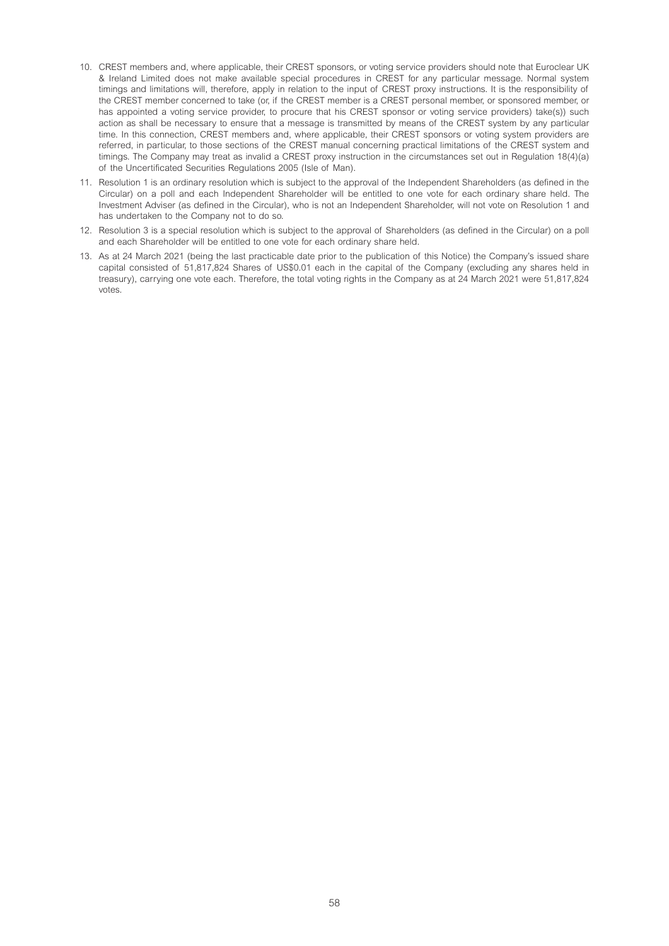- 10. CREST members and, where applicable, their CREST sponsors, or voting service providers should note that Euroclear UK & Ireland Limited does not make available special procedures in CREST for any particular message. Normal system timings and limitations will, therefore, apply in relation to the input of CREST proxy instructions. It is the responsibility of the CREST member concerned to take (or, if the CREST member is a CREST personal member, or sponsored member, or has appointed a voting service provider, to procure that his CREST sponsor or voting service providers) take(s)) such action as shall be necessary to ensure that a message is transmitted by means of the CREST system by any particular time. In this connection, CREST members and, where applicable, their CREST sponsors or voting system providers are referred, in particular, to those sections of the CREST manual concerning practical limitations of the CREST system and timings. The Company may treat as invalid a CREST proxy instruction in the circumstances set out in Regulation 18(4)(a) of the Uncertificated Securities Regulations 2005 (Isle of Man).
- 11. Resolution 1 is an ordinary resolution which is subject to the approval of the Independent Shareholders (as defined in the Circular) on a poll and each Independent Shareholder will be entitled to one vote for each ordinary share held. The Investment Adviser (as defined in the Circular), who is not an Independent Shareholder, will not vote on Resolution 1 and has undertaken to the Company not to do so.
- 12. Resolution 3 is a special resolution which is subject to the approval of Shareholders (as defined in the Circular) on a poll and each Shareholder will be entitled to one vote for each ordinary share held.
- 13. As at 24 March 2021 (being the last practicable date prior to the publication of this Notice) the Company's issued share capital consisted of 51,817,824 Shares of US\$0.01 each in the capital of the Company (excluding any shares held in treasury), carrying one vote each. Therefore, the total voting rights in the Company as at 24 March 2021 were 51,817,824 votes.